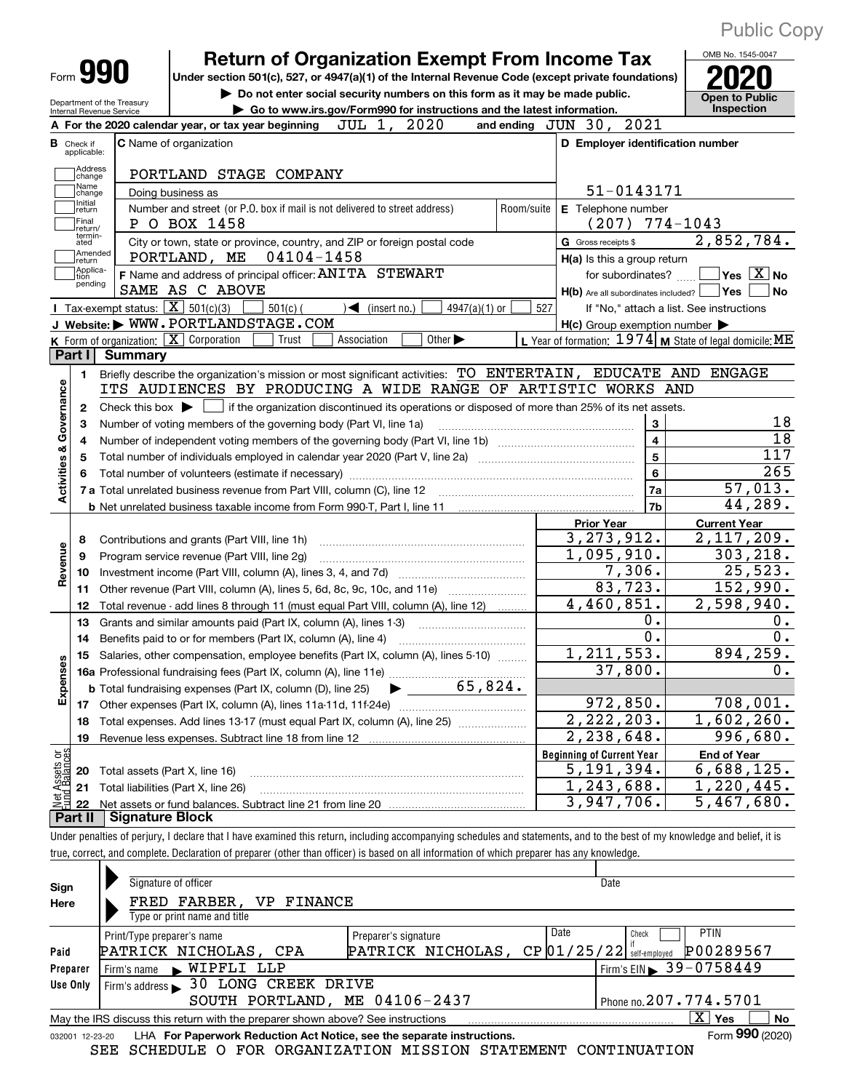| Form YYU<br>Under section 501(c), 527, or 4947(a)(1) of the Internal Revenue Code (except private foundations)<br>Do not enter social security numbers on this form as it may be made public.<br><b>Open to Public</b><br>Department of the Treasury<br>Inspection<br>Go to www.irs.gov/Form990 for instructions and the latest information.<br>Internal Revenue Service<br>JUL 1, 2020<br>and ending JUN 30, 2021<br>A For the 2020 calendar year, or tax year beginning<br><b>C</b> Name of organization<br>D Employer identification number<br><b>B</b> Check if applicable:<br>Address<br>PORTLAND STAGE COMPANY<br>change<br>Name<br>51-0143171<br>Doing business as<br>change<br>Initial<br>Number and street (or P.O. box if mail is not delivered to street address)<br>E Telephone number<br>Room/suite<br>return<br>Final<br>$(207)$ 774-1043<br>P O BOX 1458<br>return/<br>termin-<br>City or town, state or province, country, and ZIP or foreign postal code<br>G Gross receipts \$<br>ated<br>Amended<br>04104-1458<br>PORTLAND, ME<br>H(a) Is this a group return<br>return<br>Applica-<br>F Name and address of principal officer: ANITA STEWART<br>$ {\mathsf Y}{\mathsf e}{\mathsf s} \ \overline{{\mathsf X}}$ No<br>for subordinates?<br>tion<br>pending<br>SAME AS C ABOVE<br><b>No</b><br>$H(b)$ Are all subordinates included? $\Box$ Yes<br>Tax-exempt status: $\boxed{\mathbf{X}}$ 501(c)(3)<br>$501(c)$ (<br>(insert no.)<br>4947(a)(1) or<br>527<br>◀<br>If "No," attach a list. See instructions<br>J Website: WWW.PORTLANDSTAGE.COM<br>$H(c)$ Group exemption number $\blacktriangleright$<br>Other $\blacktriangleright$<br>K Form of organization: X Corporation<br>Association<br>Trust<br><b>Summary</b><br>Part I<br>Briefly describe the organization's mission or most significant activities: TO ENTERTAIN, EDUCATE AND ENGAGE<br>1.<br><b>Activities &amp; Governance</b><br>ITS AUDIENCES BY PRODUCING A WIDE RANGE OF ARTISTIC WORKS AND<br>Check this box $\blacktriangleright$ $\blacksquare$ if the organization discontinued its operations or disposed of more than 25% of its net assets.<br>$\mathbf{2}$<br>3<br>Number of voting members of the governing body (Part VI, line 1a)<br>3<br>$\overline{\mathbf{4}}$<br>4<br>5<br>5<br>6<br>Total number of volunteers (estimate if necessary)<br>7a<br>7 a Total unrelated business revenue from Part VIII, column (C), line 12<br>44,289.<br>7 <sub>b</sub><br><b>Current Year</b><br><b>Prior Year</b><br>3, 273, 912.<br>Contributions and grants (Part VIII, line 1h)<br>8<br>Revenue<br>$\overline{1,095}$ , 910.<br>Program service revenue (Part VIII, line 2g)<br>9<br>7,306.<br>25,523.<br>10<br>83,723.<br>152,990.<br>Other revenue (Part VIII, column (A), lines 5, 6d, 8c, 9c, 10c, and 11e)<br>11<br>4,460,851.<br>2,598,940.<br>Total revenue - add lines 8 through 11 (must equal Part VIII, column (A), line 12)<br>12<br>0.<br>О.<br>Grants and similar amounts paid (Part IX, column (A), lines 1-3)<br>13<br>$\overline{0}$ .<br>Ο.<br>Benefits paid to or for members (Part IX, column (A), line 4)<br>14<br>1, 211, 553.<br>894, 259.<br>Salaries, other compensation, employee benefits (Part IX, column (A), lines 5-10)<br>15<br><b>SD</b><br>Expenses<br>37,800.<br>65,824.<br><b>b</b> Total fundraising expenses (Part IX, column (D), line 25)<br>972,850.<br>17<br>$\overline{2,222,203}$ .<br>Total expenses. Add lines 13-17 (must equal Part IX, column (A), line 25) [<br>18<br>2,238,648.<br>19<br>Revenue less expenses. Subtract line 18 from line 12<br>t Assets or<br>d Balances<br><b>Beginning of Current Year</b><br><b>End of Year</b><br>5,191,394.<br>6,688,125.<br>Total assets (Part X, line 16)<br>20<br>1,243,688.<br>1,220,445.<br>Total liabilities (Part X, line 26)<br>21<br>흲<br>3,947,706.<br>$\overline{5}$ , 467, 680.<br>22<br><b>Signature Block</b><br>Part II<br>Under penalties of periury I declare that I have examined this return, including accompanying schedules and statements, and to the hest of my knowledge and belief, it is |  | <b>Return of Organization Exempt From Income Tax</b> |  | OMB No. 1545-0047 |
|-------------------------------------------------------------------------------------------------------------------------------------------------------------------------------------------------------------------------------------------------------------------------------------------------------------------------------------------------------------------------------------------------------------------------------------------------------------------------------------------------------------------------------------------------------------------------------------------------------------------------------------------------------------------------------------------------------------------------------------------------------------------------------------------------------------------------------------------------------------------------------------------------------------------------------------------------------------------------------------------------------------------------------------------------------------------------------------------------------------------------------------------------------------------------------------------------------------------------------------------------------------------------------------------------------------------------------------------------------------------------------------------------------------------------------------------------------------------------------------------------------------------------------------------------------------------------------------------------------------------------------------------------------------------------------------------------------------------------------------------------------------------------------------------------------------------------------------------------------------------------------------------------------------------------------------------------------------------------------------------------------------------------------------------------------------------------------------------------------------------------------------------------------------------------------------------------------------------------------------------------------------------------------------------------------------------------------------------------------------------------------------------------------------------------------------------------------------------------------------------------------------------------------------------------------------------------------------------------------------------------------------------------------------------------------------------------------------------------------------------------------------------------------------------------------------------------------------------------------------------------------------------------------------------------------------------------------------------------------------------------------------------------------------------------------------------------------------------------------------------------------------------------------------------------------------------------------------------------------------------------------------------------------------------------------------------------------------------------------------------------------------------------------------------------------------------------------------------------------------------------------------------------------------------------------------------------------------------------------------------------------------------------------------------------------------------------------------------------------------------------------------------------------------------------------------------------------------------------------------------------------------------------------------------------------------------------------------------------------------------------------------------------------------------------------------------------------------------------------|--|------------------------------------------------------|--|-------------------|
|                                                                                                                                                                                                                                                                                                                                                                                                                                                                                                                                                                                                                                                                                                                                                                                                                                                                                                                                                                                                                                                                                                                                                                                                                                                                                                                                                                                                                                                                                                                                                                                                                                                                                                                                                                                                                                                                                                                                                                                                                                                                                                                                                                                                                                                                                                                                                                                                                                                                                                                                                                                                                                                                                                                                                                                                                                                                                                                                                                                                                                                                                                                                                                                                                                                                                                                                                                                                                                                                                                                                                                                                                                                                                                                                                                                                                                                                                                                                                                                                                                                                                                       |  |                                                      |  |                   |
|                                                                                                                                                                                                                                                                                                                                                                                                                                                                                                                                                                                                                                                                                                                                                                                                                                                                                                                                                                                                                                                                                                                                                                                                                                                                                                                                                                                                                                                                                                                                                                                                                                                                                                                                                                                                                                                                                                                                                                                                                                                                                                                                                                                                                                                                                                                                                                                                                                                                                                                                                                                                                                                                                                                                                                                                                                                                                                                                                                                                                                                                                                                                                                                                                                                                                                                                                                                                                                                                                                                                                                                                                                                                                                                                                                                                                                                                                                                                                                                                                                                                                                       |  |                                                      |  |                   |
|                                                                                                                                                                                                                                                                                                                                                                                                                                                                                                                                                                                                                                                                                                                                                                                                                                                                                                                                                                                                                                                                                                                                                                                                                                                                                                                                                                                                                                                                                                                                                                                                                                                                                                                                                                                                                                                                                                                                                                                                                                                                                                                                                                                                                                                                                                                                                                                                                                                                                                                                                                                                                                                                                                                                                                                                                                                                                                                                                                                                                                                                                                                                                                                                                                                                                                                                                                                                                                                                                                                                                                                                                                                                                                                                                                                                                                                                                                                                                                                                                                                                                                       |  |                                                      |  |                   |
|                                                                                                                                                                                                                                                                                                                                                                                                                                                                                                                                                                                                                                                                                                                                                                                                                                                                                                                                                                                                                                                                                                                                                                                                                                                                                                                                                                                                                                                                                                                                                                                                                                                                                                                                                                                                                                                                                                                                                                                                                                                                                                                                                                                                                                                                                                                                                                                                                                                                                                                                                                                                                                                                                                                                                                                                                                                                                                                                                                                                                                                                                                                                                                                                                                                                                                                                                                                                                                                                                                                                                                                                                                                                                                                                                                                                                                                                                                                                                                                                                                                                                                       |  |                                                      |  |                   |
|                                                                                                                                                                                                                                                                                                                                                                                                                                                                                                                                                                                                                                                                                                                                                                                                                                                                                                                                                                                                                                                                                                                                                                                                                                                                                                                                                                                                                                                                                                                                                                                                                                                                                                                                                                                                                                                                                                                                                                                                                                                                                                                                                                                                                                                                                                                                                                                                                                                                                                                                                                                                                                                                                                                                                                                                                                                                                                                                                                                                                                                                                                                                                                                                                                                                                                                                                                                                                                                                                                                                                                                                                                                                                                                                                                                                                                                                                                                                                                                                                                                                                                       |  |                                                      |  |                   |
|                                                                                                                                                                                                                                                                                                                                                                                                                                                                                                                                                                                                                                                                                                                                                                                                                                                                                                                                                                                                                                                                                                                                                                                                                                                                                                                                                                                                                                                                                                                                                                                                                                                                                                                                                                                                                                                                                                                                                                                                                                                                                                                                                                                                                                                                                                                                                                                                                                                                                                                                                                                                                                                                                                                                                                                                                                                                                                                                                                                                                                                                                                                                                                                                                                                                                                                                                                                                                                                                                                                                                                                                                                                                                                                                                                                                                                                                                                                                                                                                                                                                                                       |  |                                                      |  |                   |
| 2,852,784.<br>L Year of formation: $1974$ M State of legal domicile: ME<br>18<br>$\overline{18}$<br>117<br>265<br>57,013.<br>$0$ .<br>708,001.<br>1,602,260.<br>996,680.                                                                                                                                                                                                                                                                                                                                                                                                                                                                                                                                                                                                                                                                                                                                                                                                                                                                                                                                                                                                                                                                                                                                                                                                                                                                                                                                                                                                                                                                                                                                                                                                                                                                                                                                                                                                                                                                                                                                                                                                                                                                                                                                                                                                                                                                                                                                                                                                                                                                                                                                                                                                                                                                                                                                                                                                                                                                                                                                                                                                                                                                                                                                                                                                                                                                                                                                                                                                                                                                                                                                                                                                                                                                                                                                                                                                                                                                                                                              |  |                                                      |  |                   |
|                                                                                                                                                                                                                                                                                                                                                                                                                                                                                                                                                                                                                                                                                                                                                                                                                                                                                                                                                                                                                                                                                                                                                                                                                                                                                                                                                                                                                                                                                                                                                                                                                                                                                                                                                                                                                                                                                                                                                                                                                                                                                                                                                                                                                                                                                                                                                                                                                                                                                                                                                                                                                                                                                                                                                                                                                                                                                                                                                                                                                                                                                                                                                                                                                                                                                                                                                                                                                                                                                                                                                                                                                                                                                                                                                                                                                                                                                                                                                                                                                                                                                                       |  |                                                      |  |                   |
|                                                                                                                                                                                                                                                                                                                                                                                                                                                                                                                                                                                                                                                                                                                                                                                                                                                                                                                                                                                                                                                                                                                                                                                                                                                                                                                                                                                                                                                                                                                                                                                                                                                                                                                                                                                                                                                                                                                                                                                                                                                                                                                                                                                                                                                                                                                                                                                                                                                                                                                                                                                                                                                                                                                                                                                                                                                                                                                                                                                                                                                                                                                                                                                                                                                                                                                                                                                                                                                                                                                                                                                                                                                                                                                                                                                                                                                                                                                                                                                                                                                                                                       |  |                                                      |  |                   |
|                                                                                                                                                                                                                                                                                                                                                                                                                                                                                                                                                                                                                                                                                                                                                                                                                                                                                                                                                                                                                                                                                                                                                                                                                                                                                                                                                                                                                                                                                                                                                                                                                                                                                                                                                                                                                                                                                                                                                                                                                                                                                                                                                                                                                                                                                                                                                                                                                                                                                                                                                                                                                                                                                                                                                                                                                                                                                                                                                                                                                                                                                                                                                                                                                                                                                                                                                                                                                                                                                                                                                                                                                                                                                                                                                                                                                                                                                                                                                                                                                                                                                                       |  |                                                      |  |                   |
|                                                                                                                                                                                                                                                                                                                                                                                                                                                                                                                                                                                                                                                                                                                                                                                                                                                                                                                                                                                                                                                                                                                                                                                                                                                                                                                                                                                                                                                                                                                                                                                                                                                                                                                                                                                                                                                                                                                                                                                                                                                                                                                                                                                                                                                                                                                                                                                                                                                                                                                                                                                                                                                                                                                                                                                                                                                                                                                                                                                                                                                                                                                                                                                                                                                                                                                                                                                                                                                                                                                                                                                                                                                                                                                                                                                                                                                                                                                                                                                                                                                                                                       |  |                                                      |  |                   |
|                                                                                                                                                                                                                                                                                                                                                                                                                                                                                                                                                                                                                                                                                                                                                                                                                                                                                                                                                                                                                                                                                                                                                                                                                                                                                                                                                                                                                                                                                                                                                                                                                                                                                                                                                                                                                                                                                                                                                                                                                                                                                                                                                                                                                                                                                                                                                                                                                                                                                                                                                                                                                                                                                                                                                                                                                                                                                                                                                                                                                                                                                                                                                                                                                                                                                                                                                                                                                                                                                                                                                                                                                                                                                                                                                                                                                                                                                                                                                                                                                                                                                                       |  |                                                      |  |                   |
|                                                                                                                                                                                                                                                                                                                                                                                                                                                                                                                                                                                                                                                                                                                                                                                                                                                                                                                                                                                                                                                                                                                                                                                                                                                                                                                                                                                                                                                                                                                                                                                                                                                                                                                                                                                                                                                                                                                                                                                                                                                                                                                                                                                                                                                                                                                                                                                                                                                                                                                                                                                                                                                                                                                                                                                                                                                                                                                                                                                                                                                                                                                                                                                                                                                                                                                                                                                                                                                                                                                                                                                                                                                                                                                                                                                                                                                                                                                                                                                                                                                                                                       |  |                                                      |  |                   |
|                                                                                                                                                                                                                                                                                                                                                                                                                                                                                                                                                                                                                                                                                                                                                                                                                                                                                                                                                                                                                                                                                                                                                                                                                                                                                                                                                                                                                                                                                                                                                                                                                                                                                                                                                                                                                                                                                                                                                                                                                                                                                                                                                                                                                                                                                                                                                                                                                                                                                                                                                                                                                                                                                                                                                                                                                                                                                                                                                                                                                                                                                                                                                                                                                                                                                                                                                                                                                                                                                                                                                                                                                                                                                                                                                                                                                                                                                                                                                                                                                                                                                                       |  |                                                      |  |                   |
|                                                                                                                                                                                                                                                                                                                                                                                                                                                                                                                                                                                                                                                                                                                                                                                                                                                                                                                                                                                                                                                                                                                                                                                                                                                                                                                                                                                                                                                                                                                                                                                                                                                                                                                                                                                                                                                                                                                                                                                                                                                                                                                                                                                                                                                                                                                                                                                                                                                                                                                                                                                                                                                                                                                                                                                                                                                                                                                                                                                                                                                                                                                                                                                                                                                                                                                                                                                                                                                                                                                                                                                                                                                                                                                                                                                                                                                                                                                                                                                                                                                                                                       |  |                                                      |  |                   |
|                                                                                                                                                                                                                                                                                                                                                                                                                                                                                                                                                                                                                                                                                                                                                                                                                                                                                                                                                                                                                                                                                                                                                                                                                                                                                                                                                                                                                                                                                                                                                                                                                                                                                                                                                                                                                                                                                                                                                                                                                                                                                                                                                                                                                                                                                                                                                                                                                                                                                                                                                                                                                                                                                                                                                                                                                                                                                                                                                                                                                                                                                                                                                                                                                                                                                                                                                                                                                                                                                                                                                                                                                                                                                                                                                                                                                                                                                                                                                                                                                                                                                                       |  |                                                      |  |                   |
|                                                                                                                                                                                                                                                                                                                                                                                                                                                                                                                                                                                                                                                                                                                                                                                                                                                                                                                                                                                                                                                                                                                                                                                                                                                                                                                                                                                                                                                                                                                                                                                                                                                                                                                                                                                                                                                                                                                                                                                                                                                                                                                                                                                                                                                                                                                                                                                                                                                                                                                                                                                                                                                                                                                                                                                                                                                                                                                                                                                                                                                                                                                                                                                                                                                                                                                                                                                                                                                                                                                                                                                                                                                                                                                                                                                                                                                                                                                                                                                                                                                                                                       |  |                                                      |  |                   |
|                                                                                                                                                                                                                                                                                                                                                                                                                                                                                                                                                                                                                                                                                                                                                                                                                                                                                                                                                                                                                                                                                                                                                                                                                                                                                                                                                                                                                                                                                                                                                                                                                                                                                                                                                                                                                                                                                                                                                                                                                                                                                                                                                                                                                                                                                                                                                                                                                                                                                                                                                                                                                                                                                                                                                                                                                                                                                                                                                                                                                                                                                                                                                                                                                                                                                                                                                                                                                                                                                                                                                                                                                                                                                                                                                                                                                                                                                                                                                                                                                                                                                                       |  |                                                      |  |                   |
|                                                                                                                                                                                                                                                                                                                                                                                                                                                                                                                                                                                                                                                                                                                                                                                                                                                                                                                                                                                                                                                                                                                                                                                                                                                                                                                                                                                                                                                                                                                                                                                                                                                                                                                                                                                                                                                                                                                                                                                                                                                                                                                                                                                                                                                                                                                                                                                                                                                                                                                                                                                                                                                                                                                                                                                                                                                                                                                                                                                                                                                                                                                                                                                                                                                                                                                                                                                                                                                                                                                                                                                                                                                                                                                                                                                                                                                                                                                                                                                                                                                                                                       |  |                                                      |  |                   |
|                                                                                                                                                                                                                                                                                                                                                                                                                                                                                                                                                                                                                                                                                                                                                                                                                                                                                                                                                                                                                                                                                                                                                                                                                                                                                                                                                                                                                                                                                                                                                                                                                                                                                                                                                                                                                                                                                                                                                                                                                                                                                                                                                                                                                                                                                                                                                                                                                                                                                                                                                                                                                                                                                                                                                                                                                                                                                                                                                                                                                                                                                                                                                                                                                                                                                                                                                                                                                                                                                                                                                                                                                                                                                                                                                                                                                                                                                                                                                                                                                                                                                                       |  |                                                      |  |                   |
|                                                                                                                                                                                                                                                                                                                                                                                                                                                                                                                                                                                                                                                                                                                                                                                                                                                                                                                                                                                                                                                                                                                                                                                                                                                                                                                                                                                                                                                                                                                                                                                                                                                                                                                                                                                                                                                                                                                                                                                                                                                                                                                                                                                                                                                                                                                                                                                                                                                                                                                                                                                                                                                                                                                                                                                                                                                                                                                                                                                                                                                                                                                                                                                                                                                                                                                                                                                                                                                                                                                                                                                                                                                                                                                                                                                                                                                                                                                                                                                                                                                                                                       |  |                                                      |  |                   |
|                                                                                                                                                                                                                                                                                                                                                                                                                                                                                                                                                                                                                                                                                                                                                                                                                                                                                                                                                                                                                                                                                                                                                                                                                                                                                                                                                                                                                                                                                                                                                                                                                                                                                                                                                                                                                                                                                                                                                                                                                                                                                                                                                                                                                                                                                                                                                                                                                                                                                                                                                                                                                                                                                                                                                                                                                                                                                                                                                                                                                                                                                                                                                                                                                                                                                                                                                                                                                                                                                                                                                                                                                                                                                                                                                                                                                                                                                                                                                                                                                                                                                                       |  |                                                      |  |                   |
|                                                                                                                                                                                                                                                                                                                                                                                                                                                                                                                                                                                                                                                                                                                                                                                                                                                                                                                                                                                                                                                                                                                                                                                                                                                                                                                                                                                                                                                                                                                                                                                                                                                                                                                                                                                                                                                                                                                                                                                                                                                                                                                                                                                                                                                                                                                                                                                                                                                                                                                                                                                                                                                                                                                                                                                                                                                                                                                                                                                                                                                                                                                                                                                                                                                                                                                                                                                                                                                                                                                                                                                                                                                                                                                                                                                                                                                                                                                                                                                                                                                                                                       |  |                                                      |  | 2,117,209.        |
|                                                                                                                                                                                                                                                                                                                                                                                                                                                                                                                                                                                                                                                                                                                                                                                                                                                                                                                                                                                                                                                                                                                                                                                                                                                                                                                                                                                                                                                                                                                                                                                                                                                                                                                                                                                                                                                                                                                                                                                                                                                                                                                                                                                                                                                                                                                                                                                                                                                                                                                                                                                                                                                                                                                                                                                                                                                                                                                                                                                                                                                                                                                                                                                                                                                                                                                                                                                                                                                                                                                                                                                                                                                                                                                                                                                                                                                                                                                                                                                                                                                                                                       |  |                                                      |  | 303, 218.         |
|                                                                                                                                                                                                                                                                                                                                                                                                                                                                                                                                                                                                                                                                                                                                                                                                                                                                                                                                                                                                                                                                                                                                                                                                                                                                                                                                                                                                                                                                                                                                                                                                                                                                                                                                                                                                                                                                                                                                                                                                                                                                                                                                                                                                                                                                                                                                                                                                                                                                                                                                                                                                                                                                                                                                                                                                                                                                                                                                                                                                                                                                                                                                                                                                                                                                                                                                                                                                                                                                                                                                                                                                                                                                                                                                                                                                                                                                                                                                                                                                                                                                                                       |  |                                                      |  |                   |
|                                                                                                                                                                                                                                                                                                                                                                                                                                                                                                                                                                                                                                                                                                                                                                                                                                                                                                                                                                                                                                                                                                                                                                                                                                                                                                                                                                                                                                                                                                                                                                                                                                                                                                                                                                                                                                                                                                                                                                                                                                                                                                                                                                                                                                                                                                                                                                                                                                                                                                                                                                                                                                                                                                                                                                                                                                                                                                                                                                                                                                                                                                                                                                                                                                                                                                                                                                                                                                                                                                                                                                                                                                                                                                                                                                                                                                                                                                                                                                                                                                                                                                       |  |                                                      |  |                   |
|                                                                                                                                                                                                                                                                                                                                                                                                                                                                                                                                                                                                                                                                                                                                                                                                                                                                                                                                                                                                                                                                                                                                                                                                                                                                                                                                                                                                                                                                                                                                                                                                                                                                                                                                                                                                                                                                                                                                                                                                                                                                                                                                                                                                                                                                                                                                                                                                                                                                                                                                                                                                                                                                                                                                                                                                                                                                                                                                                                                                                                                                                                                                                                                                                                                                                                                                                                                                                                                                                                                                                                                                                                                                                                                                                                                                                                                                                                                                                                                                                                                                                                       |  |                                                      |  |                   |
|                                                                                                                                                                                                                                                                                                                                                                                                                                                                                                                                                                                                                                                                                                                                                                                                                                                                                                                                                                                                                                                                                                                                                                                                                                                                                                                                                                                                                                                                                                                                                                                                                                                                                                                                                                                                                                                                                                                                                                                                                                                                                                                                                                                                                                                                                                                                                                                                                                                                                                                                                                                                                                                                                                                                                                                                                                                                                                                                                                                                                                                                                                                                                                                                                                                                                                                                                                                                                                                                                                                                                                                                                                                                                                                                                                                                                                                                                                                                                                                                                                                                                                       |  |                                                      |  |                   |
|                                                                                                                                                                                                                                                                                                                                                                                                                                                                                                                                                                                                                                                                                                                                                                                                                                                                                                                                                                                                                                                                                                                                                                                                                                                                                                                                                                                                                                                                                                                                                                                                                                                                                                                                                                                                                                                                                                                                                                                                                                                                                                                                                                                                                                                                                                                                                                                                                                                                                                                                                                                                                                                                                                                                                                                                                                                                                                                                                                                                                                                                                                                                                                                                                                                                                                                                                                                                                                                                                                                                                                                                                                                                                                                                                                                                                                                                                                                                                                                                                                                                                                       |  |                                                      |  |                   |
|                                                                                                                                                                                                                                                                                                                                                                                                                                                                                                                                                                                                                                                                                                                                                                                                                                                                                                                                                                                                                                                                                                                                                                                                                                                                                                                                                                                                                                                                                                                                                                                                                                                                                                                                                                                                                                                                                                                                                                                                                                                                                                                                                                                                                                                                                                                                                                                                                                                                                                                                                                                                                                                                                                                                                                                                                                                                                                                                                                                                                                                                                                                                                                                                                                                                                                                                                                                                                                                                                                                                                                                                                                                                                                                                                                                                                                                                                                                                                                                                                                                                                                       |  |                                                      |  |                   |
|                                                                                                                                                                                                                                                                                                                                                                                                                                                                                                                                                                                                                                                                                                                                                                                                                                                                                                                                                                                                                                                                                                                                                                                                                                                                                                                                                                                                                                                                                                                                                                                                                                                                                                                                                                                                                                                                                                                                                                                                                                                                                                                                                                                                                                                                                                                                                                                                                                                                                                                                                                                                                                                                                                                                                                                                                                                                                                                                                                                                                                                                                                                                                                                                                                                                                                                                                                                                                                                                                                                                                                                                                                                                                                                                                                                                                                                                                                                                                                                                                                                                                                       |  |                                                      |  |                   |
|                                                                                                                                                                                                                                                                                                                                                                                                                                                                                                                                                                                                                                                                                                                                                                                                                                                                                                                                                                                                                                                                                                                                                                                                                                                                                                                                                                                                                                                                                                                                                                                                                                                                                                                                                                                                                                                                                                                                                                                                                                                                                                                                                                                                                                                                                                                                                                                                                                                                                                                                                                                                                                                                                                                                                                                                                                                                                                                                                                                                                                                                                                                                                                                                                                                                                                                                                                                                                                                                                                                                                                                                                                                                                                                                                                                                                                                                                                                                                                                                                                                                                                       |  |                                                      |  |                   |
|                                                                                                                                                                                                                                                                                                                                                                                                                                                                                                                                                                                                                                                                                                                                                                                                                                                                                                                                                                                                                                                                                                                                                                                                                                                                                                                                                                                                                                                                                                                                                                                                                                                                                                                                                                                                                                                                                                                                                                                                                                                                                                                                                                                                                                                                                                                                                                                                                                                                                                                                                                                                                                                                                                                                                                                                                                                                                                                                                                                                                                                                                                                                                                                                                                                                                                                                                                                                                                                                                                                                                                                                                                                                                                                                                                                                                                                                                                                                                                                                                                                                                                       |  |                                                      |  |                   |
|                                                                                                                                                                                                                                                                                                                                                                                                                                                                                                                                                                                                                                                                                                                                                                                                                                                                                                                                                                                                                                                                                                                                                                                                                                                                                                                                                                                                                                                                                                                                                                                                                                                                                                                                                                                                                                                                                                                                                                                                                                                                                                                                                                                                                                                                                                                                                                                                                                                                                                                                                                                                                                                                                                                                                                                                                                                                                                                                                                                                                                                                                                                                                                                                                                                                                                                                                                                                                                                                                                                                                                                                                                                                                                                                                                                                                                                                                                                                                                                                                                                                                                       |  |                                                      |  |                   |
|                                                                                                                                                                                                                                                                                                                                                                                                                                                                                                                                                                                                                                                                                                                                                                                                                                                                                                                                                                                                                                                                                                                                                                                                                                                                                                                                                                                                                                                                                                                                                                                                                                                                                                                                                                                                                                                                                                                                                                                                                                                                                                                                                                                                                                                                                                                                                                                                                                                                                                                                                                                                                                                                                                                                                                                                                                                                                                                                                                                                                                                                                                                                                                                                                                                                                                                                                                                                                                                                                                                                                                                                                                                                                                                                                                                                                                                                                                                                                                                                                                                                                                       |  |                                                      |  |                   |
|                                                                                                                                                                                                                                                                                                                                                                                                                                                                                                                                                                                                                                                                                                                                                                                                                                                                                                                                                                                                                                                                                                                                                                                                                                                                                                                                                                                                                                                                                                                                                                                                                                                                                                                                                                                                                                                                                                                                                                                                                                                                                                                                                                                                                                                                                                                                                                                                                                                                                                                                                                                                                                                                                                                                                                                                                                                                                                                                                                                                                                                                                                                                                                                                                                                                                                                                                                                                                                                                                                                                                                                                                                                                                                                                                                                                                                                                                                                                                                                                                                                                                                       |  |                                                      |  |                   |
|                                                                                                                                                                                                                                                                                                                                                                                                                                                                                                                                                                                                                                                                                                                                                                                                                                                                                                                                                                                                                                                                                                                                                                                                                                                                                                                                                                                                                                                                                                                                                                                                                                                                                                                                                                                                                                                                                                                                                                                                                                                                                                                                                                                                                                                                                                                                                                                                                                                                                                                                                                                                                                                                                                                                                                                                                                                                                                                                                                                                                                                                                                                                                                                                                                                                                                                                                                                                                                                                                                                                                                                                                                                                                                                                                                                                                                                                                                                                                                                                                                                                                                       |  |                                                      |  |                   |
|                                                                                                                                                                                                                                                                                                                                                                                                                                                                                                                                                                                                                                                                                                                                                                                                                                                                                                                                                                                                                                                                                                                                                                                                                                                                                                                                                                                                                                                                                                                                                                                                                                                                                                                                                                                                                                                                                                                                                                                                                                                                                                                                                                                                                                                                                                                                                                                                                                                                                                                                                                                                                                                                                                                                                                                                                                                                                                                                                                                                                                                                                                                                                                                                                                                                                                                                                                                                                                                                                                                                                                                                                                                                                                                                                                                                                                                                                                                                                                                                                                                                                                       |  |                                                      |  |                   |
|                                                                                                                                                                                                                                                                                                                                                                                                                                                                                                                                                                                                                                                                                                                                                                                                                                                                                                                                                                                                                                                                                                                                                                                                                                                                                                                                                                                                                                                                                                                                                                                                                                                                                                                                                                                                                                                                                                                                                                                                                                                                                                                                                                                                                                                                                                                                                                                                                                                                                                                                                                                                                                                                                                                                                                                                                                                                                                                                                                                                                                                                                                                                                                                                                                                                                                                                                                                                                                                                                                                                                                                                                                                                                                                                                                                                                                                                                                                                                                                                                                                                                                       |  |                                                      |  |                   |
|                                                                                                                                                                                                                                                                                                                                                                                                                                                                                                                                                                                                                                                                                                                                                                                                                                                                                                                                                                                                                                                                                                                                                                                                                                                                                                                                                                                                                                                                                                                                                                                                                                                                                                                                                                                                                                                                                                                                                                                                                                                                                                                                                                                                                                                                                                                                                                                                                                                                                                                                                                                                                                                                                                                                                                                                                                                                                                                                                                                                                                                                                                                                                                                                                                                                                                                                                                                                                                                                                                                                                                                                                                                                                                                                                                                                                                                                                                                                                                                                                                                                                                       |  |                                                      |  |                   |

Under penalties of perjury, I declare that I have examined this return, including accompanying schedules and statements, and to the best of my knowledge and belief, it is true, correct, and complete. Declaration of preparer (other than officer) is based on all information of which preparer has any knowledge.

| Sign<br>Here         | Signature of officer<br>Date<br>FRED FARBER, VP<br><b>FINANCE</b><br>Type or print name and title                                                                                               |                                           |                                                                       |                          |  |  |  |  |  |  |  |  |  |
|----------------------|-------------------------------------------------------------------------------------------------------------------------------------------------------------------------------------------------|-------------------------------------------|-----------------------------------------------------------------------|--------------------------|--|--|--|--|--|--|--|--|--|
| Paid                 | Print/Type preparer's name<br>PATRICK NICHOLAS, CPA                                                                                                                                             | Preparer's signature<br>PATRICK NICHOLAS, | Date<br>Check<br>$CP$ 01/25/22 self-employed<br>Firm's EIN 39-0758449 | <b>PTIN</b><br>P00289567 |  |  |  |  |  |  |  |  |  |
| Preparer<br>Use Only | Firm's name WIPFLI LLP<br>Firm's address > 30 LONG CREEK DRIVE                                                                                                                                  |                                           |                                                                       |                          |  |  |  |  |  |  |  |  |  |
|                      | SOUTH PORTLAND, ME 04106-2437                                                                                                                                                                   |                                           | Phone no. 207.774.5701                                                |                          |  |  |  |  |  |  |  |  |  |
|                      | $\mathbf{X}$<br>Yes<br>No<br>May the IRS discuss this return with the preparer shown above? See instructions                                                                                    |                                           |                                                                       |                          |  |  |  |  |  |  |  |  |  |
|                      | Form 990 (2020)<br>LHA For Paperwork Reduction Act Notice, see the separate instructions.<br>032001 12-23-20<br>COURDITE O ROB ODOANTRARIONI MICCIONI CRAFINENTRO CONFITUEIRE ON<br>$\alpha$ mm |                                           |                                                                       |                          |  |  |  |  |  |  |  |  |  |

SEE SCHEDULE O FOR ORGANIZATION MISSION STATEMENT CONTINUATION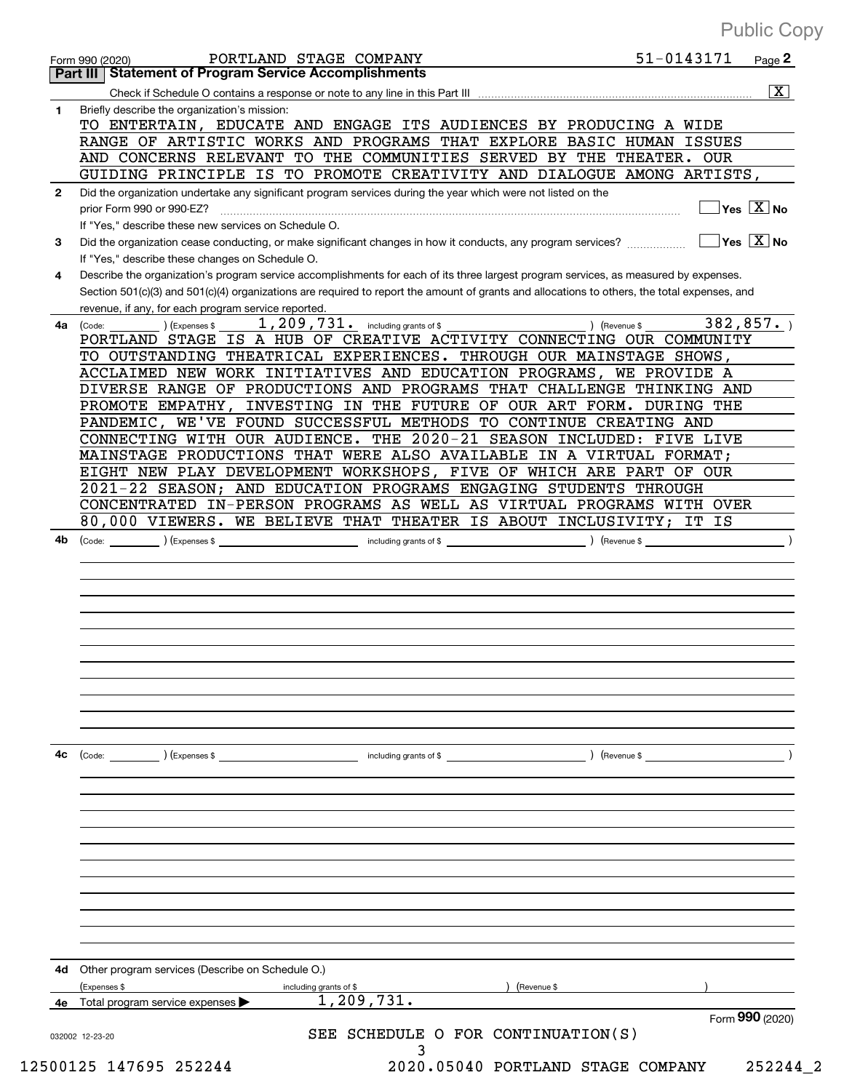|    | 51-0143171<br>PORTLAND STAGE COMPANY<br>Page 2<br>Form 990 (2020)                                                                            |
|----|----------------------------------------------------------------------------------------------------------------------------------------------|
|    | Part III   Statement of Program Service Accomplishments                                                                                      |
|    | $\overline{\mathbf{X}}$                                                                                                                      |
| 1. | Briefly describe the organization's mission:                                                                                                 |
|    | TO ENTERTAIN, EDUCATE AND ENGAGE ITS AUDIENCES BY PRODUCING A WIDE                                                                           |
|    | RANGE OF ARTISTIC WORKS AND PROGRAMS THAT EXPLORE BASIC HUMAN ISSUES                                                                         |
|    | AND CONCERNS RELEVANT TO THE COMMUNITIES SERVED BY THE THEATER. OUR                                                                          |
|    | GUIDING PRINCIPLE IS TO PROMOTE CREATIVITY AND DIALOGUE AMONG ARTISTS,                                                                       |
| 2  | Did the organization undertake any significant program services during the year which were not listed on the                                 |
|    | Yes $\boxed{X}$ No<br>prior Form 990 or 990-EZ?                                                                                              |
|    | If "Yes," describe these new services on Schedule O.                                                                                         |
| 3  | $Yes \ \boxed{X}$ No<br>Did the organization cease conducting, or make significant changes in how it conducts, any program services?         |
|    | If "Yes," describe these changes on Schedule O.                                                                                              |
| 4  | Describe the organization's program service accomplishments for each of its three largest program services, as measured by expenses.         |
|    | Section 501(c)(3) and 501(c)(4) organizations are required to report the amount of grants and allocations to others, the total expenses, and |
|    | revenue, if any, for each program service reported.                                                                                          |
|    | 382, 857.<br>1, 209, 731. including grants of \$                                                                                             |
| 4a | (Revenue \$<br>(Code:<br>(Expenses \$<br>PORTLAND STAGE IS A HUB OF CREATIVE ACTIVITY CONNECTING OUR COMMUNITY                               |
|    | TO OUTSTANDING THEATRICAL EXPERIENCES. THROUGH OUR MAINSTAGE SHOWS,                                                                          |
|    |                                                                                                                                              |
|    | ACCLAIMED NEW WORK INITIATIVES AND EDUCATION PROGRAMS, WE PROVIDE A                                                                          |
|    | DIVERSE RANGE OF PRODUCTIONS AND PROGRAMS THAT CHALLENGE THINKING AND                                                                        |
|    | PROMOTE EMPATHY, INVESTING IN THE FUTURE OF OUR ART FORM. DURING THE                                                                         |
|    | PANDEMIC, WE'VE FOUND SUCCESSFUL METHODS TO CONTINUE CREATING AND                                                                            |
|    | CONNECTING WITH OUR AUDIENCE. THE 2020-21 SEASON INCLUDED: FIVE LIVE                                                                         |
|    | MAINSTAGE PRODUCTIONS THAT WERE ALSO AVAILABLE IN A VIRTUAL FORMAT;                                                                          |
|    | EIGHT NEW PLAY DEVELOPMENT WORKSHOPS, FIVE OF WHICH ARE PART OF OUR                                                                          |
|    | 2021-22 SEASON; AND EDUCATION PROGRAMS ENGAGING STUDENTS THROUGH                                                                             |
|    | CONCENTRATED IN-PERSON PROGRAMS AS WELL AS VIRTUAL PROGRAMS WITH OVER                                                                        |
|    | 80,000 VIEWERS. WE BELIEVE THAT THEATER IS ABOUT INCLUSIVITY; IT IS                                                                          |
|    |                                                                                                                                              |
|    |                                                                                                                                              |
|    |                                                                                                                                              |
|    |                                                                                                                                              |
|    |                                                                                                                                              |
|    |                                                                                                                                              |
| 4c | including grants of \$<br>) (Revenue \$<br>(Code: ) (Expenses \$                                                                             |
|    |                                                                                                                                              |
|    |                                                                                                                                              |
|    |                                                                                                                                              |
|    |                                                                                                                                              |
|    |                                                                                                                                              |
|    |                                                                                                                                              |
|    |                                                                                                                                              |
|    |                                                                                                                                              |
|    |                                                                                                                                              |
|    |                                                                                                                                              |
|    |                                                                                                                                              |
|    |                                                                                                                                              |
|    |                                                                                                                                              |
|    |                                                                                                                                              |
| 4d | Other program services (Describe on Schedule O.)                                                                                             |
|    | (Expenses \$<br>including grants of \$<br>Revenue \$                                                                                         |
| 4е | 1, 209, 731.<br>Total program service expenses                                                                                               |
|    | Form 990 (2020)<br>SEE SCHEDULE O FOR CONTINUATION(S)<br>032002 12-23-20<br>3                                                                |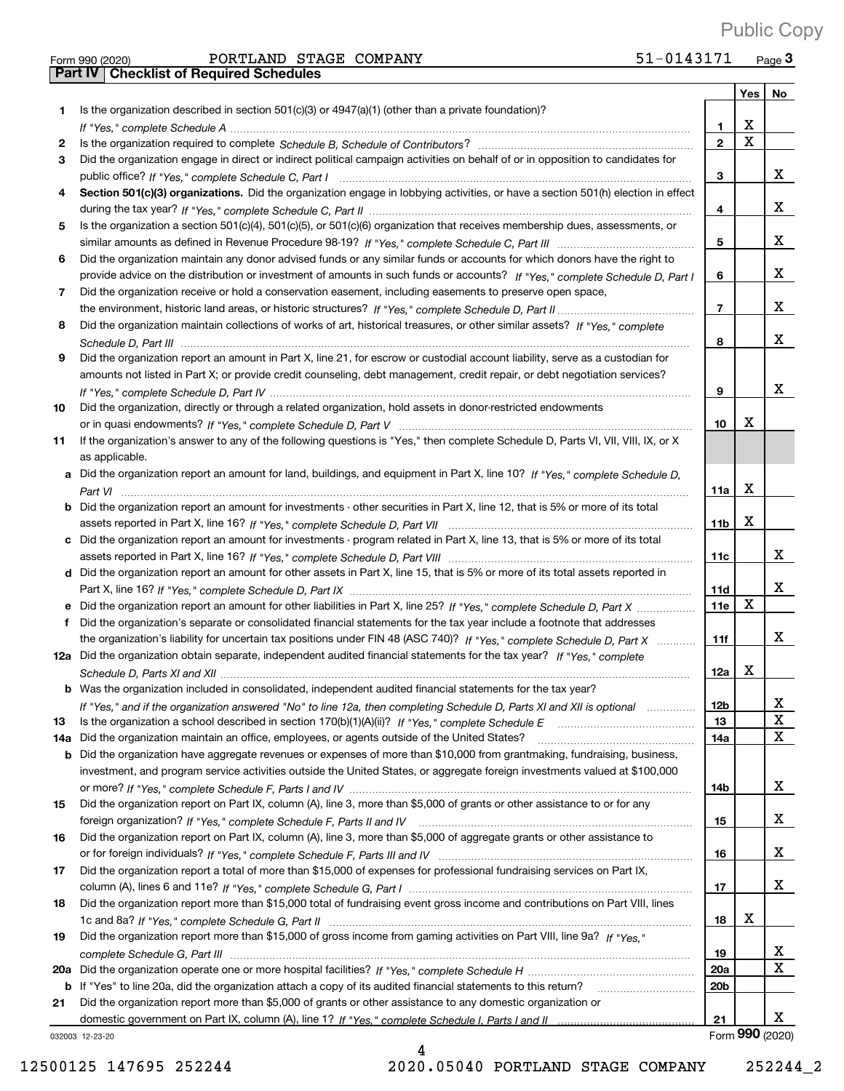$_{\rm Form}$   $_{990}$   $_{(2020)}$   $_{\rm PORTLAND}$   $_{\rm STAGE}$   $_{\rm COMPANY}$   $_{\rm S1-0143171}$   $_{\rm Page}$ 51-0143171 Page 3 Public Copy

|     | Part IV   Checklist of Required Schedules                                                                                             |                 |             |                 |
|-----|---------------------------------------------------------------------------------------------------------------------------------------|-----------------|-------------|-----------------|
|     |                                                                                                                                       |                 | <b>Yes</b>  | No              |
| 1   | Is the organization described in section $501(c)(3)$ or $4947(a)(1)$ (other than a private foundation)?                               |                 |             |                 |
|     |                                                                                                                                       | 1               | X           |                 |
| 2   |                                                                                                                                       | $\overline{2}$  | $\mathbf X$ |                 |
| 3   | Did the organization engage in direct or indirect political campaign activities on behalf of or in opposition to candidates for       |                 |             |                 |
|     |                                                                                                                                       | 3               |             | x               |
|     |                                                                                                                                       |                 |             |                 |
| 4   | Section 501(c)(3) organizations. Did the organization engage in lobbying activities, or have a section 501(h) election in effect      |                 |             |                 |
|     |                                                                                                                                       | 4               |             | x               |
| 5   | Is the organization a section 501(c)(4), 501(c)(5), or 501(c)(6) organization that receives membership dues, assessments, or          |                 |             |                 |
|     |                                                                                                                                       | 5               |             | x               |
| 6   | Did the organization maintain any donor advised funds or any similar funds or accounts for which donors have the right to             |                 |             |                 |
|     | provide advice on the distribution or investment of amounts in such funds or accounts? If "Yes," complete Schedule D, Part I          | 6               |             | x               |
| 7   | Did the organization receive or hold a conservation easement, including easements to preserve open space,                             |                 |             |                 |
|     |                                                                                                                                       | $\overline{7}$  |             | x               |
| 8   | Did the organization maintain collections of works of art, historical treasures, or other similar assets? If "Yes," complete          |                 |             |                 |
|     |                                                                                                                                       | 8               |             | x               |
| 9   | Did the organization report an amount in Part X, line 21, for escrow or custodial account liability, serve as a custodian for         |                 |             |                 |
|     | amounts not listed in Part X; or provide credit counseling, debt management, credit repair, or debt negotiation services?             |                 |             |                 |
|     |                                                                                                                                       | 9               |             | x               |
| 10  | Did the organization, directly or through a related organization, hold assets in donor-restricted endowments                          |                 |             |                 |
|     |                                                                                                                                       | 10              | x           |                 |
| 11  | If the organization's answer to any of the following questions is "Yes," then complete Schedule D, Parts VI, VII, VIII, IX, or X      |                 |             |                 |
|     | as applicable.                                                                                                                        |                 |             |                 |
|     | a Did the organization report an amount for land, buildings, and equipment in Part X, line 10? If "Yes," complete Schedule D,         |                 |             |                 |
|     |                                                                                                                                       | 11a             | X           |                 |
|     | <b>b</b> Did the organization report an amount for investments - other securities in Part X, line 12, that is 5% or more of its total |                 |             |                 |
|     |                                                                                                                                       | 11 <sub>b</sub> | X           |                 |
|     | c Did the organization report an amount for investments - program related in Part X, line 13, that is 5% or more of its total         |                 |             |                 |
|     |                                                                                                                                       | 11c             |             | x               |
|     | d Did the organization report an amount for other assets in Part X, line 15, that is 5% or more of its total assets reported in       |                 |             |                 |
|     |                                                                                                                                       | 11d             |             | x               |
|     | e Did the organization report an amount for other liabilities in Part X, line 25? If "Yes," complete Schedule D, Part X               | 11e             | X           |                 |
| f   | Did the organization's separate or consolidated financial statements for the tax year include a footnote that addresses               |                 |             |                 |
|     | the organization's liability for uncertain tax positions under FIN 48 (ASC 740)? If "Yes," complete Schedule D, Part X                | 11f             |             | x               |
|     | 12a Did the organization obtain separate, independent audited financial statements for the tax year? If "Yes," complete               |                 |             |                 |
|     |                                                                                                                                       | 12a             | х           |                 |
|     | Was the organization included in consolidated, independent audited financial statements for the tax year?                             |                 |             |                 |
| b   |                                                                                                                                       | 12b             |             | х               |
|     | If "Yes," and if the organization answered "No" to line 12a, then completing Schedule D, Parts XI and XII is optional                 | 13              |             | X               |
| 13  |                                                                                                                                       |                 |             | Χ               |
| 14a | Did the organization maintain an office, employees, or agents outside of the United States?                                           | 14a             |             |                 |
| b   | Did the organization have aggregate revenues or expenses of more than \$10,000 from grantmaking, fundraising, business,               |                 |             |                 |
|     | investment, and program service activities outside the United States, or aggregate foreign investments valued at \$100,000            |                 |             | x               |
|     |                                                                                                                                       | 14b             |             |                 |
| 15  | Did the organization report on Part IX, column (A), line 3, more than \$5,000 of grants or other assistance to or for any             |                 |             | х               |
|     |                                                                                                                                       | 15              |             |                 |
| 16  | Did the organization report on Part IX, column (A), line 3, more than \$5,000 of aggregate grants or other assistance to              |                 |             |                 |
|     |                                                                                                                                       | 16              |             | х               |
| 17  | Did the organization report a total of more than \$15,000 of expenses for professional fundraising services on Part IX,               |                 |             |                 |
|     |                                                                                                                                       | 17              |             | х               |
| 18  | Did the organization report more than \$15,000 total of fundraising event gross income and contributions on Part VIII, lines          |                 |             |                 |
|     |                                                                                                                                       | 18              | х           |                 |
| 19  | Did the organization report more than \$15,000 of gross income from gaming activities on Part VIII, line 9a? If "Yes."                |                 |             |                 |
|     |                                                                                                                                       | 19              |             | x               |
|     |                                                                                                                                       | 20a             |             | Χ               |
| b   | If "Yes" to line 20a, did the organization attach a copy of its audited financial statements to this return?                          | 20 <sub>b</sub> |             |                 |
| 21  | Did the organization report more than \$5,000 of grants or other assistance to any domestic organization or                           |                 |             |                 |
|     |                                                                                                                                       | 21              |             | x.              |
|     | 032003 12-23-20                                                                                                                       |                 |             | Form 990 (2020) |

4 12500125 147695 252244 2020.05040 PORTLAND STAGE COMPANY 252244\_2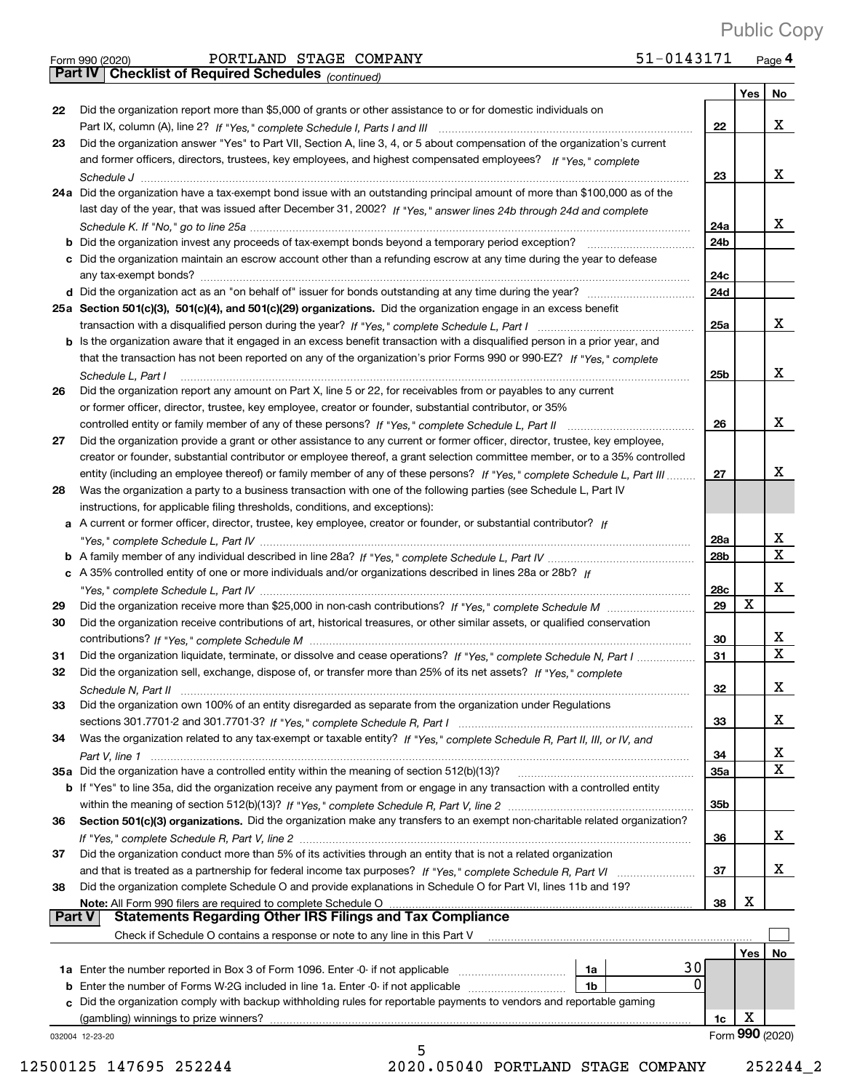|               | 51-0143171<br>PORTLAND STAGE COMPANY<br>Form 990 (2020)                                                                      |            |     | Page 4 |
|---------------|------------------------------------------------------------------------------------------------------------------------------|------------|-----|--------|
|               | Part IV   Checklist of Required Schedules (continued)                                                                        |            |     |        |
|               |                                                                                                                              |            | Yes | No     |
| 22            | Did the organization report more than \$5,000 of grants or other assistance to or for domestic individuals on                |            |     |        |
|               |                                                                                                                              | 22         |     | X      |
| 23            | Did the organization answer "Yes" to Part VII, Section A, line 3, 4, or 5 about compensation of the organization's current   |            |     |        |
|               | and former officers, directors, trustees, key employees, and highest compensated employees? If "Yes," complete               |            |     |        |
|               |                                                                                                                              | 23         |     | X      |
|               | 24a Did the organization have a tax-exempt bond issue with an outstanding principal amount of more than \$100,000 as of the  |            |     |        |
|               | last day of the year, that was issued after December 31, 2002? If "Yes," answer lines 24b through 24d and complete           |            |     |        |
|               |                                                                                                                              | 24a        |     | X      |
| b             |                                                                                                                              | 24b        |     |        |
|               | c Did the organization maintain an escrow account other than a refunding escrow at any time during the year to defease       |            |     |        |
|               |                                                                                                                              | 24c        |     |        |
|               |                                                                                                                              | 24d        |     |        |
|               | 25a Section 501(c)(3), 501(c)(4), and 501(c)(29) organizations. Did the organization engage in an excess benefit             |            |     |        |
|               |                                                                                                                              | 25a        |     | X      |
|               | b Is the organization aware that it engaged in an excess benefit transaction with a disqualified person in a prior year, and |            |     |        |
|               | that the transaction has not been reported on any of the organization's prior Forms 990 or 990-EZ? If "Yes," complete        |            |     |        |
|               | Schedule L, Part I                                                                                                           | 25b        |     | x      |
| 26            | Did the organization report any amount on Part X, line 5 or 22, for receivables from or payables to any current              |            |     |        |
|               | or former officer, director, trustee, key employee, creator or founder, substantial contributor, or 35%                      |            |     |        |
|               |                                                                                                                              | 26         |     | X      |
| 27            | Did the organization provide a grant or other assistance to any current or former officer, director, trustee, key employee,  |            |     |        |
|               | creator or founder, substantial contributor or employee thereof, a grant selection committee member, or to a 35% controlled  |            |     |        |
|               | entity (including an employee thereof) or family member of any of these persons? If "Yes," complete Schedule L, Part III     | 27         |     | x      |
| 28            | Was the organization a party to a business transaction with one of the following parties (see Schedule L, Part IV            |            |     |        |
|               | instructions, for applicable filing thresholds, conditions, and exceptions):                                                 |            |     |        |
|               | a A current or former officer, director, trustee, key employee, creator or founder, or substantial contributor? If           |            |     |        |
|               |                                                                                                                              | 28a        |     | х      |
|               |                                                                                                                              | 28b        |     | X      |
|               | c A 35% controlled entity of one or more individuals and/or organizations described in lines 28a or 28b? If                  |            |     |        |
|               |                                                                                                                              | <b>28c</b> |     | х      |
| 29            |                                                                                                                              | 29         | X   |        |
| 30            | Did the organization receive contributions of art, historical treasures, or other similar assets, or qualified conservation  |            |     |        |
|               |                                                                                                                              | 30         |     | x      |
| 31            | Did the organization liquidate, terminate, or dissolve and cease operations? If "Yes," complete Schedule N, Part I           | 31         |     | X      |
| 32            | Did the organization sell, exchange, dispose of, or transfer more than 25% of its net assets? If "Yes," complete             |            |     |        |
|               |                                                                                                                              | 32         |     | X      |
| 33            | Did the organization own 100% of an entity disregarded as separate from the organization under Regulations                   |            |     |        |
|               |                                                                                                                              | 33         |     | x      |
| 34            | Was the organization related to any tax-exempt or taxable entity? If "Yes," complete Schedule R, Part II, III, or IV, and    |            |     |        |
|               |                                                                                                                              | 34         |     | х      |
|               | 35a Did the organization have a controlled entity within the meaning of section 512(b)(13)?                                  | <b>35a</b> |     | X      |
|               | b If "Yes" to line 35a, did the organization receive any payment from or engage in any transaction with a controlled entity  |            |     |        |
|               |                                                                                                                              | 35b        |     |        |
| 36            | Section 501(c)(3) organizations. Did the organization make any transfers to an exempt non-charitable related organization?   |            |     |        |
|               |                                                                                                                              | 36         |     | x      |
| 37            | Did the organization conduct more than 5% of its activities through an entity that is not a related organization             |            |     |        |
|               |                                                                                                                              | 37         |     | x      |
| 38            | Did the organization complete Schedule O and provide explanations in Schedule O for Part VI, lines 11b and 19?               |            |     |        |
|               | Note: All Form 990 filers are required to complete Schedule O                                                                | 38         | x   |        |
| <b>Part V</b> | <b>Statements Regarding Other IRS Filings and Tax Compliance</b>                                                             |            |     |        |
|               | Check if Schedule O contains a response or note to any line in this Part V                                                   |            |     |        |
|               |                                                                                                                              |            | Yes | No     |
|               | 1a                                                                                                                           | 30         |     |        |
|               | <b>b</b> Enter the number of Forms W-2G included in line 1a. Enter -0- if not applicable<br>1 <sub>b</sub>                   |            |     |        |

032004 12+23+20

**22**

**23**

**26**

**27**

**28**

**29 30**

**31 32**

**34**

5

**b** Enter the number of Forms W-2G included in line 1a. Enter -0- if not applicable  $\ldots$  $\ldots$  $\ldots$  $\ldots$  $\ldots$ 

**c** Did the organization comply with backup withholding rules for reportable payments to vendors and reportable gaming

12500125 147695 252244 2020.05040 PORTLAND STAGE COMPANY 252244\_2

**1c**

Form (2020) **990**

X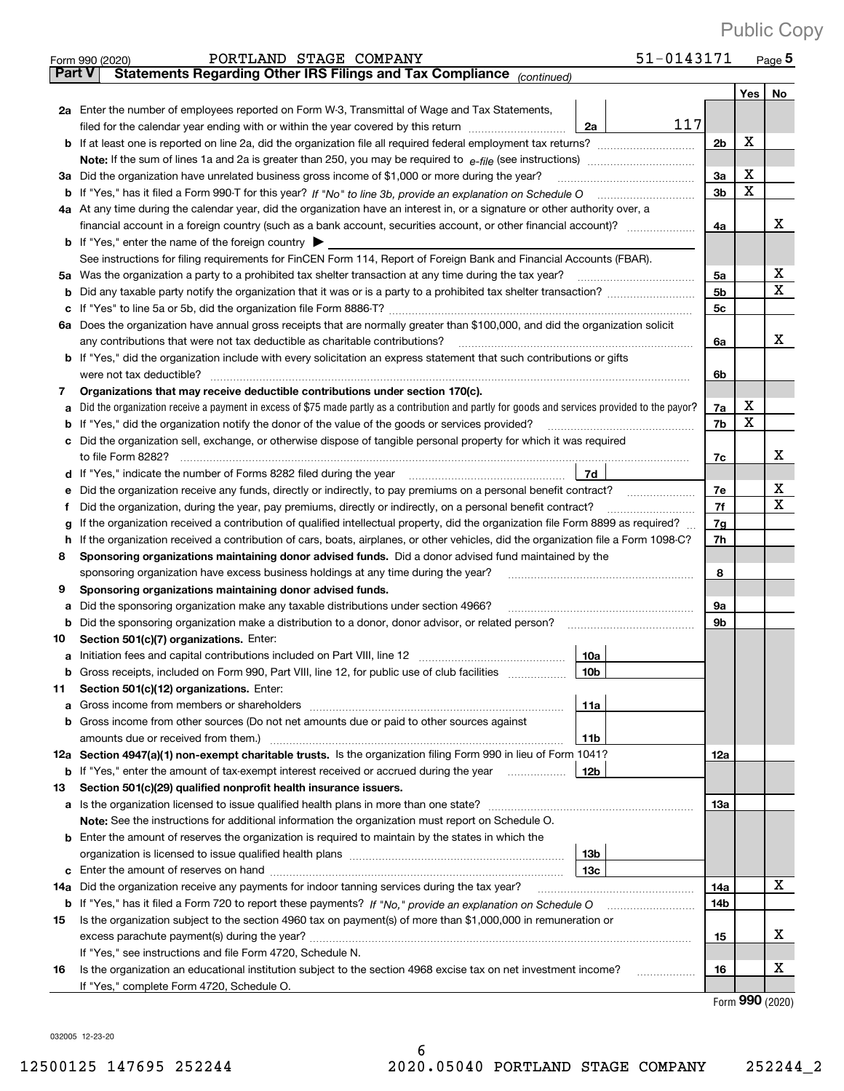|               | 51-0143171<br>PORTLAND STAGE COMPANY<br>Form 990 (2020)                                                                                                                                                                               |          |        | $_{\text{Page}}$ 5 |  |  |  |  |  |  |
|---------------|---------------------------------------------------------------------------------------------------------------------------------------------------------------------------------------------------------------------------------------|----------|--------|--------------------|--|--|--|--|--|--|
| <b>Part V</b> | Statements Regarding Other IRS Filings and Tax Compliance (continued)                                                                                                                                                                 |          |        |                    |  |  |  |  |  |  |
|               |                                                                                                                                                                                                                                       |          | Yes    | No                 |  |  |  |  |  |  |
|               | 2a Enter the number of employees reported on Form W-3, Transmittal of Wage and Tax Statements,                                                                                                                                        |          |        |                    |  |  |  |  |  |  |
|               | 117<br>filed for the calendar year ending with or within the year covered by this return<br>2a                                                                                                                                        |          |        |                    |  |  |  |  |  |  |
| b             |                                                                                                                                                                                                                                       |          |        |                    |  |  |  |  |  |  |
|               |                                                                                                                                                                                                                                       |          |        |                    |  |  |  |  |  |  |
|               | 3a Did the organization have unrelated business gross income of \$1,000 or more during the year?                                                                                                                                      |          |        |                    |  |  |  |  |  |  |
|               |                                                                                                                                                                                                                                       | 3a<br>3b | X<br>X |                    |  |  |  |  |  |  |
|               | 4a At any time during the calendar year, did the organization have an interest in, or a signature or other authority over, a                                                                                                          |          |        |                    |  |  |  |  |  |  |
|               | financial account in a foreign country (such as a bank account, securities account, or other financial account)?                                                                                                                      | 4a       |        | х                  |  |  |  |  |  |  |
|               | <b>b</b> If "Yes," enter the name of the foreign country $\blacktriangleright$                                                                                                                                                        |          |        |                    |  |  |  |  |  |  |
|               | See instructions for filing requirements for FinCEN Form 114, Report of Foreign Bank and Financial Accounts (FBAR).                                                                                                                   |          |        |                    |  |  |  |  |  |  |
| 5a            |                                                                                                                                                                                                                                       | 5a       |        | х                  |  |  |  |  |  |  |
| b             |                                                                                                                                                                                                                                       | 5b       |        | Χ                  |  |  |  |  |  |  |
|               |                                                                                                                                                                                                                                       | 5c       |        |                    |  |  |  |  |  |  |
| с             | 6a Does the organization have annual gross receipts that are normally greater than \$100,000, and did the organization solicit                                                                                                        |          |        |                    |  |  |  |  |  |  |
|               |                                                                                                                                                                                                                                       |          |        | х                  |  |  |  |  |  |  |
|               | any contributions that were not tax deductible as charitable contributions?                                                                                                                                                           | 6a       |        |                    |  |  |  |  |  |  |
|               | <b>b</b> If "Yes," did the organization include with every solicitation an express statement that such contributions or gifts                                                                                                         |          |        |                    |  |  |  |  |  |  |
|               | were not tax deductible?                                                                                                                                                                                                              | 6b       |        |                    |  |  |  |  |  |  |
| 7             | Organizations that may receive deductible contributions under section 170(c).                                                                                                                                                         |          | х      |                    |  |  |  |  |  |  |
| а             | Did the organization receive a payment in excess of \$75 made partly as a contribution and partly for goods and services provided to the payor?                                                                                       | 7a       | X      |                    |  |  |  |  |  |  |
| b             | If "Yes," did the organization notify the donor of the value of the goods or services provided?                                                                                                                                       | 7b       |        |                    |  |  |  |  |  |  |
| с             | Did the organization sell, exchange, or otherwise dispose of tangible personal property for which it was required                                                                                                                     |          |        |                    |  |  |  |  |  |  |
|               |                                                                                                                                                                                                                                       | 7c       |        | х                  |  |  |  |  |  |  |
| d             | 7d<br>If "Yes," indicate the number of Forms 8282 filed during the year                                                                                                                                                               |          |        |                    |  |  |  |  |  |  |
| е             |                                                                                                                                                                                                                                       | 7e       |        | х                  |  |  |  |  |  |  |
| f             | Did the organization, during the year, pay premiums, directly or indirectly, on a personal benefit contract?                                                                                                                          | 7f       |        | Χ                  |  |  |  |  |  |  |
| g             | If the organization received a contribution of qualified intellectual property, did the organization file Form 8899 as required?                                                                                                      | 7g       |        |                    |  |  |  |  |  |  |
| h             | If the organization received a contribution of cars, boats, airplanes, or other vehicles, did the organization file a Form 1098-C?                                                                                                    | 7h       |        |                    |  |  |  |  |  |  |
| 8             | Sponsoring organizations maintaining donor advised funds. Did a donor advised fund maintained by the                                                                                                                                  |          |        |                    |  |  |  |  |  |  |
|               | sponsoring organization have excess business holdings at any time during the year?                                                                                                                                                    | 8        |        |                    |  |  |  |  |  |  |
| 9             | Sponsoring organizations maintaining donor advised funds.                                                                                                                                                                             |          |        |                    |  |  |  |  |  |  |
| а             | Did the sponsoring organization make any taxable distributions under section 4966?                                                                                                                                                    | 9а       |        |                    |  |  |  |  |  |  |
| b             |                                                                                                                                                                                                                                       | 9b       |        |                    |  |  |  |  |  |  |
| 10            | Section 501(c)(7) organizations. Enter:                                                                                                                                                                                               |          |        |                    |  |  |  |  |  |  |
|               | 10a<br>a Initiation fees and capital contributions included on Part VIII, line 12 [111] [12] [11] [12] [11] [12] [11] [12] [11] [12] [11] [12] [11] [12] [11] [12] [11] [12] [11] [12] [11] [12] [11] [12] [11] [12] [11] [12] [11] [ |          |        |                    |  |  |  |  |  |  |
|               | 10b <br>Gross receipts, included on Form 990, Part VIII, line 12, for public use of club facilities                                                                                                                                   |          |        |                    |  |  |  |  |  |  |
| 11            | Section 501(c)(12) organizations. Enter:                                                                                                                                                                                              |          |        |                    |  |  |  |  |  |  |
| а             | 11a<br>Gross income from members or shareholders                                                                                                                                                                                      |          |        |                    |  |  |  |  |  |  |
| b             | Gross income from other sources (Do not net amounts due or paid to other sources against                                                                                                                                              |          |        |                    |  |  |  |  |  |  |
|               | 11 <sub>b</sub>                                                                                                                                                                                                                       |          |        |                    |  |  |  |  |  |  |
|               | 12a Section 4947(a)(1) non-exempt charitable trusts. Is the organization filing Form 990 in lieu of Form 1041?                                                                                                                        | 12a      |        |                    |  |  |  |  |  |  |
|               | 12 <sub>b</sub><br><b>b</b> If "Yes," enter the amount of tax-exempt interest received or accrued during the year                                                                                                                     |          |        |                    |  |  |  |  |  |  |
| 13            | Section 501(c)(29) qualified nonprofit health insurance issuers.                                                                                                                                                                      |          |        |                    |  |  |  |  |  |  |
| а             | Is the organization licensed to issue qualified health plans in more than one state?                                                                                                                                                  | 13a      |        |                    |  |  |  |  |  |  |
|               | Note: See the instructions for additional information the organization must report on Schedule O.                                                                                                                                     |          |        |                    |  |  |  |  |  |  |
| b             | Enter the amount of reserves the organization is required to maintain by the states in which the                                                                                                                                      |          |        |                    |  |  |  |  |  |  |
|               | 13 <sub>b</sub>                                                                                                                                                                                                                       |          |        |                    |  |  |  |  |  |  |
|               | 13 <sub>c</sub>                                                                                                                                                                                                                       |          |        |                    |  |  |  |  |  |  |
| 14a           | Did the organization receive any payments for indoor tanning services during the tax year?                                                                                                                                            | 14a      |        | X                  |  |  |  |  |  |  |
|               | <b>b</b> If "Yes," has it filed a Form 720 to report these payments? If "No," provide an explanation on Schedule O                                                                                                                    | 14b      |        |                    |  |  |  |  |  |  |
| 15            | Is the organization subject to the section 4960 tax on payment(s) of more than \$1,000,000 in remuneration or                                                                                                                         |          |        |                    |  |  |  |  |  |  |
|               | excess parachute payment(s) during the year?                                                                                                                                                                                          | 15       |        | x                  |  |  |  |  |  |  |
|               | If "Yes," see instructions and file Form 4720, Schedule N.                                                                                                                                                                            |          |        |                    |  |  |  |  |  |  |
| 16            | Is the organization an educational institution subject to the section 4968 excise tax on net investment income?                                                                                                                       | 16       |        | х                  |  |  |  |  |  |  |
|               | If "Yes," complete Form 4720, Schedule O.                                                                                                                                                                                             |          |        |                    |  |  |  |  |  |  |

Form (2020) **990**

032005 12+23+20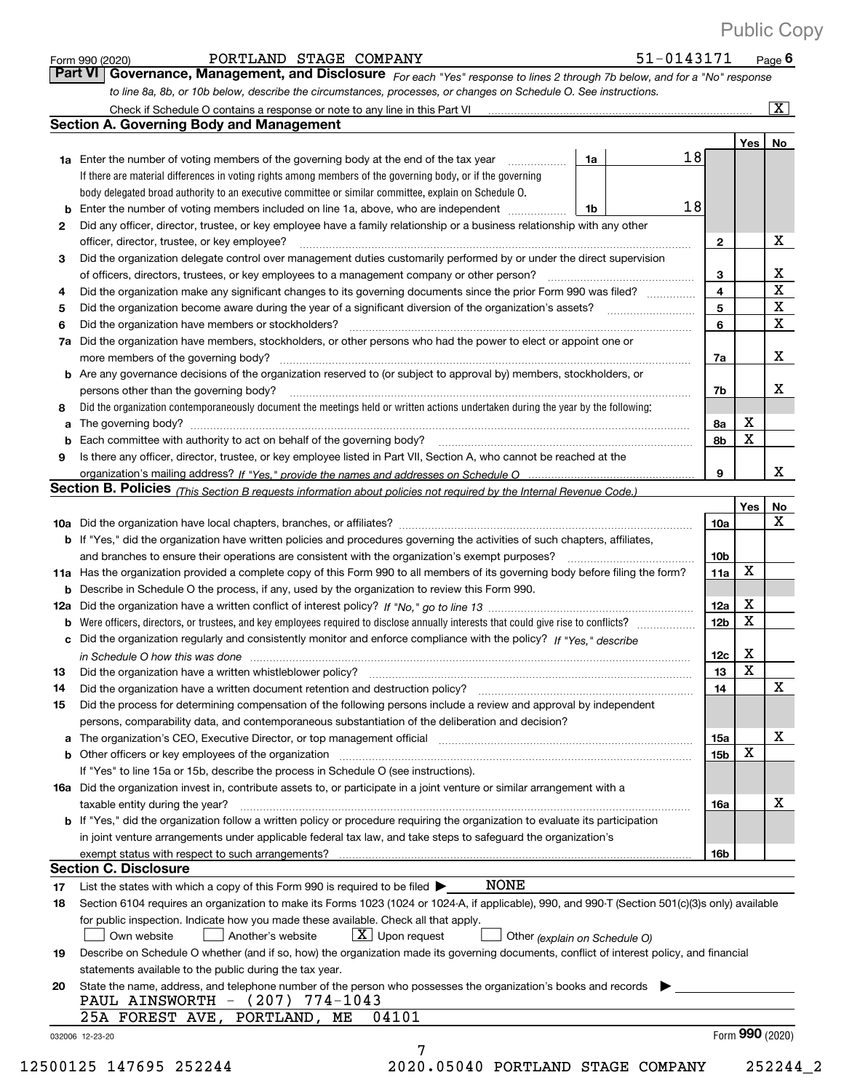|     | PORTLAND STAGE COMPANY<br>Form 990 (2020)                                                                                                                                                                                                            |    | 51-0143171 |                 |                         | Page $6$                |
|-----|------------------------------------------------------------------------------------------------------------------------------------------------------------------------------------------------------------------------------------------------------|----|------------|-----------------|-------------------------|-------------------------|
|     | Governance, Management, and Disclosure For each "Yes" response to lines 2 through 7b below, and for a "No" response<br><b>Part VI</b>                                                                                                                |    |            |                 |                         |                         |
|     | to line 8a, 8b, or 10b below, describe the circumstances, processes, or changes on Schedule O. See instructions.                                                                                                                                     |    |            |                 |                         |                         |
|     |                                                                                                                                                                                                                                                      |    |            |                 |                         | $\overline{\mathbf{x}}$ |
|     | <b>Section A. Governing Body and Management</b>                                                                                                                                                                                                      |    |            |                 |                         |                         |
|     |                                                                                                                                                                                                                                                      |    |            |                 | Yes                     | No                      |
|     | <b>1a</b> Enter the number of voting members of the governing body at the end of the tax year                                                                                                                                                        | 1a |            | 18              |                         |                         |
|     | If there are material differences in voting rights among members of the governing body, or if the governing                                                                                                                                          |    |            |                 |                         |                         |
|     | body delegated broad authority to an executive committee or similar committee, explain on Schedule O.                                                                                                                                                |    |            |                 |                         |                         |
| b   | Enter the number of voting members included on line 1a, above, who are independent                                                                                                                                                                   | 1b |            | 18              |                         |                         |
| 2   | Did any officer, director, trustee, or key employee have a family relationship or a business relationship with any other                                                                                                                             |    |            |                 |                         |                         |
|     | officer, director, trustee, or key employee?                                                                                                                                                                                                         |    |            | $\mathbf{2}$    |                         | х                       |
| 3   | Did the organization delegate control over management duties customarily performed by or under the direct supervision                                                                                                                                |    |            |                 |                         |                         |
|     | of officers, directors, trustees, or key employees to a management company or other person?                                                                                                                                                          |    |            | 3               |                         | X                       |
| 4   | Did the organization make any significant changes to its governing documents since the prior Form 990 was filed?                                                                                                                                     |    |            | 4               |                         | $\overline{\mathbf{x}}$ |
| 5   | Did the organization become aware during the year of a significant diversion of the organization's assets?                                                                                                                                           |    |            | 5               |                         | $\overline{\textbf{X}}$ |
| 6   | Did the organization have members or stockholders?                                                                                                                                                                                                   |    |            | 6               |                         | $\mathbf X$             |
| 7a  | Did the organization have members, stockholders, or other persons who had the power to elect or appoint one or                                                                                                                                       |    |            |                 |                         |                         |
|     |                                                                                                                                                                                                                                                      |    |            | 7a              |                         | X                       |
|     | <b>b</b> Are any governance decisions of the organization reserved to (or subject to approval by) members, stockholders, or                                                                                                                          |    |            |                 |                         |                         |
|     | persons other than the governing body?                                                                                                                                                                                                               |    |            | 7b              |                         | х                       |
| 8   | Did the organization contemporaneously document the meetings held or written actions undertaken during the year by the following:                                                                                                                    |    |            |                 |                         |                         |
| a   |                                                                                                                                                                                                                                                      |    |            | 8a              | X                       |                         |
|     |                                                                                                                                                                                                                                                      |    |            | 8b              | X                       |                         |
| 9   | Is there any officer, director, trustee, or key employee listed in Part VII, Section A, who cannot be reached at the                                                                                                                                 |    |            |                 |                         |                         |
|     |                                                                                                                                                                                                                                                      |    |            | 9               |                         | x                       |
|     | Section B. Policies (This Section B requests information about policies not required by the Internal Revenue Code.)                                                                                                                                  |    |            |                 |                         |                         |
|     |                                                                                                                                                                                                                                                      |    |            | 10a             | Yes                     | No<br>X                 |
|     | <b>b</b> If "Yes," did the organization have written policies and procedures governing the activities of such chapters, affiliates,                                                                                                                  |    |            |                 |                         |                         |
|     | and branches to ensure their operations are consistent with the organization's exempt purposes?                                                                                                                                                      |    |            | 10 <sub>b</sub> |                         |                         |
|     | 11a Has the organization provided a complete copy of this Form 990 to all members of its governing body before filing the form?                                                                                                                      |    |            | 11a             | X                       |                         |
|     | <b>b</b> Describe in Schedule O the process, if any, used by the organization to review this Form 990.                                                                                                                                               |    |            |                 |                         |                         |
| 12a |                                                                                                                                                                                                                                                      |    |            | 12a             | X                       |                         |
|     | <b>b</b> Were officers, directors, or trustees, and key employees required to disclose annually interests that could give rise to conflicts?                                                                                                         |    |            | 12 <sub>b</sub> | $\mathbf X$             |                         |
|     | c Did the organization regularly and consistently monitor and enforce compliance with the policy? If "Yes," describe                                                                                                                                 |    |            |                 |                         |                         |
|     | in Schedule O how this was done manufactured and contain an account of the state of the state of the state of                                                                                                                                        |    |            | 12c             | х                       |                         |
| 13  | Did the organization have a written whistleblower policy?                                                                                                                                                                                            |    |            | 13              | $\overline{\mathbf{x}}$ |                         |
| 14  | Did the organization have a written document retention and destruction policy?                                                                                                                                                                       |    |            | 14              |                         | X                       |
| 15  | Did the process for determining compensation of the following persons include a review and approval by independent                                                                                                                                   |    |            |                 |                         |                         |
|     | persons, comparability data, and contemporaneous substantiation of the deliberation and decision?                                                                                                                                                    |    |            |                 |                         |                         |
| а   | The organization's CEO, Executive Director, or top management official manufactured contains and contained a support of the Director, or top management official manufactured and contain a support of the state of the state                        |    |            | 15a             |                         | х                       |
|     | <b>b</b> Other officers or key employees of the organization                                                                                                                                                                                         |    |            | 15 <sub>b</sub> | X                       |                         |
|     | If "Yes" to line 15a or 15b, describe the process in Schedule O (see instructions).                                                                                                                                                                  |    |            |                 |                         |                         |
|     | 16a Did the organization invest in, contribute assets to, or participate in a joint venture or similar arrangement with a                                                                                                                            |    |            |                 |                         |                         |
|     | taxable entity during the year?                                                                                                                                                                                                                      |    |            | 16a             |                         | х                       |
|     | b If "Yes," did the organization follow a written policy or procedure requiring the organization to evaluate its participation                                                                                                                       |    |            |                 |                         |                         |
|     | in joint venture arrangements under applicable federal tax law, and take steps to safeguard the organization's                                                                                                                                       |    |            |                 |                         |                         |
|     | exempt status with respect to such arrangements?<br><b>Section C. Disclosure</b>                                                                                                                                                                     |    |            | 16b             |                         |                         |
|     | <b>NONE</b>                                                                                                                                                                                                                                          |    |            |                 |                         |                         |
| 17  | List the states with which a copy of this Form 990 is required to be filed $\blacktriangleright$<br>Section 6104 requires an organization to make its Forms 1023 (1024 or 1024-A, if applicable), 990, and 990-T (Section 501(c)(3)s only) available |    |            |                 |                         |                         |
| 18  | for public inspection. Indicate how you made these available. Check all that apply.                                                                                                                                                                  |    |            |                 |                         |                         |
|     | $X$ Upon request<br>Own website<br>Another's website<br>Other (explain on Schedule O)                                                                                                                                                                |    |            |                 |                         |                         |
| 19  | Describe on Schedule O whether (and if so, how) the organization made its governing documents, conflict of interest policy, and financial                                                                                                            |    |            |                 |                         |                         |
|     | statements available to the public during the tax year.                                                                                                                                                                                              |    |            |                 |                         |                         |
| 20  | State the name, address, and telephone number of the person who possesses the organization's books and records                                                                                                                                       |    |            |                 |                         |                         |
|     | PAUL AINSWORTH - (207) 774-1043                                                                                                                                                                                                                      |    |            |                 |                         |                         |
|     | 04101<br>25A FOREST AVE, PORTLAND, ME                                                                                                                                                                                                                |    |            |                 |                         |                         |
|     | 032006 12-23-20                                                                                                                                                                                                                                      |    |            |                 | Form 990 (2020)         |                         |
|     | 7                                                                                                                                                                                                                                                    |    |            |                 |                         |                         |

12500125 147695 252244 2020.05040 PORTLAND STAGE COMPANY 252244\_2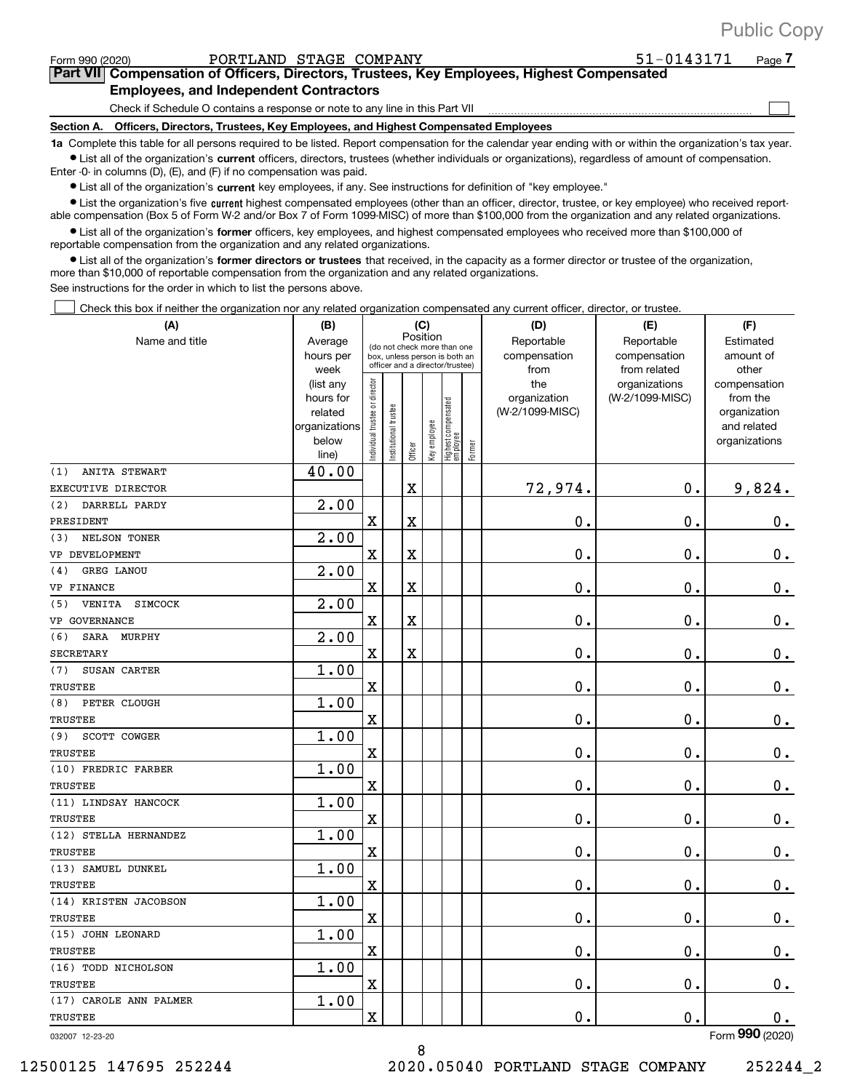| <b>Public Copy</b> |  |
|--------------------|--|
|--------------------|--|

**7**

 $\begin{array}{c} \hline \end{array}$ 

| Form 990 (2020) | PORTLAND STAGE COMPANY |  |
|-----------------|------------------------|--|

**Part VII Compensation of Officers, Directors, Trustees, Key Employees, Highest Compensated Employees, and Independent Contractors** 51-0143171

Check if Schedule O contains a response or note to any line in this Part VII }}}}}}}}}}}}}}}}}}}}}}}}}}}

**Section A. Officers, Directors, Trustees, Key Employees, and Highest Compensated Employees**

**1a**  Complete this table for all persons required to be listed. Report compensation for the calendar year ending with or within the organization's tax year.  $\bullet$  List all of the organization's current officers, directors, trustees (whether individuals or organizations), regardless of amount of compensation.

Enter -0- in columns (D), (E), and (F) if no compensation was paid.

**•** List all of the organization's current key employees, if any. See instructions for definition of "key employee."

**•** List the organization's five current highest compensated employees (other than an officer, director, trustee, or key employee) who received reportable compensation (Box 5 of Form W+2 and/or Box 7 of Form 1099+MISC) of more than \$100,000 from the organization and any related organizations.

 $\bullet$  List all of the organization's former officers, key employees, and highest compensated employees who received more than \$100,000 of reportable compensation from the organization and any related organizations.

**•** List all of the organization's former directors or trustees that received, in the capacity as a former director or trustee of the organization, more than \$10,000 of reportable compensation from the organization and any related organizations.

See instructions for the order in which to list the persons above.

Check this box if neither the organization nor any related organization compensated any current officer, director, or trustee.  $\Box$ 

| (A)                                    | (B)                    |                               |                                                                  |          | (C)          |                                   |        | (D)                             | (E)             | (F)                      |
|----------------------------------------|------------------------|-------------------------------|------------------------------------------------------------------|----------|--------------|-----------------------------------|--------|---------------------------------|-----------------|--------------------------|
| Name and title                         | Average                |                               | (do not check more than one                                      | Position |              |                                   |        | Reportable                      | Reportable      | Estimated                |
|                                        | hours per              |                               | box, unless person is both an<br>officer and a director/trustee) |          |              |                                   |        | compensation                    | compensation    | amount of                |
|                                        | week                   |                               |                                                                  |          |              |                                   |        | from                            | from related    | other                    |
|                                        | (list any<br>hours for |                               |                                                                  |          |              |                                   |        | the                             | organizations   | compensation<br>from the |
|                                        | related                |                               |                                                                  |          |              |                                   |        | organization<br>(W-2/1099-MISC) | (W-2/1099-MISC) | organization             |
|                                        | organizations          |                               |                                                                  |          |              |                                   |        |                                 |                 | and related              |
|                                        | below                  | ndividual trustee or director | nstitutional trustee                                             |          | Key employee |                                   |        |                                 |                 | organizations            |
|                                        | line)                  |                               |                                                                  | Officer  |              | Highest compensated<br>  employee | Former |                                 |                 |                          |
| (1)<br>ANITA STEWART                   | 40.00                  |                               |                                                                  |          |              |                                   |        |                                 |                 |                          |
| EXECUTIVE DIRECTOR                     |                        |                               |                                                                  | X        |              |                                   |        | 72,974.                         | 0.              | 9,824.                   |
| (2)<br>DARRELL PARDY                   | 2.00                   |                               |                                                                  |          |              |                                   |        |                                 |                 |                          |
| PRESIDENT                              |                        | X                             |                                                                  | X        |              |                                   |        | 0.                              | 0.              | 0.                       |
| NELSON TONER<br>(3)                    | 2.00                   |                               |                                                                  |          |              |                                   |        |                                 |                 |                          |
| VP DEVELOPMENT                         |                        | $\rm X$                       |                                                                  | X        |              |                                   |        | 0.                              | 0.              | 0.                       |
| GREG LANOU<br>(4)                      | 2.00                   |                               |                                                                  |          |              |                                   |        |                                 |                 |                          |
| VP FINANCE                             |                        | X                             |                                                                  | X        |              |                                   |        | 0.                              | $\mathbf{0}$ .  | $\mathbf 0$ .            |
| <b>VENITA</b><br><b>SIMCOCK</b><br>(5) | 2.00                   |                               |                                                                  |          |              |                                   |        |                                 |                 |                          |
| VP GOVERNANCE                          |                        | $\overline{\textbf{X}}$       |                                                                  | X        |              |                                   |        | 0.                              | $\mathbf 0$ .   | $0_{.}$                  |
| (6)<br>SARA<br>MURPHY                  | 2.00                   |                               |                                                                  |          |              |                                   |        |                                 |                 |                          |
| <b>SECRETARY</b>                       |                        | $\overline{\text{X}}$         |                                                                  | X        |              |                                   |        | $\mathbf 0$ .                   | 0.              | $0$ .                    |
| SUSAN CARTER<br>(7)                    | 1.00                   |                               |                                                                  |          |              |                                   |        |                                 |                 |                          |
| <b>TRUSTEE</b>                         |                        | $\overline{\text{X}}$         |                                                                  |          |              |                                   |        | 0.                              | 0.              | 0.                       |
| PETER CLOUGH<br>(8)                    | 1.00                   |                               |                                                                  |          |              |                                   |        |                                 |                 |                          |
| <b>TRUSTEE</b>                         |                        | $\overline{\textbf{X}}$       |                                                                  |          |              |                                   |        | 0.                              | 0.              | 0.                       |
| SCOTT COWGER<br>(9)                    | 1.00                   |                               |                                                                  |          |              |                                   |        |                                 |                 |                          |
| TRUSTEE                                |                        | X                             |                                                                  |          |              |                                   |        | 0.                              | $\mathbf 0$ .   | $0_{.}$                  |
| (10) FREDRIC FARBER                    | 1.00                   |                               |                                                                  |          |              |                                   |        |                                 |                 |                          |
| TRUSTEE                                |                        | $\overline{\text{X}}$         |                                                                  |          |              |                                   |        | $\mathbf{0}$ .                  | 0.              | $0_{.}$                  |
| (11) LINDSAY HANCOCK                   | 1.00                   |                               |                                                                  |          |              |                                   |        |                                 |                 |                          |
| <b>TRUSTEE</b>                         |                        | X                             |                                                                  |          |              |                                   |        | 0.                              | 0.              | $0_{\cdot}$              |
| (12) STELLA HERNANDEZ                  | 1.00                   |                               |                                                                  |          |              |                                   |        |                                 |                 |                          |
| <b>TRUSTEE</b>                         |                        | $\overline{\textbf{X}}$       |                                                                  |          |              |                                   |        | $\mathbf 0$ .                   | 0.              | $\mathbf 0$ .            |
| (13) SAMUEL DUNKEL                     | 1.00                   |                               |                                                                  |          |              |                                   |        |                                 |                 |                          |
| TRUSTEE                                |                        | X                             |                                                                  |          |              |                                   |        | 0.                              | 0.              | 0.                       |
| (14) KRISTEN JACOBSON                  | 1.00                   |                               |                                                                  |          |              |                                   |        |                                 |                 |                          |
| <b>TRUSTEE</b>                         |                        | $\rm X$                       |                                                                  |          |              |                                   |        | 0.                              | 0.              | 0.                       |
| (15) JOHN LEONARD                      | 1.00                   |                               |                                                                  |          |              |                                   |        |                                 |                 |                          |
| TRUSTEE                                |                        | X                             |                                                                  |          |              |                                   |        | 0.                              | 0.              | $0_{\cdot}$              |
| (16) TODD NICHOLSON                    | 1.00                   |                               |                                                                  |          |              |                                   |        |                                 |                 |                          |
| <b>TRUSTEE</b>                         |                        | X                             |                                                                  |          |              |                                   |        | 0.                              | 0.              | $0_{\cdot}$              |
| (17) CAROLE ANN PALMER                 | 1.00                   |                               |                                                                  |          |              |                                   |        |                                 |                 |                          |
| TRUSTEE                                |                        | $\overline{\textbf{X}}$       |                                                                  |          |              |                                   |        | 0.                              | 0.              | 0.                       |
|                                        |                        |                               |                                                                  |          |              |                                   |        |                                 |                 | $\overline{2}$           |

8

032007 12+23+20

Form (2020) **990**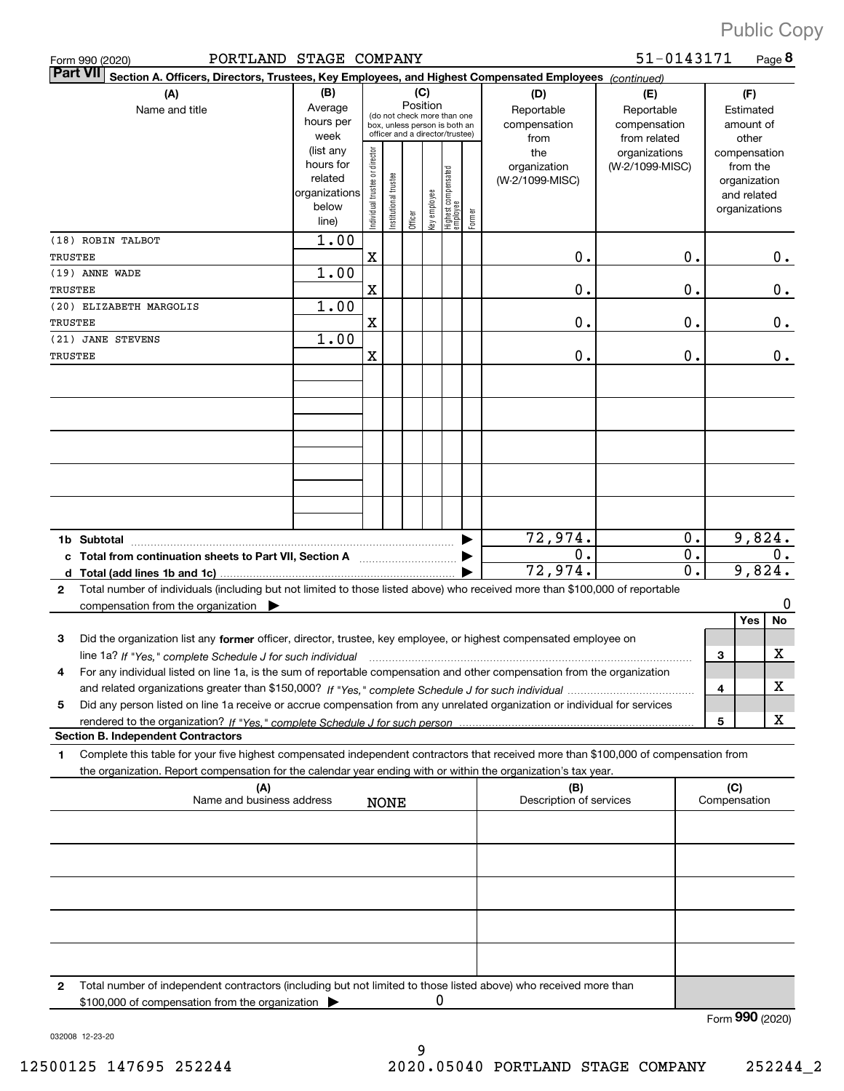| PORTLAND STAGE COMPANY<br>Form 990 (2020)                                                                                                                                                                                                                           |                                                         |                                |                                                                                                                                                                                                                                       |         |              |                                 |        |                                 | 51-0143171      |              | Page 8                                                   |
|---------------------------------------------------------------------------------------------------------------------------------------------------------------------------------------------------------------------------------------------------------------------|---------------------------------------------------------|--------------------------------|---------------------------------------------------------------------------------------------------------------------------------------------------------------------------------------------------------------------------------------|---------|--------------|---------------------------------|--------|---------------------------------|-----------------|--------------|----------------------------------------------------------|
| <b>Part VII</b><br>Section A. Officers, Directors, Trustees, Key Employees, and Highest Compensated Employees (continued)                                                                                                                                           |                                                         |                                |                                                                                                                                                                                                                                       |         |              |                                 |        |                                 |                 |              |                                                          |
| (B)<br>(A)<br>Average<br>Name and title<br>hours per<br>week<br>(list any                                                                                                                                                                                           |                                                         |                                | (C)<br>(D)<br>Position<br>Reportable<br>Reportable<br>(do not check more than one<br>compensation<br>compensation<br>box, unless person is both an<br>officer and a director/trustee)<br>from related<br>from<br>the<br>organizations |         |              |                                 |        |                                 |                 |              | (F)<br>Estimated<br>amount of<br>other<br>compensation   |
|                                                                                                                                                                                                                                                                     | hours for<br>related<br>organizations<br>below<br>line) | Individual trustee or director | Institutional trustee                                                                                                                                                                                                                 | Officer | key employee | Highest compensated<br>employee | Former | organization<br>(W-2/1099-MISC) | (W-2/1099-MISC) |              | from the<br>organization<br>and related<br>organizations |
| (18) ROBIN TALBOT<br>TRUSTEE                                                                                                                                                                                                                                        | 1.00                                                    | $\mathbf X$                    |                                                                                                                                                                                                                                       |         |              |                                 |        | 0.                              | $\mathbf 0$ .   |              | 0.                                                       |
| (19) ANNE WADE                                                                                                                                                                                                                                                      | 1.00                                                    |                                |                                                                                                                                                                                                                                       |         |              |                                 |        |                                 |                 |              |                                                          |
| TRUSTEE                                                                                                                                                                                                                                                             |                                                         | $\mathbf X$                    |                                                                                                                                                                                                                                       |         |              |                                 |        | 0.                              | $\mathbf 0$ .   |              | 0.                                                       |
| (20) ELIZABETH MARGOLIS<br>TRUSTEE                                                                                                                                                                                                                                  | 1.00                                                    | $\mathbf X$                    |                                                                                                                                                                                                                                       |         |              |                                 |        | 0.                              | $\mathbf 0$ .   |              | 0.                                                       |
| (21) JANE STEVENS                                                                                                                                                                                                                                                   | 1.00                                                    |                                |                                                                                                                                                                                                                                       |         |              |                                 |        |                                 |                 |              |                                                          |
| TRUSTEE                                                                                                                                                                                                                                                             |                                                         | X                              |                                                                                                                                                                                                                                       |         |              |                                 |        | 0.                              | 0.              |              | 0.                                                       |
|                                                                                                                                                                                                                                                                     |                                                         |                                |                                                                                                                                                                                                                                       |         |              |                                 |        |                                 |                 |              |                                                          |
|                                                                                                                                                                                                                                                                     |                                                         |                                |                                                                                                                                                                                                                                       |         |              |                                 |        |                                 |                 |              |                                                          |
|                                                                                                                                                                                                                                                                     |                                                         |                                |                                                                                                                                                                                                                                       |         |              |                                 |        |                                 |                 |              |                                                          |
|                                                                                                                                                                                                                                                                     |                                                         |                                |                                                                                                                                                                                                                                       |         |              |                                 |        |                                 |                 |              |                                                          |
|                                                                                                                                                                                                                                                                     |                                                         |                                |                                                                                                                                                                                                                                       |         |              |                                 |        |                                 |                 |              |                                                          |
|                                                                                                                                                                                                                                                                     |                                                         |                                |                                                                                                                                                                                                                                       |         |              |                                 |        |                                 |                 |              |                                                          |
| 1b Subtotal                                                                                                                                                                                                                                                         |                                                         |                                |                                                                                                                                                                                                                                       |         |              |                                 |        | 72,974.                         | 0.              |              | 9,824.                                                   |
| Total from continuation sheets to Part VII, Section A                                                                                                                                                                                                               |                                                         |                                |                                                                                                                                                                                                                                       |         |              |                                 |        | 0.                              | $\mathbf 0$ .   |              | 0.                                                       |
| d                                                                                                                                                                                                                                                                   |                                                         |                                |                                                                                                                                                                                                                                       |         |              |                                 |        | 72,974.                         | 0.              |              | 9,824.                                                   |
| Total number of individuals (including but not limited to those listed above) who received more than \$100,000 of reportable<br>$\mathbf{2}$<br>compensation from the organization                                                                                  |                                                         |                                |                                                                                                                                                                                                                                       |         |              |                                 |        |                                 |                 |              | 0                                                        |
|                                                                                                                                                                                                                                                                     |                                                         |                                |                                                                                                                                                                                                                                       |         |              |                                 |        |                                 |                 |              | Yes<br>No                                                |
| 3<br>Did the organization list any former officer, director, trustee, key employee, or highest compensated employee on                                                                                                                                              |                                                         |                                |                                                                                                                                                                                                                                       |         |              |                                 |        |                                 |                 |              | х                                                        |
| line 1a? If "Yes," complete Schedule J for such individual manufactured contained and the Yes," complete Schedule J for such individual<br>For any individual listed on line 1a, is the sum of reportable compensation and other compensation from the organization |                                                         |                                |                                                                                                                                                                                                                                       |         |              |                                 |        |                                 |                 | 3            |                                                          |
|                                                                                                                                                                                                                                                                     |                                                         |                                |                                                                                                                                                                                                                                       |         |              |                                 |        |                                 |                 | 4            | х                                                        |
| Did any person listed on line 1a receive or accrue compensation from any unrelated organization or individual for services<br>5                                                                                                                                     |                                                         |                                |                                                                                                                                                                                                                                       |         |              |                                 |        |                                 |                 | 5            | х                                                        |
| <b>Section B. Independent Contractors</b>                                                                                                                                                                                                                           |                                                         |                                |                                                                                                                                                                                                                                       |         |              |                                 |        |                                 |                 |              |                                                          |
| Complete this table for your five highest compensated independent contractors that received more than \$100,000 of compensation from<br>1.<br>the organization. Report compensation for the calendar year ending with or within the organization's tax year.        |                                                         |                                |                                                                                                                                                                                                                                       |         |              |                                 |        |                                 |                 |              |                                                          |
| (A)                                                                                                                                                                                                                                                                 |                                                         |                                |                                                                                                                                                                                                                                       |         |              |                                 |        | (B)<br>Description of services  |                 | (C)          |                                                          |
| Name and business address                                                                                                                                                                                                                                           |                                                         |                                | <b>NONE</b>                                                                                                                                                                                                                           |         |              |                                 |        |                                 |                 | Compensation |                                                          |
|                                                                                                                                                                                                                                                                     |                                                         |                                |                                                                                                                                                                                                                                       |         |              |                                 |        |                                 |                 |              |                                                          |
|                                                                                                                                                                                                                                                                     |                                                         |                                |                                                                                                                                                                                                                                       |         |              |                                 |        |                                 |                 |              |                                                          |
|                                                                                                                                                                                                                                                                     |                                                         |                                |                                                                                                                                                                                                                                       |         |              |                                 |        |                                 |                 |              |                                                          |
|                                                                                                                                                                                                                                                                     |                                                         |                                |                                                                                                                                                                                                                                       |         |              |                                 |        |                                 |                 |              |                                                          |
|                                                                                                                                                                                                                                                                     |                                                         |                                |                                                                                                                                                                                                                                       |         |              |                                 |        |                                 |                 |              |                                                          |
|                                                                                                                                                                                                                                                                     |                                                         |                                |                                                                                                                                                                                                                                       |         |              |                                 |        |                                 |                 |              |                                                          |
| Total number of independent contractors (including but not limited to those listed above) who received more than<br>2                                                                                                                                               |                                                         |                                |                                                                                                                                                                                                                                       |         |              |                                 |        |                                 |                 |              |                                                          |
| \$100,000 of compensation from the organization                                                                                                                                                                                                                     |                                                         |                                |                                                                                                                                                                                                                                       |         | 0            |                                 |        |                                 |                 |              |                                                          |

Form (2020) **990**

032008 12+23+20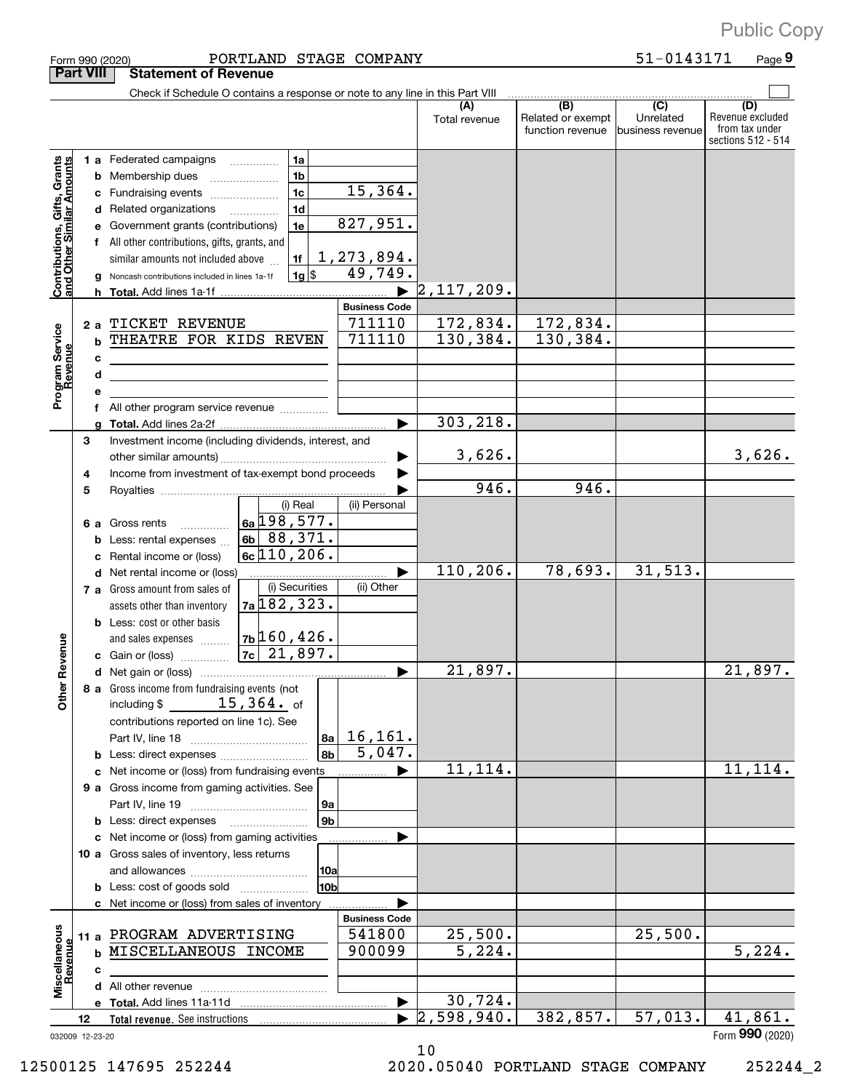|                                                           |    |   | PORTLAND STAGE COMPANY<br>Form 990 (2020)                                     |                      |                                  |                                              | 51-0143171                           | Page 9                                                          |
|-----------------------------------------------------------|----|---|-------------------------------------------------------------------------------|----------------------|----------------------------------|----------------------------------------------|--------------------------------------|-----------------------------------------------------------------|
| <b>Part VIII</b>                                          |    |   | <b>Statement of Revenue</b>                                                   |                      |                                  |                                              |                                      |                                                                 |
|                                                           |    |   | Check if Schedule O contains a response or note to any line in this Part VIII |                      |                                  |                                              |                                      |                                                                 |
|                                                           |    |   |                                                                               |                      | (A)<br>Total revenue             | (B)<br>Related or exempt<br>function revenue | (C)<br>Unrelated<br>business revenue | (D)<br>Revenue excluded<br>from tax under<br>sections 512 - 514 |
|                                                           |    |   | 1 a Federated campaigns<br>1a                                                 |                      |                                  |                                              |                                      |                                                                 |
| Contributions, Gifts, Grants<br>and Other Similar Amounts |    |   | 1 <sub>b</sub><br><b>b</b> Membership dues                                    |                      |                                  |                                              |                                      |                                                                 |
|                                                           |    |   | 1 <sub>c</sub><br>c Fundraising events                                        | 15,364.              |                                  |                                              |                                      |                                                                 |
|                                                           |    |   | 1 <sub>d</sub><br>d Related organizations                                     |                      |                                  |                                              |                                      |                                                                 |
|                                                           |    |   | 1e<br>e Government grants (contributions)                                     | 827,951.             |                                  |                                              |                                      |                                                                 |
|                                                           |    |   | f All other contributions, gifts, grants, and                                 |                      |                                  |                                              |                                      |                                                                 |
|                                                           |    |   | 1f<br>similar amounts not included above                                      | 1,273,894.           |                                  |                                              |                                      |                                                                 |
|                                                           |    |   | $1g$ \$<br>g Noncash contributions included in lines 1a-1f                    | 49,749.              |                                  |                                              |                                      |                                                                 |
|                                                           |    |   |                                                                               |                      | $\blacktriangleright$ 2,117,209. |                                              |                                      |                                                                 |
|                                                           |    |   |                                                                               | <b>Business Code</b> |                                  |                                              |                                      |                                                                 |
|                                                           |    |   | 2 a TICKET REVENUE                                                            | 711110               | 172,834.                         | 172,834.                                     |                                      |                                                                 |
|                                                           |    | b | THEATRE FOR KIDS REVEN                                                        | 711110               | 130,384.                         | 130,384.                                     |                                      |                                                                 |
|                                                           |    | с |                                                                               |                      |                                  |                                              |                                      |                                                                 |
|                                                           |    | d |                                                                               |                      |                                  |                                              |                                      |                                                                 |
| Program Service<br>Revenue                                |    |   |                                                                               |                      |                                  |                                              |                                      |                                                                 |
|                                                           |    | f | All other program service revenue                                             |                      |                                  |                                              |                                      |                                                                 |
|                                                           |    |   |                                                                               |                      | 303, 218.                        |                                              |                                      |                                                                 |
|                                                           | 3  |   | Investment income (including dividends, interest, and                         |                      |                                  |                                              |                                      |                                                                 |
|                                                           |    |   |                                                                               | ▶                    | 3,626.                           |                                              |                                      | 3,626.                                                          |
|                                                           | 4  |   | Income from investment of tax-exempt bond proceeds                            | ▶                    |                                  |                                              |                                      |                                                                 |
|                                                           | 5  |   |                                                                               |                      | 946.                             | 946.                                         |                                      |                                                                 |
|                                                           |    |   | (i) Real                                                                      | (ii) Personal        |                                  |                                              |                                      |                                                                 |
|                                                           |    |   | $6a$ 198, 577.<br>6 a Gross rents                                             |                      |                                  |                                              |                                      |                                                                 |
|                                                           |    |   | 6b 88, 371.<br><b>b</b> Less: rental expenses                                 |                      |                                  |                                              |                                      |                                                                 |
|                                                           |    |   | $6c$ 110, 206.<br>c Rental income or (loss)                                   |                      |                                  |                                              |                                      |                                                                 |
|                                                           |    |   | d Net rental income or (loss)                                                 |                      | 110, 206.                        | 78,693.                                      | 31,513.                              |                                                                 |
|                                                           |    |   | (i) Securities<br>7 a Gross amount from sales of                              | (ii) Other           |                                  |                                              |                                      |                                                                 |
|                                                           |    |   | 7a 182, 323.<br>assets other than inventory                                   |                      |                                  |                                              |                                      |                                                                 |
|                                                           |    |   | <b>b</b> Less: cost or other basis                                            |                      |                                  |                                              |                                      |                                                                 |
|                                                           |    |   | $7b/160$ , 426.<br>and sales expenses                                         |                      |                                  |                                              |                                      |                                                                 |
| venue                                                     |    |   | $7c$ 21,897.<br>c Gain or (loss)                                              |                      |                                  |                                              |                                      |                                                                 |
|                                                           |    |   |                                                                               |                      | 21,897.                          |                                              |                                      | 21,897.                                                         |
| Other Re                                                  |    |   | 8 a Gross income from fundraising events (not                                 |                      |                                  |                                              |                                      |                                                                 |
|                                                           |    |   | $15,364$ of<br>including \$                                                   |                      |                                  |                                              |                                      |                                                                 |
|                                                           |    |   | contributions reported on line 1c). See                                       |                      |                                  |                                              |                                      |                                                                 |
|                                                           |    |   | 8a                                                                            | 16, 161.             |                                  |                                              |                                      |                                                                 |
|                                                           |    |   | 8b                                                                            | 5,047.               |                                  |                                              |                                      |                                                                 |
|                                                           |    |   | c Net income or (loss) from fundraising events                                | ▶                    | 11,114.                          |                                              |                                      | 11,114.                                                         |
|                                                           |    |   | 9 a Gross income from gaming activities. See                                  |                      |                                  |                                              |                                      |                                                                 |
|                                                           |    |   | 9а                                                                            |                      |                                  |                                              |                                      |                                                                 |
|                                                           |    |   | 9 <sub>b</sub>                                                                |                      |                                  |                                              |                                      |                                                                 |
|                                                           |    |   | c Net income or (loss) from gaming activities                                 | ▶                    |                                  |                                              |                                      |                                                                 |
|                                                           |    |   | 10 a Gross sales of inventory, less returns                                   |                      |                                  |                                              |                                      |                                                                 |
|                                                           |    |   | 10a                                                                           |                      |                                  |                                              |                                      |                                                                 |
|                                                           |    |   | l10bl<br><b>b</b> Less: cost of goods sold                                    |                      |                                  |                                              |                                      |                                                                 |
|                                                           |    |   | c Net income or (loss) from sales of inventory                                | <b>Business Code</b> |                                  |                                              |                                      |                                                                 |
|                                                           |    |   | 11 a PROGRAM ADVERTISING                                                      | 541800               | 25,500.                          |                                              | 25,500.                              |                                                                 |
| Miscellaneous<br>Revenue                                  |    |   | <b>b MISCELLANEOUS INCOME</b>                                                 | 900099               | 5,224.                           |                                              |                                      | 5,224.                                                          |
|                                                           |    | с |                                                                               |                      |                                  |                                              |                                      |                                                                 |
|                                                           |    |   |                                                                               |                      |                                  |                                              |                                      |                                                                 |
|                                                           |    |   |                                                                               | ▶                    | 30,724.                          |                                              |                                      |                                                                 |
|                                                           | 12 |   |                                                                               | ▶                    | 2,598,940.                       | 382, 857.                                    | 57,013.                              | 41,861.                                                         |
|                                                           |    |   |                                                                               |                      |                                  |                                              |                                      |                                                                 |

032009 12+23+20

10

Form (2020) **990**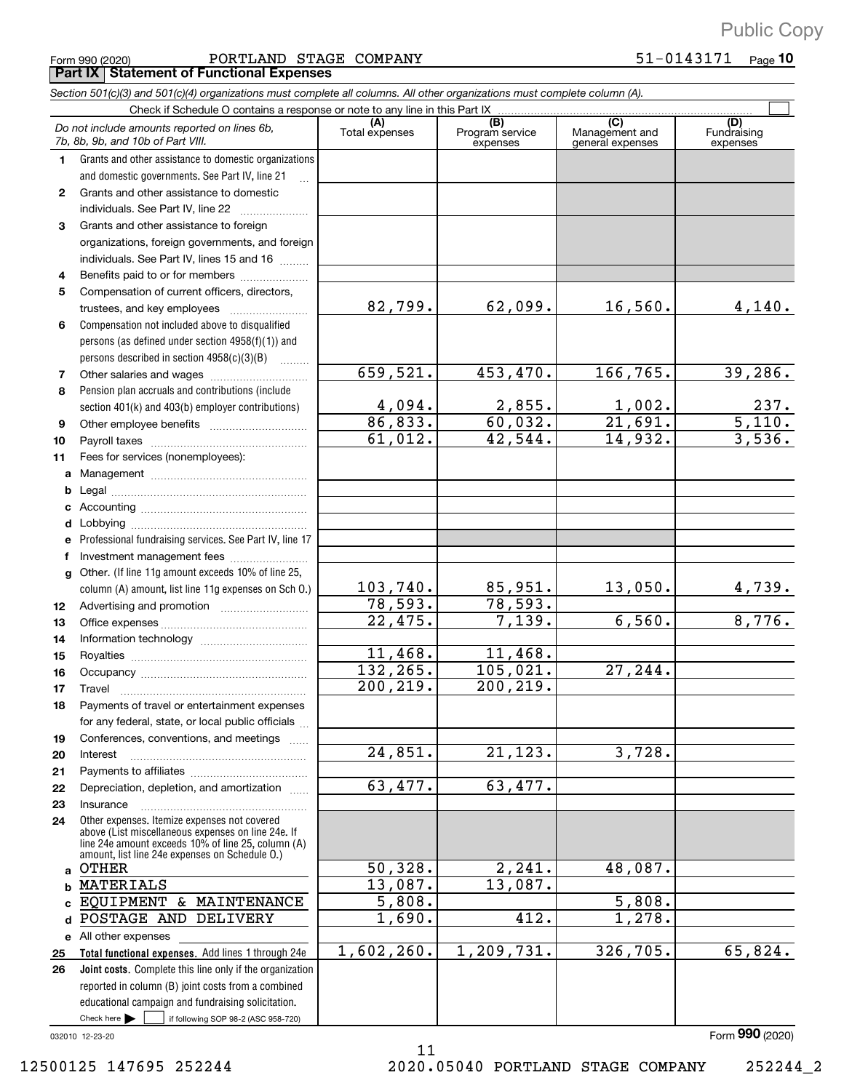Form 990 (2020) Page PORTLAND STAGE COMPANY 51+0143171 **Part IX Statement of Functional Expenses**

*Section 501(c)(3) and 501(c)(4) organizations must complete all columns. All other organizations must complete column (A).*

 $\frac{1}{2}$  if following SOP 98-2 (ASC 958-720) **Total functional expenses.**  Add lines 1 through 24e **Joint costs.** Complete this line only if the organization **(A) (B) (C) (D) 1 2 3 4 5 6 7 8 9 10 11 a b c d e f g 12 13 14 15 16 17 18 19 20 21 22 23 24 a b c d e** All other expenses **25 26** Grants and other assistance to domestic organizations and domestic governments. See Part IV, line 21 Compensation not included above to disqualified persons (as defined under section 4958(f)(1)) and persons described in section  $4958(c)(3)(B)$  ........ Pension plan accruals and contributions (include section 401(k) and 403(b) employer contributions) Professional fundraising services. See Part IV, line 17 Other. (If line 11g amount exceeds 10% of line 25, column (A) amount, list line 11g expenses on Sch O.) Other expenses. Itemize expenses not covered above (List miscellaneous expenses on line 24e. If line 24e amount exceeds 10% of line 25, column (A) amount, list line 24e expenses on Schedule O.) reported in column (B) joint costs from a combined educational campaign and fundraising solicitation. Check if Schedule O contains a response or note to any line in this Part IX }}}}}}}}}}}}}}}}}}}}}}}}}} (A) (B)<br>Total expenses Program service expenses Management and general expenses Fundraising expenses .<br>... Grants and other assistance to domestic  $individuals. See Part IV, line 22$  ............. Grants and other assistance to foreign organizations, foreign governments, and foreign individuals. See Part IV, lines 15 and 16  $\ldots$ Benefits paid to or for members ..................... Compensation of current officers, directors, trustees, and key employees  $\ldots$   $\ldots$   $\ldots$   $\ldots$   $\ldots$   $\ldots$ Other salaries and wages ~~~~~~~~~~ Other employee benefits ~~~~~~~~~~ Payroll taxes ~~~~~~~~~~~~~~~~ Fees for services (nonemployees): Management ~~~~~~~~~~~~~~~~ Legal ~~~~~~~~~~~~~~~~~~~~ Accounting ~~~~~~~~~~~~~~~~~ Lobbying ~~~~~~~~~~~~~~~~~~ Investment management fees ........................ Advertising and promotion *www.community.com* Office expenses ~~~~~~~~~~~~~~~ Information technology ~~~~~~~~~~~ Royalties ~~~~~~~~~~~~~~~~~~ Occupancy ~~~~~~~~~~~~~~~~~ Travel ~~~~~~~~~~~~~~~~~~~ Payments of travel or entertainment expenses for any federal, state, or local public officials ... Conferences, conventions, and meetings Interest Payments to affiliates ~~~~~~~~~~~~ ~~~~~~~~~~~~~~~~~~ Depreciation, depletion, and amortization Insurance ~~~~~~~~~~~~~~~~~  $\blacktriangleright$   $\sqcup$ *Do not include amounts reported on lines 6b, 7b, 8b, 9b, and 10b of Part VIII.*  $\boxed{\phantom{1}}$ 82,799. 659,521. 4,094. 86,833. 61,012. 103,740. 78,593. 22,475. 11,468. 132,265. 200,219. 24,851. 63,477. 50,328. 13,087. 5,808. 1,690. 1,602,260.  $62,099.$  16,560. 4,140. 453,470. 166,765. 39,286.  $2,855.$  1,002. 237. 60,032. 21,691. 5,110. 42,544. 14,932. 3,536.  $85,951.$  13,050. 4,739. 78,593. 7,139. 6,560. 8,776. 11,468. 105,021. 27,244. 200,219. 21,123. 3,728. 63,477. 2,241. 48,087. 13,087. 5,808. 412. 1,278. 1,209,731. 326,705. 65,824. OTHER MATERIALS EQUIPMENT & MAINTENANCE POSTAGE AND DELIVERY

11

032010 12+23+20

Form (2020) **990**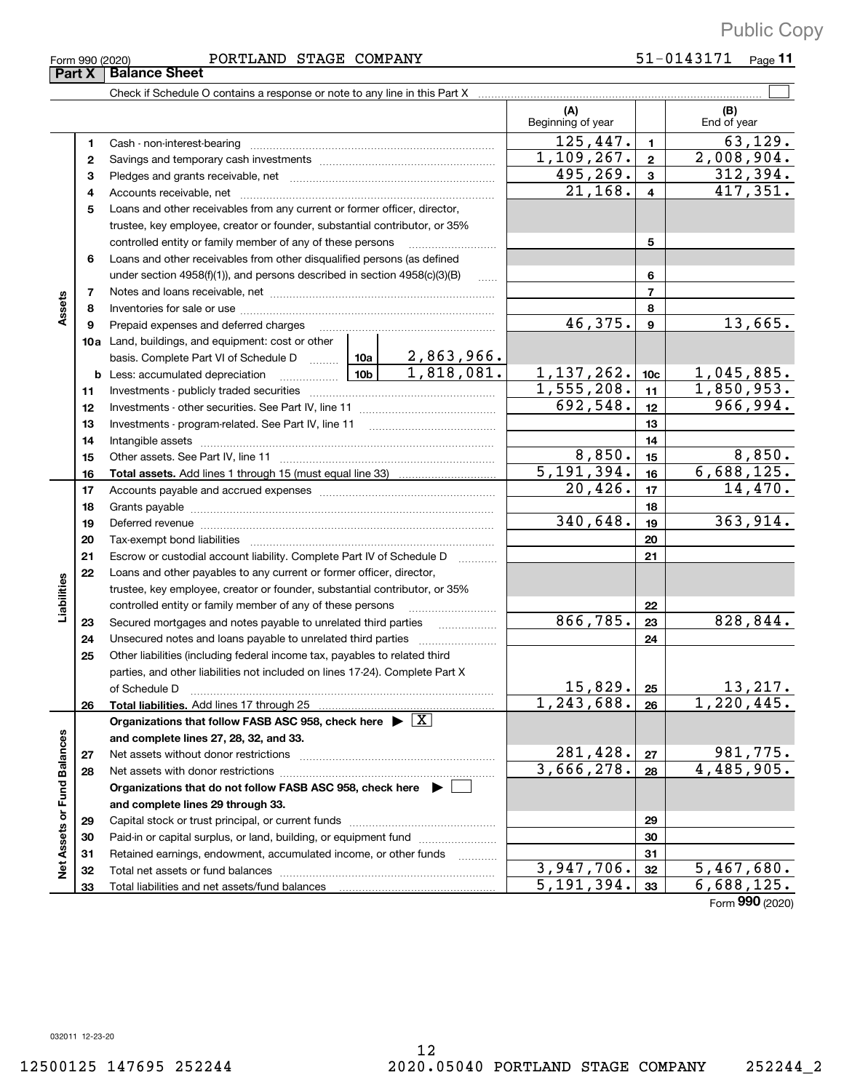| Form 990 (2020) |  |
|-----------------|--|
|                 |  |

#### Form 990 (2020) Page PORTLAND STAGE COMPANY 51+0143171

51-0143171 Page 11

|                             | Part X | <b>Balance Sheet</b>                                                                          |            |              |                          |                 |                    |  |  |  |
|-----------------------------|--------|-----------------------------------------------------------------------------------------------|------------|--------------|--------------------------|-----------------|--------------------|--|--|--|
|                             |        |                                                                                               |            |              |                          |                 |                    |  |  |  |
|                             |        |                                                                                               |            |              | (A)<br>Beginning of year |                 | (B)<br>End of year |  |  |  |
|                             | 1      |                                                                                               |            |              | 125,447.                 | $\mathbf{1}$    | 63, 129.           |  |  |  |
|                             | 2      |                                                                                               | 1,109,267. | $\mathbf{2}$ | 2,008,904.               |                 |                    |  |  |  |
|                             | 3      |                                                                                               | 495,269.   | 3            | 312,394.                 |                 |                    |  |  |  |
|                             | 4      |                                                                                               |            |              | 21, 168.                 | 4               | 417,351.           |  |  |  |
|                             | 5      | Loans and other receivables from any current or former officer, director,                     |            |              |                          |                 |                    |  |  |  |
|                             |        | trustee, key employee, creator or founder, substantial contributor, or 35%                    |            |              |                          |                 |                    |  |  |  |
|                             |        | controlled entity or family member of any of these persons <i>manufology</i> controlled       |            |              |                          | 5               |                    |  |  |  |
|                             | 6      | Loans and other receivables from other disqualified persons (as defined                       |            |              |                          |                 |                    |  |  |  |
|                             |        | under section $4958(f)(1)$ , and persons described in section $4958(c)(3)(B)$                 |            | $\ldots$     |                          | 6               |                    |  |  |  |
|                             | 7      |                                                                                               |            |              |                          | 7               |                    |  |  |  |
| Assets                      | 8      |                                                                                               |            |              |                          | 8               |                    |  |  |  |
|                             | 9      | Prepaid expenses and deferred charges                                                         |            |              | 46,375.                  | 9               | 13,665.            |  |  |  |
|                             |        | <b>10a</b> Land, buildings, and equipment: cost or other                                      |            |              |                          |                 |                    |  |  |  |
|                             |        | basis. Complete Part VI of Schedule D    10a   2,863,966.                                     |            |              |                          |                 |                    |  |  |  |
|                             |        |                                                                                               |            | 1,818,081.   | 1, 137, 262.             | 10 <sub>c</sub> | 1,045,885.         |  |  |  |
|                             | 11     |                                                                                               |            |              | 1,555,208.               | 11              | 1,850,953.         |  |  |  |
|                             | 12     |                                                                                               |            |              | 692,548.                 | 12              | 966,994.           |  |  |  |
|                             | 13     |                                                                                               |            |              |                          | 13              |                    |  |  |  |
|                             | 14     |                                                                                               |            |              |                          | 14              |                    |  |  |  |
|                             | 15     |                                                                                               | 8,850.     | 15           | 8,850.                   |                 |                    |  |  |  |
|                             | 16     |                                                                                               |            |              | 5,191,394.               | 16              | 6,688,125.         |  |  |  |
|                             | 17     |                                                                                               |            |              | 20,426.                  | 17              | 14,470.            |  |  |  |
|                             | 18     |                                                                                               |            |              |                          | 18              |                    |  |  |  |
|                             | 19     |                                                                                               |            |              | 340,648.                 | 19              | 363, 914.          |  |  |  |
|                             | 20     |                                                                                               |            |              |                          | 20              |                    |  |  |  |
|                             | 21     | Escrow or custodial account liability. Complete Part IV of Schedule D                         |            |              |                          | 21              |                    |  |  |  |
|                             | 22     | Loans and other payables to any current or former officer, director,                          |            |              |                          |                 |                    |  |  |  |
|                             |        | trustee, key employee, creator or founder, substantial contributor, or 35%                    |            |              |                          |                 |                    |  |  |  |
| Liabilities                 |        | controlled entity or family member of any of these persons                                    |            |              | 866,785.                 | 22              | 828,844.           |  |  |  |
|                             | 23     | Secured mortgages and notes payable to unrelated third parties                                |            |              |                          | 23              |                    |  |  |  |
|                             | 24     |                                                                                               |            |              |                          | 24              |                    |  |  |  |
|                             | 25     | Other liabilities (including federal income tax, payables to related third                    |            |              |                          |                 |                    |  |  |  |
|                             |        | parties, and other liabilities not included on lines 17-24). Complete Part X<br>of Schedule D |            |              | 15,829.                  | 25              | 13,217.            |  |  |  |
|                             | 26     | Total liabilities. Add lines 17 through 25                                                    |            |              | 1,243,688.               | 26              | 1,220,445.         |  |  |  |
|                             |        | Organizations that follow FASB ASC 958, check here $\blacktriangleright \boxed{X}$            |            |              |                          |                 |                    |  |  |  |
|                             |        | and complete lines 27, 28, 32, and 33.                                                        |            |              |                          |                 |                    |  |  |  |
|                             | 27     |                                                                                               |            |              | 281,428.                 | 27              | 981,775.           |  |  |  |
|                             | 28     |                                                                                               |            |              | 3,666,278.               | 28              | 4,485,905.         |  |  |  |
|                             |        | Organizations that do not follow FASB ASC 958, check here $\blacktriangleright$               |            |              |                          |                 |                    |  |  |  |
|                             |        | and complete lines 29 through 33.                                                             |            |              |                          |                 |                    |  |  |  |
|                             | 29     |                                                                                               |            |              |                          | 29              |                    |  |  |  |
|                             | 30     | Paid-in or capital surplus, or land, building, or equipment fund                              |            |              |                          | 30              |                    |  |  |  |
|                             | 31     | Retained earnings, endowment, accumulated income, or other funds                              |            |              |                          | 31              |                    |  |  |  |
| Net Assets or Fund Balances | 32     |                                                                                               |            |              | 3,947,706.               | 32              | 5,467,680.         |  |  |  |
|                             | 33     |                                                                                               |            |              | 5,191,394.               | 33              | 6,688,125.         |  |  |  |
|                             |        |                                                                                               |            |              |                          |                 | $\Omega$           |  |  |  |

Form (2020) **990**

032011 12+23+20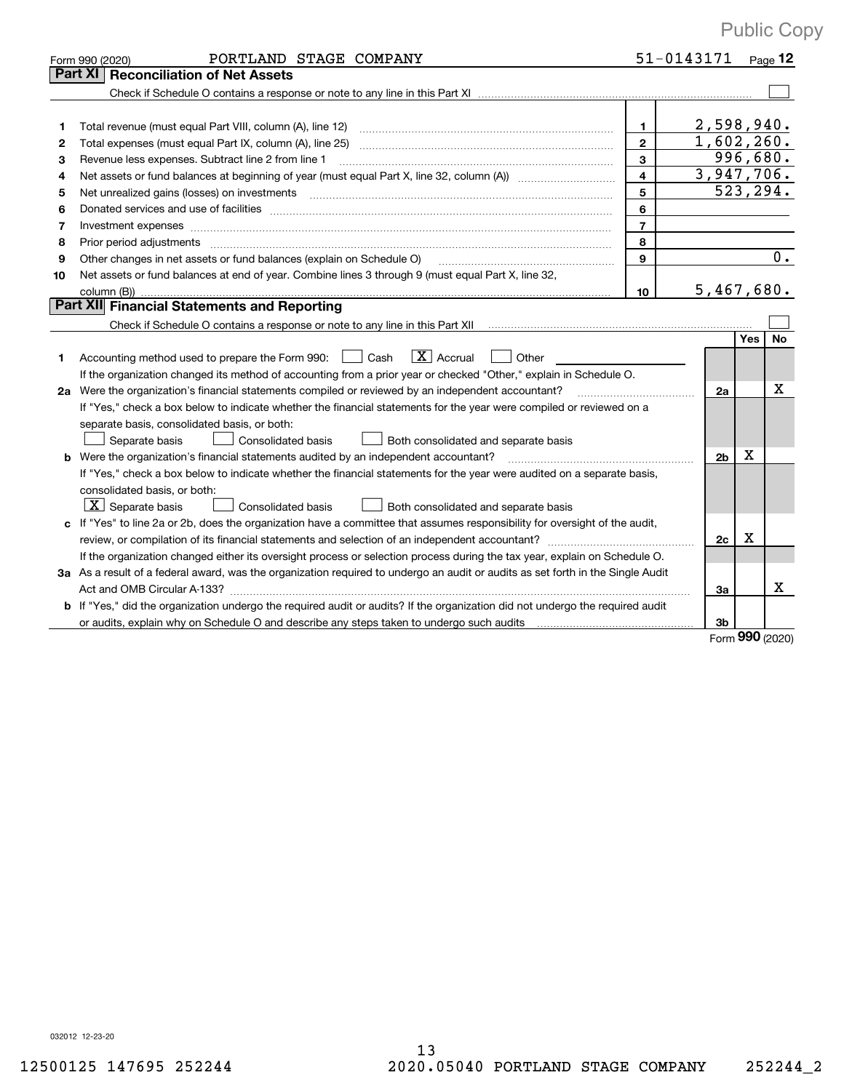|    | PORTLAND STAGE COMPANY<br>Form 990 (2020)                                                                                                                                                                                     | 51-0143171              |                |     | Page 12          |
|----|-------------------------------------------------------------------------------------------------------------------------------------------------------------------------------------------------------------------------------|-------------------------|----------------|-----|------------------|
|    | Part XI<br><b>Reconciliation of Net Assets</b>                                                                                                                                                                                |                         |                |     |                  |
|    |                                                                                                                                                                                                                               |                         |                |     |                  |
|    |                                                                                                                                                                                                                               |                         |                |     |                  |
| 1. | Total revenue (must equal Part VIII, column (A), line 12)                                                                                                                                                                     | 1                       | 2,598,940.     |     |                  |
| 2  | Total expenses (must equal Part IX, column (A), line 25) [11] manufactured expenses (must equal Part IX, column (A), line 25)                                                                                                 | $\mathbf{2}$            | 1,602,260.     |     |                  |
| 3  | Revenue less expenses. Subtract line 2 from line 1                                                                                                                                                                            | $\mathbf{3}$            | 996,680.       |     |                  |
| 4  |                                                                                                                                                                                                                               | $\overline{\mathbf{4}}$ | 3,947,706.     |     |                  |
| 5  | Net unrealized gains (losses) on investments [11] matter continuum matter is a set of the set of the set of the                                                                                                               | 5                       |                |     | 523, 294.        |
| 6  |                                                                                                                                                                                                                               | 6                       |                |     |                  |
| 7  | Investment expenses www.communication.com/www.communication.com/www.communication.com/www.communication.com/ww                                                                                                                | $\overline{7}$          |                |     |                  |
| 8  | Prior period adjustments www.communication.communication.com/news/communication.com/news/communication.com/new                                                                                                                | 8                       |                |     |                  |
| 9  | Other changes in net assets or fund balances (explain on Schedule O)                                                                                                                                                          | $\mathbf{9}$            |                |     | $\overline{0}$ . |
| 10 | Net assets or fund balances at end of year. Combine lines 3 through 9 (must equal Part X, line 32,                                                                                                                            |                         |                |     |                  |
|    |                                                                                                                                                                                                                               | 10                      | 5,467,680.     |     |                  |
|    | Part XII Financial Statements and Reporting                                                                                                                                                                                   |                         |                |     |                  |
|    |                                                                                                                                                                                                                               |                         |                |     |                  |
|    |                                                                                                                                                                                                                               |                         |                | Yes | No               |
| 1. | $ X $ Accrual<br>Accounting method used to prepare the Form 990: <u>I</u> Cash<br>Other                                                                                                                                       |                         |                |     |                  |
|    | If the organization changed its method of accounting from a prior year or checked "Other," explain in Schedule O.                                                                                                             |                         |                |     |                  |
|    | 2a Were the organization's financial statements compiled or reviewed by an independent accountant?                                                                                                                            |                         | 2a             |     | x                |
|    | If "Yes," check a box below to indicate whether the financial statements for the year were compiled or reviewed on a                                                                                                          |                         |                |     |                  |
|    | separate basis, consolidated basis, or both:                                                                                                                                                                                  |                         |                |     |                  |
|    | Separate basis<br><b>Consolidated basis</b><br>Both consolidated and separate basis                                                                                                                                           |                         |                |     |                  |
| b  | Were the organization's financial statements audited by an independent accountant?                                                                                                                                            |                         | 2 <sub>b</sub> | Х   |                  |
|    | If "Yes," check a box below to indicate whether the financial statements for the year were audited on a separate basis,                                                                                                       |                         |                |     |                  |
|    | consolidated basis, or both:                                                                                                                                                                                                  |                         |                |     |                  |
|    | $\boxed{\textbf{X}}$ Separate basis<br>Consolidated basis<br>Both consolidated and separate basis                                                                                                                             |                         |                |     |                  |
| c  | If "Yes" to line 2a or 2b, does the organization have a committee that assumes responsibility for oversight of the audit,                                                                                                     |                         |                |     |                  |
|    |                                                                                                                                                                                                                               |                         | 2c             | Х   |                  |
|    | If the organization changed either its oversight process or selection process during the tax year, explain on Schedule O.                                                                                                     |                         |                |     |                  |
|    | 3a As a result of a federal award, was the organization required to undergo an audit or audits as set forth in the Single Audit                                                                                               |                         |                |     |                  |
|    |                                                                                                                                                                                                                               |                         | За             |     | х                |
|    | <b>b</b> If "Yes," did the organization undergo the required audit or audits? If the organization did not undergo the required audit                                                                                          |                         |                |     |                  |
|    | or audits, explain why on Schedule O and describe any steps taken to undergo such audits [11] contains the school of audits [11] or audits [11] or audits [11] or audits [11] or audits [11] or audits [11] or audits [11] or |                         | 3b             |     |                  |

Form (2020) **990**

032012 12+23+20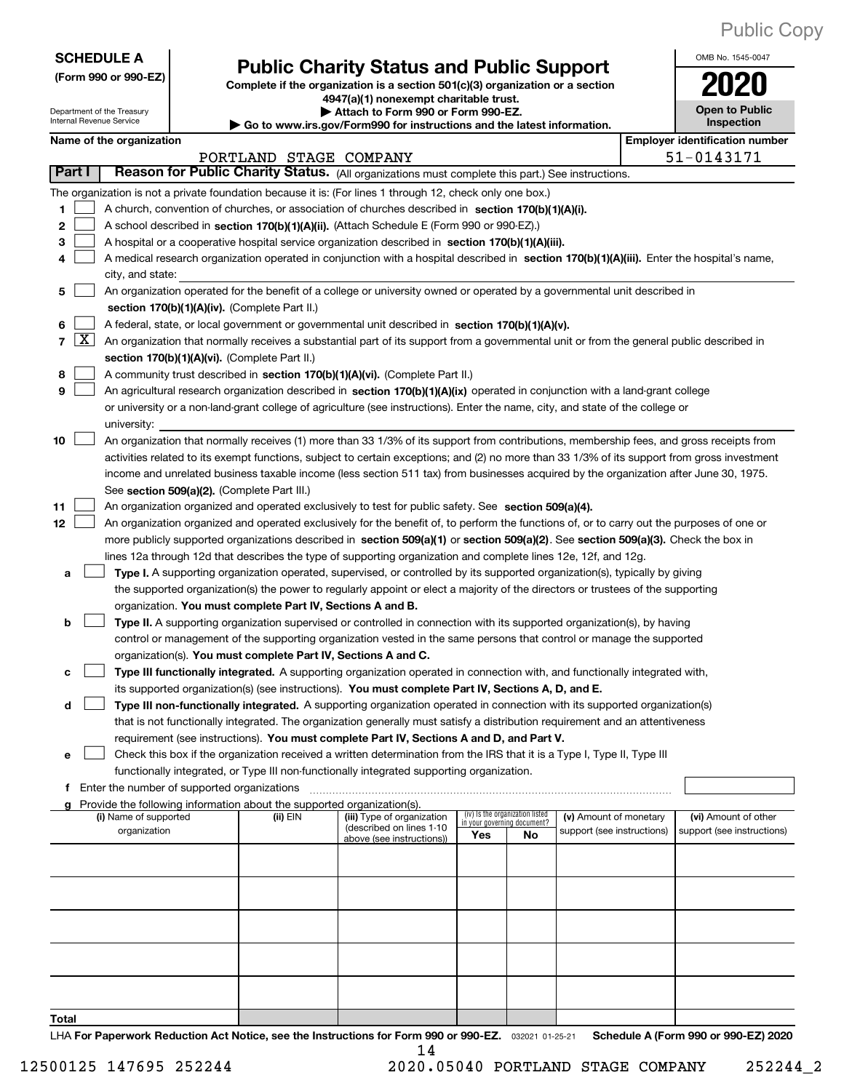OMB No. 1545-0047

**Open to Public**

Department of the Treasury Internal Revenue Service

# **Public Charity Status and Public Support**<br> **Public Charity Status and Public Support**<br> **2020**

Complete if the organization is a section 501(c)(3) organization or a section **4947(a)(1) nonexempt charitable trust. | Attach to Form 990 or Form 990+EZ.** 

**| Go to www.irs.gov/Form990 for instructions and the latest information.**

|  | Name of the organizatio |  |
|--|-------------------------|--|
|  |                         |  |

| Internal Revenue Service<br>Inspection<br>Go to www.irs.gov/Form990 for instructions and the latest information. |                        |  |                       |                                             |                                                                                    |                                                                                                                                              |                                       |                                 |                            |  |                            |
|------------------------------------------------------------------------------------------------------------------|------------------------|--|-----------------------|---------------------------------------------|------------------------------------------------------------------------------------|----------------------------------------------------------------------------------------------------------------------------------------------|---------------------------------------|---------------------------------|----------------------------|--|----------------------------|
| Name of the organization                                                                                         |                        |  |                       |                                             |                                                                                    |                                                                                                                                              | <b>Employer identification number</b> |                                 |                            |  |                            |
|                                                                                                                  | PORTLAND STAGE COMPANY |  |                       |                                             |                                                                                    |                                                                                                                                              |                                       |                                 | 51-0143171                 |  |                            |
|                                                                                                                  | Part I                 |  |                       |                                             |                                                                                    | Reason for Public Charity Status. (All organizations must complete this part.) See instructions.                                             |                                       |                                 |                            |  |                            |
|                                                                                                                  |                        |  |                       |                                             |                                                                                    | The organization is not a private foundation because it is: (For lines 1 through 12, check only one box.)                                    |                                       |                                 |                            |  |                            |
| 1                                                                                                                |                        |  |                       |                                             |                                                                                    | A church, convention of churches, or association of churches described in section 170(b)(1)(A)(i).                                           |                                       |                                 |                            |  |                            |
| 2                                                                                                                |                        |  |                       |                                             |                                                                                    | A school described in section 170(b)(1)(A)(ii). (Attach Schedule E (Form 990 or 990-EZ).)                                                    |                                       |                                 |                            |  |                            |
| з                                                                                                                |                        |  |                       |                                             |                                                                                    | A hospital or a cooperative hospital service organization described in section 170(b)(1)(A)(iii).                                            |                                       |                                 |                            |  |                            |
|                                                                                                                  |                        |  |                       |                                             |                                                                                    | A medical research organization operated in conjunction with a hospital described in section 170(b)(1)(A)(iii). Enter the hospital's name,   |                                       |                                 |                            |  |                            |
|                                                                                                                  |                        |  | city, and state:      |                                             |                                                                                    |                                                                                                                                              |                                       |                                 |                            |  |                            |
| 5                                                                                                                |                        |  |                       |                                             |                                                                                    | An organization operated for the benefit of a college or university owned or operated by a governmental unit described in                    |                                       |                                 |                            |  |                            |
|                                                                                                                  |                        |  |                       |                                             | section 170(b)(1)(A)(iv). (Complete Part II.)                                      |                                                                                                                                              |                                       |                                 |                            |  |                            |
| 6                                                                                                                |                        |  |                       |                                             |                                                                                    | A federal, state, or local government or governmental unit described in section 170(b)(1)(A)(v).                                             |                                       |                                 |                            |  |                            |
| 7                                                                                                                | $\lfloor x \rfloor$    |  |                       |                                             |                                                                                    | An organization that normally receives a substantial part of its support from a governmental unit or from the general public described in    |                                       |                                 |                            |  |                            |
|                                                                                                                  |                        |  |                       |                                             | section 170(b)(1)(A)(vi). (Complete Part II.)                                      |                                                                                                                                              |                                       |                                 |                            |  |                            |
| 8                                                                                                                |                        |  |                       |                                             |                                                                                    | A community trust described in section 170(b)(1)(A)(vi). (Complete Part II.)                                                                 |                                       |                                 |                            |  |                            |
| 9                                                                                                                |                        |  |                       |                                             |                                                                                    | An agricultural research organization described in section 170(b)(1)(A)(ix) operated in conjunction with a land-grant college                |                                       |                                 |                            |  |                            |
|                                                                                                                  |                        |  |                       |                                             |                                                                                    | or university or a non-land-grant college of agriculture (see instructions). Enter the name, city, and state of the college or               |                                       |                                 |                            |  |                            |
|                                                                                                                  |                        |  | university:           |                                             |                                                                                    |                                                                                                                                              |                                       |                                 |                            |  |                            |
| 10                                                                                                               |                        |  |                       |                                             |                                                                                    | An organization that normally receives (1) more than 33 1/3% of its support from contributions, membership fees, and gross receipts from     |                                       |                                 |                            |  |                            |
|                                                                                                                  |                        |  |                       |                                             |                                                                                    | activities related to its exempt functions, subject to certain exceptions; and (2) no more than 33 1/3% of its support from gross investment |                                       |                                 |                            |  |                            |
|                                                                                                                  |                        |  |                       |                                             |                                                                                    | income and unrelated business taxable income (less section 511 tax) from businesses acquired by the organization after June 30, 1975.        |                                       |                                 |                            |  |                            |
|                                                                                                                  |                        |  |                       |                                             | See section 509(a)(2). (Complete Part III.)                                        |                                                                                                                                              |                                       |                                 |                            |  |                            |
| 11                                                                                                               |                        |  |                       |                                             |                                                                                    | An organization organized and operated exclusively to test for public safety. See section 509(a)(4).                                         |                                       |                                 |                            |  |                            |
| 12                                                                                                               |                        |  |                       |                                             |                                                                                    | An organization organized and operated exclusively for the benefit of, to perform the functions of, or to carry out the purposes of one or   |                                       |                                 |                            |  |                            |
|                                                                                                                  |                        |  |                       |                                             |                                                                                    | more publicly supported organizations described in section 509(a)(1) or section 509(a)(2). See section 509(a)(3). Check the box in           |                                       |                                 |                            |  |                            |
|                                                                                                                  |                        |  |                       |                                             |                                                                                    | lines 12a through 12d that describes the type of supporting organization and complete lines 12e, 12f, and 12g.                               |                                       |                                 |                            |  |                            |
| а                                                                                                                |                        |  |                       |                                             |                                                                                    | Type I. A supporting organization operated, supervised, or controlled by its supported organization(s), typically by giving                  |                                       |                                 |                            |  |                            |
|                                                                                                                  |                        |  |                       |                                             |                                                                                    | the supported organization(s) the power to regularly appoint or elect a majority of the directors or trustees of the supporting              |                                       |                                 |                            |  |                            |
|                                                                                                                  |                        |  |                       |                                             | organization. You must complete Part IV, Sections A and B.                         |                                                                                                                                              |                                       |                                 |                            |  |                            |
| b                                                                                                                |                        |  |                       |                                             |                                                                                    | Type II. A supporting organization supervised or controlled in connection with its supported organization(s), by having                      |                                       |                                 |                            |  |                            |
|                                                                                                                  |                        |  |                       |                                             |                                                                                    | control or management of the supporting organization vested in the same persons that control or manage the supported                         |                                       |                                 |                            |  |                            |
|                                                                                                                  |                        |  |                       |                                             | organization(s). You must complete Part IV, Sections A and C.                      |                                                                                                                                              |                                       |                                 |                            |  |                            |
| с                                                                                                                |                        |  |                       |                                             |                                                                                    | Type III functionally integrated. A supporting organization operated in connection with, and functionally integrated with,                   |                                       |                                 |                            |  |                            |
|                                                                                                                  |                        |  |                       |                                             |                                                                                    | its supported organization(s) (see instructions). You must complete Part IV, Sections A, D, and E.                                           |                                       |                                 |                            |  |                            |
| d                                                                                                                |                        |  |                       |                                             |                                                                                    | Type III non-functionally integrated. A supporting organization operated in connection with its supported organization(s)                    |                                       |                                 |                            |  |                            |
|                                                                                                                  |                        |  |                       |                                             |                                                                                    | that is not functionally integrated. The organization generally must satisfy a distribution requirement and an attentiveness                 |                                       |                                 |                            |  |                            |
|                                                                                                                  |                        |  |                       |                                             |                                                                                    | requirement (see instructions). You must complete Part IV, Sections A and D, and Part V.                                                     |                                       |                                 |                            |  |                            |
| е                                                                                                                |                        |  |                       |                                             |                                                                                    | Check this box if the organization received a written determination from the IRS that it is a Type I, Type II, Type III                      |                                       |                                 |                            |  |                            |
|                                                                                                                  |                        |  |                       |                                             |                                                                                    | functionally integrated, or Type III non-functionally integrated supporting organization.                                                    |                                       |                                 |                            |  |                            |
| f                                                                                                                |                        |  |                       | Enter the number of supported organizations |                                                                                    |                                                                                                                                              |                                       |                                 |                            |  |                            |
| a                                                                                                                |                        |  | (i) Name of supported |                                             | Provide the following information about the supported organization(s).<br>(ii) EIN | (iii) Type of organization                                                                                                                   |                                       | (iv) Is the organization listed | (v) Amount of monetary     |  | (vi) Amount of other       |
|                                                                                                                  |                        |  | organization          |                                             |                                                                                    | (described on lines 1-10                                                                                                                     |                                       | in your governing document?     | support (see instructions) |  | support (see instructions) |
|                                                                                                                  |                        |  |                       |                                             |                                                                                    | above (see instructions))                                                                                                                    | Yes                                   | No                              |                            |  |                            |
|                                                                                                                  |                        |  |                       |                                             |                                                                                    |                                                                                                                                              |                                       |                                 |                            |  |                            |
|                                                                                                                  |                        |  |                       |                                             |                                                                                    |                                                                                                                                              |                                       |                                 |                            |  |                            |
|                                                                                                                  |                        |  |                       |                                             |                                                                                    |                                                                                                                                              |                                       |                                 |                            |  |                            |
|                                                                                                                  |                        |  |                       |                                             |                                                                                    |                                                                                                                                              |                                       |                                 |                            |  |                            |
|                                                                                                                  |                        |  |                       |                                             |                                                                                    |                                                                                                                                              |                                       |                                 |                            |  |                            |
|                                                                                                                  |                        |  |                       |                                             |                                                                                    |                                                                                                                                              |                                       |                                 |                            |  |                            |
|                                                                                                                  |                        |  |                       |                                             |                                                                                    |                                                                                                                                              |                                       |                                 |                            |  |                            |
|                                                                                                                  |                        |  |                       |                                             |                                                                                    |                                                                                                                                              |                                       |                                 |                            |  |                            |

032021 01+25+21 **For Paperwork Reduction Act Notice, see the Instructions for Form 990 or 990+EZ. Schedule A (Form 990 or 990+EZ) 2020** LHA

**Total**

12500125 147695 252244 2020.05040 PORTLAND STAGE COMPANY 252244\_2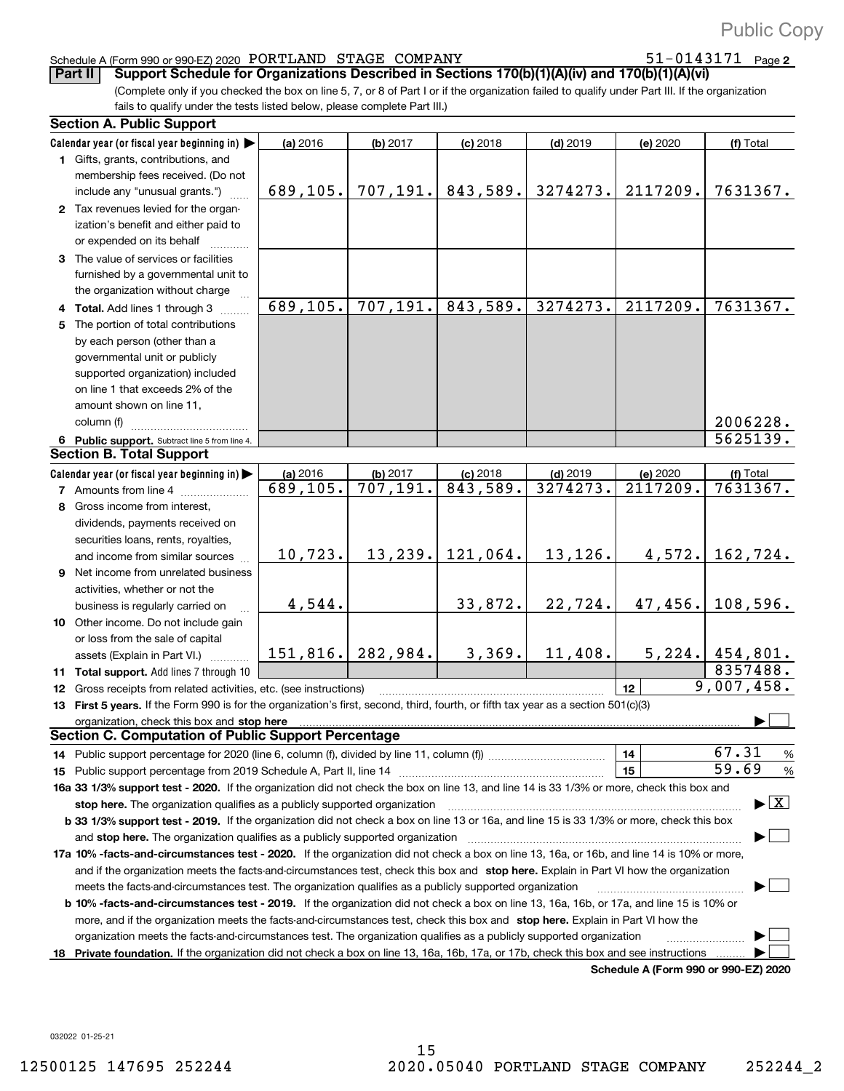51-0143171 Page 2

#### Schedule A (Form 990 or 990+EZ) 2020 Page PORTLAND STAGE COMPANY 51+0143171

**Part II** Support Schedule for Organizations Described in Sections 170(b)(1)(A)(iv) and 170(b)(1)(A)(vi)

(Complete only if you checked the box on line 5, 7, or 8 of Part I or if the organization failed to qualify under Part III. If the organization fails to qualify under the tests listed below, please complete Part III.)

|    | <b>Section A. Public Support</b>                                                                                                                                                                                               |                      |                       |                        |                        |                                             |                                |
|----|--------------------------------------------------------------------------------------------------------------------------------------------------------------------------------------------------------------------------------|----------------------|-----------------------|------------------------|------------------------|---------------------------------------------|--------------------------------|
|    | Calendar year (or fiscal year beginning in)                                                                                                                                                                                    | (a) 2016             | (b) 2017              | $(c)$ 2018             | $(d)$ 2019             | (e) 2020                                    | (f) Total                      |
|    | 1 Gifts, grants, contributions, and                                                                                                                                                                                            |                      |                       |                        |                        |                                             |                                |
|    | membership fees received. (Do not                                                                                                                                                                                              |                      |                       |                        |                        |                                             |                                |
|    | include any "unusual grants.")                                                                                                                                                                                                 | 689,105.             | 707, 191.             | 843,589.               | 3274273.               | 2117209.                                    | 7631367.                       |
|    | 2 Tax revenues levied for the organ-                                                                                                                                                                                           |                      |                       |                        |                        |                                             |                                |
|    | ization's benefit and either paid to                                                                                                                                                                                           |                      |                       |                        |                        |                                             |                                |
|    | or expended on its behalf                                                                                                                                                                                                      |                      |                       |                        |                        |                                             |                                |
|    | 3 The value of services or facilities                                                                                                                                                                                          |                      |                       |                        |                        |                                             |                                |
|    | furnished by a governmental unit to                                                                                                                                                                                            |                      |                       |                        |                        |                                             |                                |
|    | the organization without charge                                                                                                                                                                                                |                      |                       |                        |                        |                                             |                                |
|    | 4 Total. Add lines 1 through 3                                                                                                                                                                                                 | 689, 105.            | 707, 191.             | 843,589.               | 3274273.               | 2117209.                                    | 7631367.                       |
|    | 5 The portion of total contributions                                                                                                                                                                                           |                      |                       |                        |                        |                                             |                                |
|    | by each person (other than a                                                                                                                                                                                                   |                      |                       |                        |                        |                                             |                                |
|    | governmental unit or publicly                                                                                                                                                                                                  |                      |                       |                        |                        |                                             |                                |
|    | supported organization) included                                                                                                                                                                                               |                      |                       |                        |                        |                                             |                                |
|    | on line 1 that exceeds 2% of the                                                                                                                                                                                               |                      |                       |                        |                        |                                             |                                |
|    | amount shown on line 11,                                                                                                                                                                                                       |                      |                       |                        |                        |                                             |                                |
|    | column (f)                                                                                                                                                                                                                     |                      |                       |                        |                        |                                             | 2006228.                       |
|    | 6 Public support. Subtract line 5 from line 4.                                                                                                                                                                                 |                      |                       |                        |                        |                                             | 5625139.                       |
|    | <b>Section B. Total Support</b>                                                                                                                                                                                                |                      |                       |                        |                        |                                             |                                |
|    |                                                                                                                                                                                                                                |                      |                       |                        |                        |                                             |                                |
|    | Calendar year (or fiscal year beginning in)                                                                                                                                                                                    | (a) 2016<br>689,105. | (b) 2017<br>707, 191. | $(c)$ 2018<br>843,589. | $(d)$ 2019<br>3274273. | (e) 2020<br>2117209.                        | (f) Total<br>7631367.          |
|    | 7 Amounts from line 4                                                                                                                                                                                                          |                      |                       |                        |                        |                                             |                                |
| 8  | Gross income from interest,                                                                                                                                                                                                    |                      |                       |                        |                        |                                             |                                |
|    | dividends, payments received on                                                                                                                                                                                                |                      |                       |                        |                        |                                             |                                |
|    | securities loans, rents, royalties,                                                                                                                                                                                            |                      |                       |                        |                        |                                             |                                |
|    | and income from similar sources                                                                                                                                                                                                | 10,723.              | 13, 239.              | 121,064.               | 13,126.                | 4,572.                                      | 162,724.                       |
|    | <b>9</b> Net income from unrelated business                                                                                                                                                                                    |                      |                       |                        |                        |                                             |                                |
|    | activities, whether or not the                                                                                                                                                                                                 |                      |                       |                        |                        |                                             |                                |
|    | business is regularly carried on                                                                                                                                                                                               | 4,544.               |                       | 33,872.                | 22,724.                | 47,456.                                     | 108,596.                       |
|    | 10 Other income. Do not include gain                                                                                                                                                                                           |                      |                       |                        |                        |                                             |                                |
|    | or loss from the sale of capital                                                                                                                                                                                               |                      |                       |                        |                        |                                             |                                |
|    | assets (Explain in Part VI.)                                                                                                                                                                                                   | 151, 816.            | 282,984.              | 3,369.                 | 11,408.                |                                             | $5,224.$ 454,801.              |
|    | 11 Total support. Add lines 7 through 10                                                                                                                                                                                       |                      |                       |                        |                        |                                             | 8357488.                       |
|    | 12 Gross receipts from related activities, etc. (see instructions)                                                                                                                                                             |                      |                       |                        |                        | 12                                          | 9,007,458.                     |
|    | 13 First 5 years. If the Form 990 is for the organization's first, second, third, fourth, or fifth tax year as a section 501(c)(3)                                                                                             |                      |                       |                        |                        |                                             |                                |
|    | organization, check this box and stop here manufactured and according to the state of the state of the state of the state of the state of the state of the state of the state of the state of the state of the state of the st |                      |                       |                        |                        |                                             |                                |
|    | <b>Section C. Computation of Public Support Percentage</b>                                                                                                                                                                     |                      |                       |                        |                        |                                             |                                |
|    |                                                                                                                                                                                                                                |                      |                       |                        |                        | 14                                          | 67.31<br>$\frac{9}{6}$         |
|    | 15 Public support percentage from 2019 Schedule A, Part II, line 14                                                                                                                                                            |                      |                       |                        |                        | 15                                          | 59.69<br>%                     |
|    | 16a 33 1/3% support test - 2020. If the organization did not check the box on line 13, and line 14 is 33 1/3% or more, check this box and                                                                                      |                      |                       |                        |                        |                                             |                                |
|    | stop here. The organization qualifies as a publicly supported organization                                                                                                                                                     |                      |                       |                        |                        |                                             | $\blacktriangleright$ $\mid$ X |
|    | b 33 1/3% support test - 2019. If the organization did not check a box on line 13 or 16a, and line 15 is 33 1/3% or more, check this box                                                                                       |                      |                       |                        |                        |                                             |                                |
|    | and stop here. The organization qualifies as a publicly supported organization                                                                                                                                                 |                      |                       |                        |                        |                                             |                                |
|    | 17a 10% -facts-and-circumstances test - 2020. If the organization did not check a box on line 13, 16a, or 16b, and line 14 is 10% or more,                                                                                     |                      |                       |                        |                        |                                             |                                |
|    | and if the organization meets the facts-and-circumstances test, check this box and stop here. Explain in Part VI how the organization                                                                                          |                      |                       |                        |                        |                                             |                                |
|    | meets the facts-and-circumstances test. The organization qualifies as a publicly supported organization                                                                                                                        |                      |                       |                        |                        |                                             |                                |
|    | <b>b 10% -facts-and-circumstances test - 2019.</b> If the organization did not check a box on line 13, 16a, 16b, or 17a, and line 15 is 10% or                                                                                 |                      |                       |                        |                        |                                             |                                |
|    | more, and if the organization meets the facts-and-circumstances test, check this box and stop here. Explain in Part VI how the                                                                                                 |                      |                       |                        |                        |                                             |                                |
|    | organization meets the facts-and-circumstances test. The organization qualifies as a publicly supported organization                                                                                                           |                      |                       |                        |                        |                                             |                                |
| 18 | Private foundation. If the organization did not check a box on line 13, 16a, 16b, 17a, or 17b, check this box and see instructions                                                                                             |                      |                       |                        |                        |                                             |                                |
|    |                                                                                                                                                                                                                                |                      |                       |                        |                        | <b>Cabadula A (Faum 000 av 000 EZ) 0000</b> |                                |

**Schedule A (Form 990 or 990+EZ) 2020**

032022 01+25+21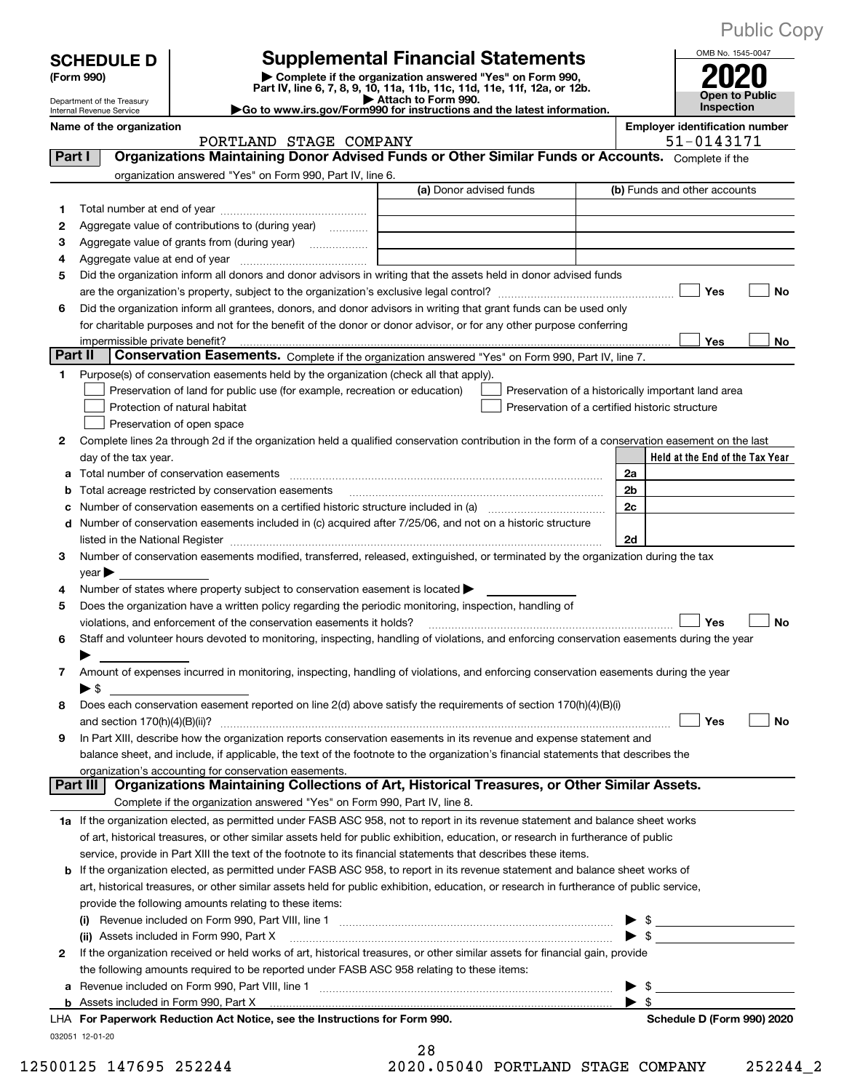| <b>Public Copy</b> |  |
|--------------------|--|
|--------------------|--|

|         | <b>SCHEDULE D</b><br>(Form 990)                        | <b>Supplemental Financial Statements</b><br>Complete if the organization answered "Yes" on Form 990,<br>Part IV, line 6, 7, 8, 9, 10, 11a, 11b, 11c, 11d, 11e, 11f, 12a, or 12b.                                               |                                                     |                                                                        |                                                | OMB No. 1545-0047<br>Open to Public                |  |  |
|---------|--------------------------------------------------------|--------------------------------------------------------------------------------------------------------------------------------------------------------------------------------------------------------------------------------|-----------------------------------------------------|------------------------------------------------------------------------|------------------------------------------------|----------------------------------------------------|--|--|
|         | Department of the Treasury<br>Internal Revenue Service |                                                                                                                                                                                                                                | Attach to Form 990.                                 | Go to www.irs.gov/Form990 for instructions and the latest information. |                                                |                                                    |  |  |
|         | Name of the organization                               |                                                                                                                                                                                                                                | Inspection<br><b>Employer identification number</b> |                                                                        |                                                |                                                    |  |  |
|         |                                                        | PORTLAND STAGE COMPANY                                                                                                                                                                                                         |                                                     |                                                                        |                                                | 51-0143171                                         |  |  |
| Part I  |                                                        | Organizations Maintaining Donor Advised Funds or Other Similar Funds or Accounts. Complete if the                                                                                                                              |                                                     |                                                                        |                                                |                                                    |  |  |
|         |                                                        | organization answered "Yes" on Form 990, Part IV, line 6.                                                                                                                                                                      |                                                     |                                                                        |                                                |                                                    |  |  |
|         |                                                        |                                                                                                                                                                                                                                | (a) Donor advised funds                             |                                                                        |                                                | (b) Funds and other accounts                       |  |  |
| 1.      |                                                        |                                                                                                                                                                                                                                |                                                     |                                                                        |                                                |                                                    |  |  |
| 2       |                                                        | Aggregate value of contributions to (during year)                                                                                                                                                                              |                                                     |                                                                        |                                                |                                                    |  |  |
| з       |                                                        |                                                                                                                                                                                                                                |                                                     |                                                                        |                                                |                                                    |  |  |
| 4       |                                                        |                                                                                                                                                                                                                                |                                                     |                                                                        |                                                |                                                    |  |  |
| 5       |                                                        | Did the organization inform all donors and donor advisors in writing that the assets held in donor advised funds                                                                                                               |                                                     |                                                                        |                                                |                                                    |  |  |
|         |                                                        |                                                                                                                                                                                                                                |                                                     |                                                                        |                                                | <b>Yes</b><br>No                                   |  |  |
| 6       |                                                        | Did the organization inform all grantees, donors, and donor advisors in writing that grant funds can be used only                                                                                                              |                                                     |                                                                        |                                                |                                                    |  |  |
|         |                                                        | for charitable purposes and not for the benefit of the donor or donor advisor, or for any other purpose conferring                                                                                                             |                                                     |                                                                        |                                                |                                                    |  |  |
| Part II |                                                        |                                                                                                                                                                                                                                |                                                     |                                                                        |                                                | Yes<br>No                                          |  |  |
|         |                                                        | Conservation Easements. Complete if the organization answered "Yes" on Form 990, Part IV, line 7.                                                                                                                              |                                                     |                                                                        |                                                |                                                    |  |  |
| 1.      |                                                        | Purpose(s) of conservation easements held by the organization (check all that apply).                                                                                                                                          |                                                     |                                                                        |                                                |                                                    |  |  |
|         |                                                        | Preservation of land for public use (for example, recreation or education)                                                                                                                                                     |                                                     |                                                                        |                                                | Preservation of a historically important land area |  |  |
|         |                                                        | Protection of natural habitat                                                                                                                                                                                                  |                                                     |                                                                        | Preservation of a certified historic structure |                                                    |  |  |
|         |                                                        | Preservation of open space                                                                                                                                                                                                     |                                                     |                                                                        |                                                |                                                    |  |  |
| 2       |                                                        | Complete lines 2a through 2d if the organization held a qualified conservation contribution in the form of a conservation easement on the last                                                                                 |                                                     |                                                                        |                                                |                                                    |  |  |
|         | day of the tax year.                                   |                                                                                                                                                                                                                                |                                                     |                                                                        |                                                | Held at the End of the Tax Year                    |  |  |
| а       |                                                        | Total number of conservation easements                                                                                                                                                                                         |                                                     |                                                                        | 2a                                             |                                                    |  |  |
| b       |                                                        | Total acreage restricted by conservation easements                                                                                                                                                                             |                                                     |                                                                        | 2b                                             |                                                    |  |  |
| с       |                                                        |                                                                                                                                                                                                                                |                                                     |                                                                        | 2c                                             |                                                    |  |  |
| d       |                                                        | Number of conservation easements included in (c) acquired after 7/25/06, and not on a historic structure                                                                                                                       |                                                     |                                                                        |                                                |                                                    |  |  |
|         |                                                        | listed in the National Register [11] matter and the National Register [11] matter is not all the National Register [11] matter is not all the National Register [11] matter is not all the National Register [11] matter is no |                                                     |                                                                        | 2d                                             |                                                    |  |  |
| З.      | $year \blacktriangleright$                             | Number of conservation easements modified, transferred, released, extinguished, or terminated by the organization during the tax                                                                                               |                                                     |                                                                        |                                                |                                                    |  |  |
| 4       |                                                        | Number of states where property subject to conservation easement is located $\blacktriangleright$                                                                                                                              |                                                     |                                                                        |                                                |                                                    |  |  |
| 5       |                                                        | Does the organization have a written policy regarding the periodic monitoring, inspection, handling of                                                                                                                         |                                                     |                                                                        |                                                |                                                    |  |  |
|         |                                                        | violations, and enforcement of the conservation easements it holds?                                                                                                                                                            |                                                     |                                                                        |                                                | <b>No</b><br>Yes                                   |  |  |
| 6       |                                                        | Staff and volunteer hours devoted to monitoring, inspecting, handling of violations, and enforcing conservation easements during the year                                                                                      |                                                     |                                                                        |                                                |                                                    |  |  |
|         |                                                        |                                                                                                                                                                                                                                |                                                     |                                                                        |                                                |                                                    |  |  |
| 7       |                                                        | Amount of expenses incurred in monitoring, inspecting, handling of violations, and enforcing conservation easements during the year                                                                                            |                                                     |                                                                        |                                                |                                                    |  |  |
|         | ▶ \$                                                   |                                                                                                                                                                                                                                |                                                     |                                                                        |                                                |                                                    |  |  |
| 8       |                                                        | Does each conservation easement reported on line 2(d) above satisfy the requirements of section 170(h)(4)(B)(i)                                                                                                                |                                                     |                                                                        |                                                |                                                    |  |  |
|         |                                                        |                                                                                                                                                                                                                                |                                                     |                                                                        |                                                | Yes<br>No                                          |  |  |
| 9       |                                                        | In Part XIII, describe how the organization reports conservation easements in its revenue and expense statement and                                                                                                            |                                                     |                                                                        |                                                |                                                    |  |  |
|         |                                                        | balance sheet, and include, if applicable, the text of the footnote to the organization's financial statements that describes the                                                                                              |                                                     |                                                                        |                                                |                                                    |  |  |
|         |                                                        | organization's accounting for conservation easements.                                                                                                                                                                          |                                                     |                                                                        |                                                |                                                    |  |  |
|         | Part III                                               | Organizations Maintaining Collections of Art, Historical Treasures, or Other Similar Assets.                                                                                                                                   |                                                     |                                                                        |                                                |                                                    |  |  |
|         |                                                        | Complete if the organization answered "Yes" on Form 990, Part IV, line 8.                                                                                                                                                      |                                                     |                                                                        |                                                |                                                    |  |  |
|         |                                                        | 1a If the organization elected, as permitted under FASB ASC 958, not to report in its revenue statement and balance sheet works                                                                                                |                                                     |                                                                        |                                                |                                                    |  |  |
|         |                                                        | of art, historical treasures, or other similar assets held for public exhibition, education, or research in furtherance of public                                                                                              |                                                     |                                                                        |                                                |                                                    |  |  |
|         |                                                        | service, provide in Part XIII the text of the footnote to its financial statements that describes these items.                                                                                                                 |                                                     |                                                                        |                                                |                                                    |  |  |
| b       |                                                        | If the organization elected, as permitted under FASB ASC 958, to report in its revenue statement and balance sheet works of                                                                                                    |                                                     |                                                                        |                                                |                                                    |  |  |
|         |                                                        | art, historical treasures, or other similar assets held for public exhibition, education, or research in furtherance of public service,                                                                                        |                                                     |                                                                        |                                                |                                                    |  |  |
|         |                                                        | provide the following amounts relating to these items:                                                                                                                                                                         |                                                     |                                                                        |                                                |                                                    |  |  |
|         | (i)                                                    |                                                                                                                                                                                                                                |                                                     |                                                                        |                                                |                                                    |  |  |
|         |                                                        | (ii) Assets included in Form 990, Part X                                                                                                                                                                                       |                                                     |                                                                        |                                                | $\sim$                                             |  |  |
| 2       |                                                        | If the organization received or held works of art, historical treasures, or other similar assets for financial gain, provide                                                                                                   |                                                     |                                                                        |                                                |                                                    |  |  |
|         |                                                        | the following amounts required to be reported under FASB ASC 958 relating to these items:                                                                                                                                      |                                                     |                                                                        |                                                |                                                    |  |  |
|         |                                                        |                                                                                                                                                                                                                                |                                                     |                                                                        | \$                                             |                                                    |  |  |
|         |                                                        |                                                                                                                                                                                                                                |                                                     |                                                                        | \$                                             |                                                    |  |  |
|         |                                                        | LHA For Paperwork Reduction Act Notice, see the Instructions for Form 990.                                                                                                                                                     |                                                     |                                                                        |                                                | Schedule D (Form 990) 2020                         |  |  |
|         | 032051 12-01-20                                        |                                                                                                                                                                                                                                |                                                     |                                                                        |                                                |                                                    |  |  |

28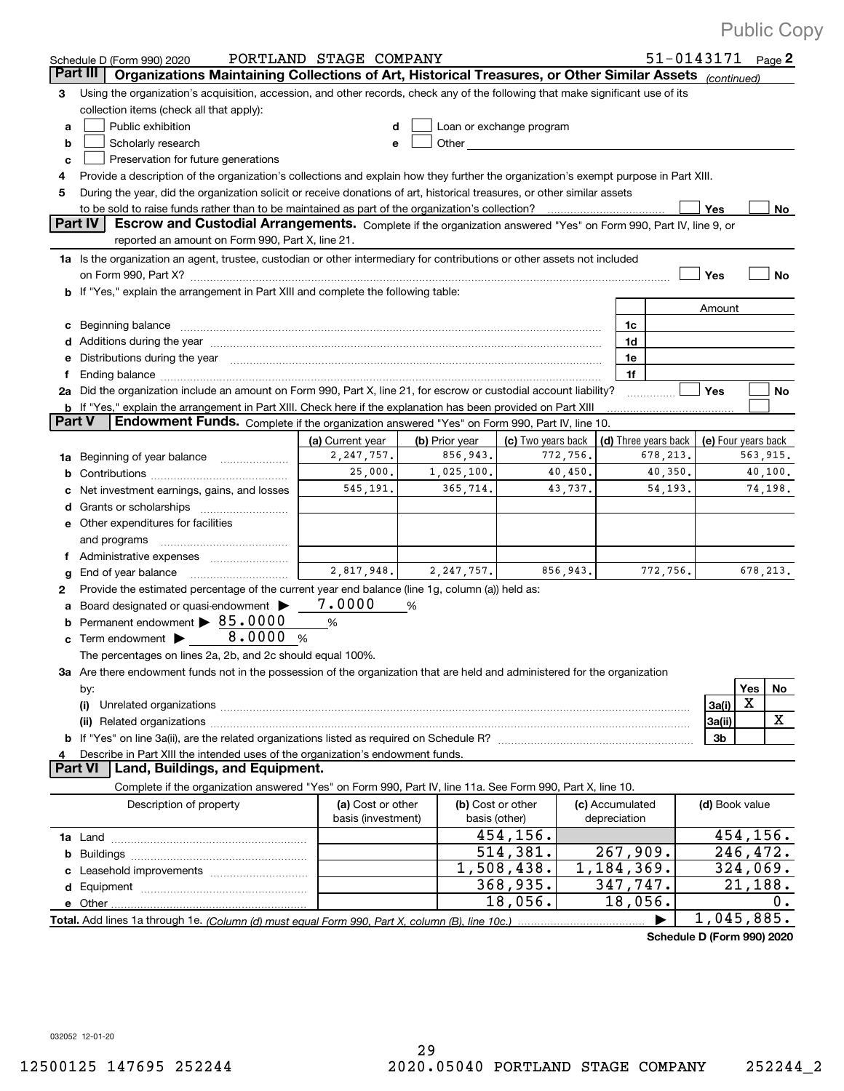|    | Schedule D (Form 990) 2020                                                                                                                                                                                                     | PORTLAND STAGE COMPANY |   |                   |                          |          |                       | $51 - 0143171$ Page 2 |                     |           |           |
|----|--------------------------------------------------------------------------------------------------------------------------------------------------------------------------------------------------------------------------------|------------------------|---|-------------------|--------------------------|----------|-----------------------|-----------------------|---------------------|-----------|-----------|
|    | Part III<br>Organizations Maintaining Collections of Art, Historical Treasures, or Other Similar Assets (continued)                                                                                                            |                        |   |                   |                          |          |                       |                       |                     |           |           |
| з  | Using the organization's acquisition, accession, and other records, check any of the following that make significant use of its                                                                                                |                        |   |                   |                          |          |                       |                       |                     |           |           |
|    | collection items (check all that apply):                                                                                                                                                                                       |                        |   |                   |                          |          |                       |                       |                     |           |           |
| a  | Public exhibition<br>Loan or exchange program<br>d                                                                                                                                                                             |                        |   |                   |                          |          |                       |                       |                     |           |           |
| b  | Scholarly research<br>Other<br>e                                                                                                                                                                                               |                        |   |                   |                          |          |                       |                       |                     |           |           |
| с  | Preservation for future generations                                                                                                                                                                                            |                        |   |                   |                          |          |                       |                       |                     |           |           |
| 4  | Provide a description of the organization's collections and explain how they further the organization's exempt purpose in Part XIII.                                                                                           |                        |   |                   |                          |          |                       |                       |                     |           |           |
| 5  | During the year, did the organization solicit or receive donations of art, historical treasures, or other similar assets                                                                                                       |                        |   |                   |                          |          |                       |                       |                     |           |           |
|    |                                                                                                                                                                                                                                |                        |   |                   |                          |          |                       |                       | Yes                 |           | No        |
|    | Part IV<br>Escrow and Custodial Arrangements. Complete if the organization answered "Yes" on Form 990, Part IV, line 9, or                                                                                                     |                        |   |                   |                          |          |                       |                       |                     |           |           |
|    | reported an amount on Form 990, Part X, line 21.                                                                                                                                                                               |                        |   |                   |                          |          |                       |                       |                     |           |           |
|    | 1a Is the organization an agent, trustee, custodian or other intermediary for contributions or other assets not included                                                                                                       |                        |   |                   |                          |          |                       |                       |                     |           |           |
|    |                                                                                                                                                                                                                                |                        |   |                   |                          |          |                       |                       | Yes                 |           | No        |
|    | If "Yes," explain the arrangement in Part XIII and complete the following table:                                                                                                                                               |                        |   |                   |                          |          |                       |                       |                     |           |           |
|    |                                                                                                                                                                                                                                |                        |   |                   |                          |          |                       |                       | Amount              |           |           |
| c  | Beginning balance                                                                                                                                                                                                              |                        |   |                   |                          |          | 1c                    |                       |                     |           |           |
| d  | Additions during the year manufactured and an annual contract of the year manufactured and a set of the year manufactured and a set of the year manufactured and a set of the year manufactured and a set of the year manufact |                        |   |                   |                          |          | 1d                    |                       |                     |           |           |
| е  | Distributions during the year manufactured and contain an account of the state of the state of the state of the state of the state of the state of the state of the state of the state of the state of the state of the state  |                        |   |                   |                          |          | 1e                    |                       |                     |           |           |
| f  |                                                                                                                                                                                                                                |                        |   |                   |                          |          | 1f                    |                       |                     |           |           |
| 2a | Did the organization include an amount on Form 990, Part X, line 21, for escrow or custodial account liability?                                                                                                                |                        |   |                   |                          |          |                       |                       | <b>Yes</b>          |           | No        |
| b  | If "Yes," explain the arrangement in Part XIII. Check here if the explanation has been provided on Part XIII                                                                                                                   |                        |   |                   |                          |          |                       |                       |                     |           |           |
|    | <b>Part V</b><br>Endowment Funds. Complete if the organization answered "Yes" on Form 990, Part IV, line 10.                                                                                                                   |                        |   |                   |                          |          |                       |                       |                     |           |           |
|    |                                                                                                                                                                                                                                | (a) Current year       |   | (b) Prior year    | (c) Two years back       |          | (d) Three years back  |                       | (e) Four years back |           |           |
| 1a | Beginning of year balance                                                                                                                                                                                                      | 2, 247, 757.           |   | 856,943.          |                          | 772,756. | 678, 213.<br>563,915. |                       |                     |           |           |
| b  |                                                                                                                                                                                                                                | 25,000.                |   | 1,025,100.        |                          | 40,450.  |                       | 40,350.               |                     |           | 40,100.   |
| c  | Net investment earnings, gains, and losses                                                                                                                                                                                     | 545,191.               |   | 365,714.          |                          | 43,737.  | 54,193.               |                       |                     | 74,198.   |           |
| d  |                                                                                                                                                                                                                                |                        |   |                   |                          |          |                       |                       |                     |           |           |
| е  | Other expenditures for facilities                                                                                                                                                                                              |                        |   |                   |                          |          |                       |                       |                     |           |           |
|    | and programs                                                                                                                                                                                                                   |                        |   |                   |                          |          |                       |                       |                     |           |           |
| f  | Administrative expenses                                                                                                                                                                                                        |                        |   |                   |                          |          |                       |                       |                     |           |           |
| g  | End of year balance                                                                                                                                                                                                            | 2,817,948.             |   | 2, 247, 757.      |                          | 856,943. |                       | 772,756.              |                     |           | 678, 213. |
| 2  | Provide the estimated percentage of the current year end balance (line 1g, column (a)) held as:                                                                                                                                |                        |   |                   |                          |          |                       |                       |                     |           |           |
|    | Board designated or quasi-endowment >                                                                                                                                                                                          | 7.0000                 | % |                   |                          |          |                       |                       |                     |           |           |
| a  | Permanent endowment > 85.0000                                                                                                                                                                                                  | %                      |   |                   |                          |          |                       |                       |                     |           |           |
| b  | 8.0000 %<br>Term endowment >                                                                                                                                                                                                   |                        |   |                   |                          |          |                       |                       |                     |           |           |
|    |                                                                                                                                                                                                                                |                        |   |                   |                          |          |                       |                       |                     |           |           |
|    | The percentages on lines 2a, 2b, and 2c should equal 100%.                                                                                                                                                                     |                        |   |                   |                          |          |                       |                       |                     |           |           |
|    | 3a Are there endowment funds not in the possession of the organization that are held and administered for the organization                                                                                                     |                        |   |                   |                          |          |                       |                       |                     |           |           |
|    | by:                                                                                                                                                                                                                            |                        |   |                   |                          |          |                       |                       |                     | Yes       | <u>No</u> |
|    | (i)                                                                                                                                                                                                                            |                        |   |                   |                          |          |                       |                       | 3a(i)               | х         |           |
|    | (ii)                                                                                                                                                                                                                           |                        |   |                   |                          |          |                       |                       | 3a(ii)              |           | x         |
|    |                                                                                                                                                                                                                                |                        |   |                   |                          |          |                       |                       | Зb                  |           |           |
| 4  | Describe in Part XIII the intended uses of the organization's endowment funds.                                                                                                                                                 |                        |   |                   |                          |          |                       |                       |                     |           |           |
|    | <b>Part VI</b><br>Land, Buildings, and Equipment.                                                                                                                                                                              |                        |   |                   |                          |          |                       |                       |                     |           |           |
|    | Complete if the organization answered "Yes" on Form 990, Part IV, line 11a. See Form 990, Part X, line 10.                                                                                                                     |                        |   |                   |                          |          |                       |                       |                     |           |           |
|    | Description of property                                                                                                                                                                                                        | (a) Cost or other      |   | (b) Cost or other |                          |          | (c) Accumulated       |                       | (d) Book value      |           |           |
|    |                                                                                                                                                                                                                                | basis (investment)     |   | basis (other)     |                          |          | depreciation          |                       |                     |           |           |
|    |                                                                                                                                                                                                                                |                        |   |                   | 454,156.                 |          |                       |                       |                     | 454, 156. |           |
| b  |                                                                                                                                                                                                                                |                        |   |                   | 514,381.                 |          | 267,909.              |                       |                     | 246,472.  |           |
|    |                                                                                                                                                                                                                                |                        |   |                   | $\overline{1,508,438}$ . |          | 1,184,369.            |                       |                     | 324,069.  |           |
| d  |                                                                                                                                                                                                                                |                        |   |                   | 368,935.                 |          | 347,747.              |                       |                     | 21,188.   |           |
| е  |                                                                                                                                                                                                                                |                        |   |                   | 18,056.                  |          | 18,056.               |                       |                     |           | Ο.        |
|    |                                                                                                                                                                                                                                |                        |   |                   |                          |          |                       | ▶                     | 1,045,885.          |           |           |

**Schedule D (Form 990) 2020**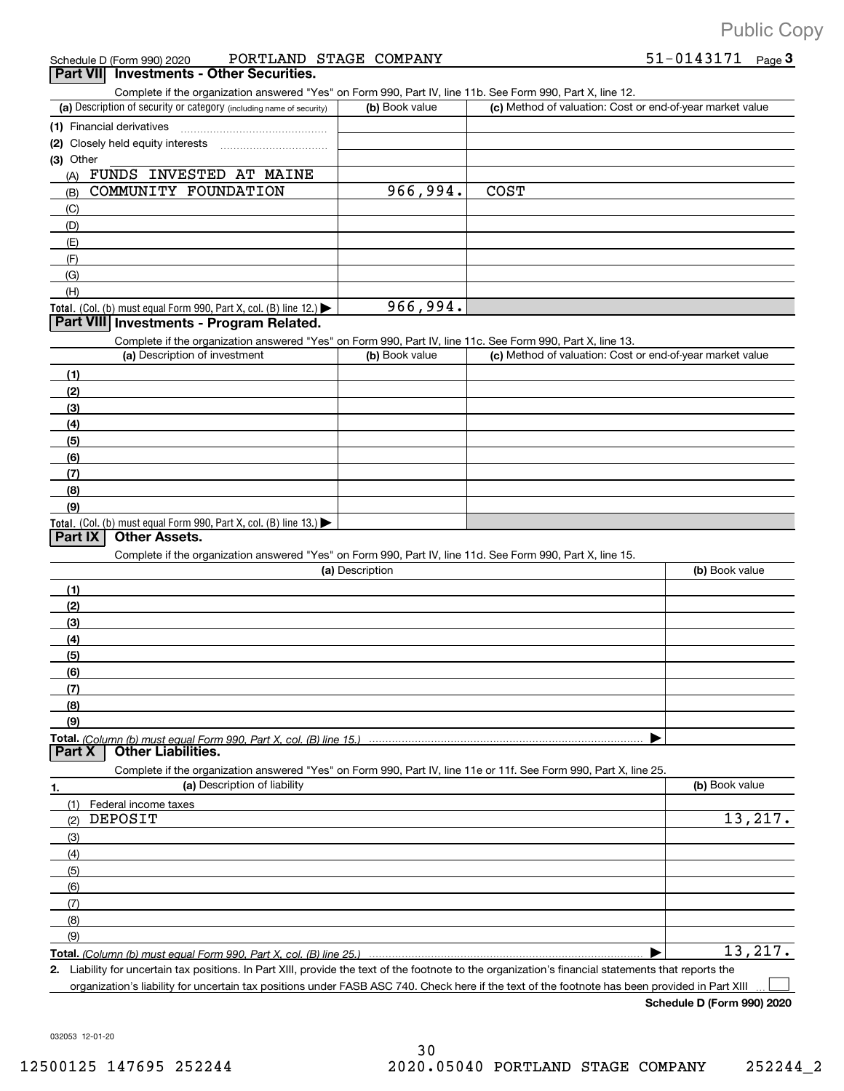|  | Schedule D (Form 990) 2020 | PORTLAND STAGE COMPANY |  |  | 51-0143171<br>Page $\mathbf 3$ |
|--|----------------------------|------------------------|--|--|--------------------------------|
|--|----------------------------|------------------------|--|--|--------------------------------|

|  | Part VII Investments - Other Securities. |  |  |
|--|------------------------------------------|--|--|
|--|------------------------------------------|--|--|

Complete if the organization answered "Yes" on Form 990, Part IV, line 11b. See Form 990, Part X, line 12.

| (a) Description of security or category (including name of security)                   | (b) Book value | (c) Method of valuation: Cost or end-of-year market value |
|----------------------------------------------------------------------------------------|----------------|-----------------------------------------------------------|
| (1) Financial derivatives                                                              |                |                                                           |
| (2) Closely held equity interests                                                      |                |                                                           |
| (3) Other                                                                              |                |                                                           |
| INVESTED AT MAINE<br>FUNDS<br>(A)                                                      |                |                                                           |
| COMMUNITY FOUNDATION<br>(B)                                                            | 966,994.       | <b>COST</b>                                               |
| (C)                                                                                    |                |                                                           |
| (D)                                                                                    |                |                                                           |
| (E)                                                                                    |                |                                                           |
| (F)                                                                                    |                |                                                           |
| (G)                                                                                    |                |                                                           |
| (H)                                                                                    |                |                                                           |
| Total. (Col. (b) must equal Form 990, Part X, col. (B) line 12.) $\blacktriangleright$ | 966,994.       |                                                           |

#### **Part VIII Investments + Program Related.**

Complete if the organization answered "Yes" on Form 990, Part IV, line 11c. See Form 990, Part X, line 13.

| (a) Description of investment                                                          | (b) Book value | (c) Method of valuation: Cost or end-of-year market value |
|----------------------------------------------------------------------------------------|----------------|-----------------------------------------------------------|
| (1)                                                                                    |                |                                                           |
| (2)                                                                                    |                |                                                           |
| $\left(3\right)$                                                                       |                |                                                           |
| (4)                                                                                    |                |                                                           |
| $\frac{1}{2}$                                                                          |                |                                                           |
| (6)                                                                                    |                |                                                           |
| (7)                                                                                    |                |                                                           |
| (8)                                                                                    |                |                                                           |
| (9)                                                                                    |                |                                                           |
| Total. (Col. (b) must equal Form 990, Part X, col. (B) line 13.) $\blacktriangleright$ |                |                                                           |

## **Part IX | Other Assets.**

Complete if the organization answered "Yes" on Form 990, Part IV, line 11d. See Form 990, Part X, line 15.

| (a) Description                                                                                                                       | (b) Book value |
|---------------------------------------------------------------------------------------------------------------------------------------|----------------|
|                                                                                                                                       |                |
| (2)                                                                                                                                   |                |
| (3)                                                                                                                                   |                |
| (4)                                                                                                                                   |                |
| (5)                                                                                                                                   |                |
| (6)                                                                                                                                   |                |
|                                                                                                                                       |                |
| (8)                                                                                                                                   |                |
| (9)                                                                                                                                   |                |
|                                                                                                                                       |                |
| Total. (Column (b) must equal Form 990, Part X, col. (B) line 15.) ………………………………………………………………………………………<br>  Part X   Other Liabilities. |                |

**1. (a)** Description of liability **and the contract of the contract of liability <b>(b)** Book value Complete if the organization answered "Yes" on Form 990, Part IV, line 11e or 11f. See Form 990, Part X, line 25. (1) (2) (3) (4) (5) (6) (7) (8) (9) Federal income taxes }}}}}}}}}}}}}}}}}}}}}}}}}}}} | DEPOSIT 13,217. 13,217.

**Total.**  *(Column (b) must equal Form 990, Part X, col. (B) line 25.)*

**2.** Liability for uncertain tax positions. In Part XIII, provide the text of the footnote to the organization's financial statements that reports the organization's liability for uncertain tax positions under FASB ASC 740. Check here if the text of the footnote has been provided in Part XIII  $\Box$ 

**Schedule D (Form 990) 2020**

032053 12+01+20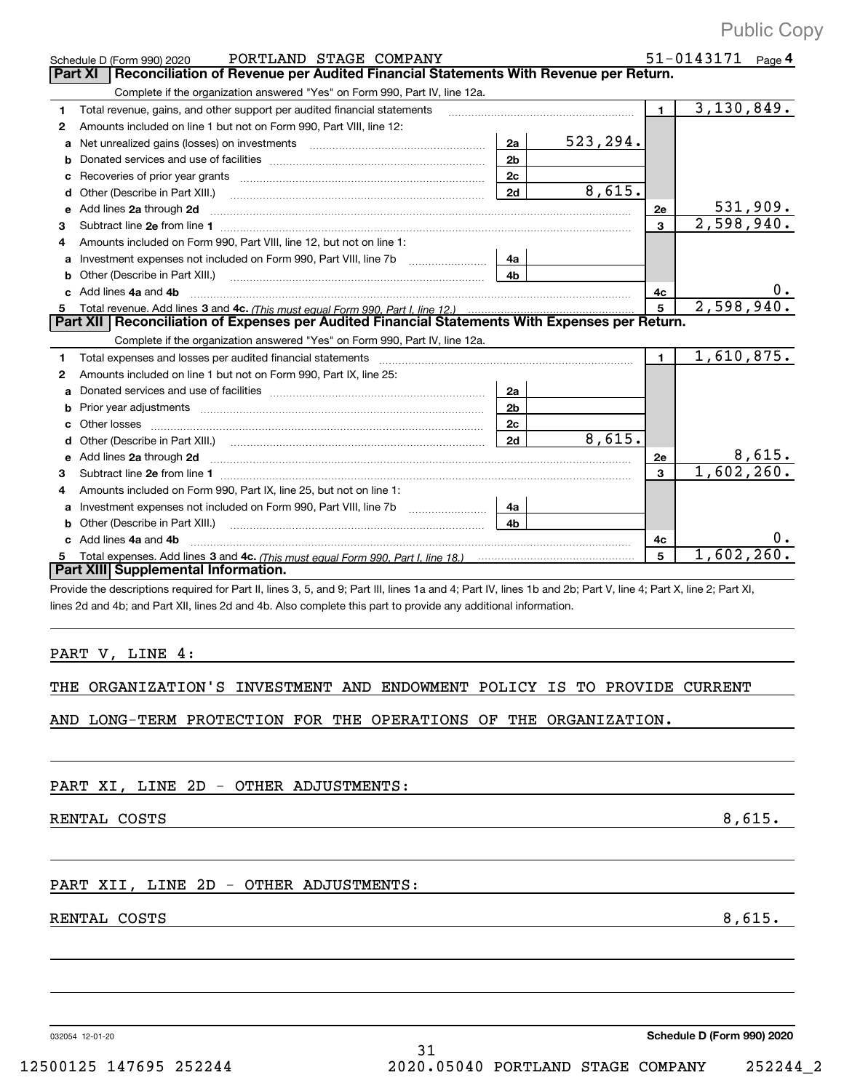|              | PORTLAND STAGE COMPANY<br>Schedule D (Form 990) 2020                                                                                                           |                |           |                | $51 - 0143171$ Page 4 |
|--------------|----------------------------------------------------------------------------------------------------------------------------------------------------------------|----------------|-----------|----------------|-----------------------|
|              | Reconciliation of Revenue per Audited Financial Statements With Revenue per Return.<br><b>Part XI</b>                                                          |                |           |                |                       |
|              | Complete if the organization answered "Yes" on Form 990, Part IV, line 12a.                                                                                    |                |           |                |                       |
| 1            | Total revenue, gains, and other support per audited financial statements                                                                                       |                |           | 1.             | 3, 130, 849.          |
| $\mathbf{2}$ | Amounts included on line 1 but not on Form 990, Part VIII, line 12:                                                                                            |                |           |                |                       |
| a            | Net unrealized gains (losses) on investments [11] matter contracts and the unrealized gains (losses) on investments                                            | 2a             | 523, 294. |                |                       |
| b            |                                                                                                                                                                | 2 <sub>b</sub> |           |                |                       |
| c            |                                                                                                                                                                | 2c             |           |                |                       |
| d            | Other (Describe in Part XIII.)                                                                                                                                 | 2d             | 8,615.    |                |                       |
| е            | Add lines 2a through 2d                                                                                                                                        |                |           | 2е             | 5 <u>31,909.</u>      |
| 3            |                                                                                                                                                                |                |           | 3              | 2,598,940.            |
| 4            | Amounts included on Form 990, Part VIII, line 12, but not on line 1:                                                                                           |                |           |                |                       |
|              | Investment expenses not included on Form 990, Part VIII, line 7b                                                                                               | 4a             |           |                |                       |
| b            | Other (Describe in Part XIII.)                                                                                                                                 | 4 <sub>b</sub> |           |                |                       |
| C            | Add lines 4a and 4b                                                                                                                                            |                |           | 4c             |                       |
| 5            |                                                                                                                                                                |                |           | 5              | 2,598,940.            |
|              | Part XII   Reconciliation of Expenses per Audited Financial Statements With Expenses per Return.                                                               |                |           |                |                       |
|              | Complete if the organization answered "Yes" on Form 990, Part IV, line 12a.                                                                                    |                |           |                |                       |
| 1            | Total expenses and losses per audited financial statements                                                                                                     |                |           | $\blacksquare$ | 1,610,875.            |
| 2            | Amounts included on line 1 but not on Form 990, Part IX, line 25:                                                                                              |                |           |                |                       |
| a            |                                                                                                                                                                | 2a             |           |                |                       |
| b            |                                                                                                                                                                | 2 <sub>b</sub> |           |                |                       |
| C            | Other losses                                                                                                                                                   | 2c             |           |                |                       |
| d            |                                                                                                                                                                | 2d             | 8,615.    |                |                       |
| e            | Add lines 2a through 2d                                                                                                                                        |                |           | 2e             | 8,615.                |
| 3            | Subtract line 2e from line 1                                                                                                                                   |                |           | 3              | 1,602,260.            |
| 4            | Amounts included on Form 990, Part IX, line 25, but not on line 1:                                                                                             |                |           |                |                       |
|              |                                                                                                                                                                | 4a             |           |                |                       |
| b            | Other (Describe in Part XIII.)                                                                                                                                 | 4b             |           |                |                       |
|              | c Add lines 4a and 4b                                                                                                                                          |                |           | 4c             |                       |
| 5            |                                                                                                                                                                |                |           | 5              | 1,602,260.            |
|              | <b>Part XIII Supplemental Information.</b>                                                                                                                     |                |           |                |                       |
|              | Provide the descriptions required for Part II, lines 3, 5, and 9; Part III, lines 1a and 4; Part IV, lines 1b and 2b; Part V, line 4; Part X, line 2; Part XI, |                |           |                |                       |
|              | lines 2d and 4b; and Part XII, lines 2d and 4b. Also complete this part to provide any additional information.                                                 |                |           |                |                       |
|              |                                                                                                                                                                |                |           |                |                       |
|              |                                                                                                                                                                |                |           |                |                       |
|              | PART V, LINE 4:                                                                                                                                                |                |           |                |                       |

THE ORGANIZATION'S INVESTMENT AND ENDOWMENT POLICY IS TO PROVIDE CURRENT

AND LONG+TERM PROTECTION FOR THE OPERATIONS OF THE ORGANIZATION.

PART XI, LINE 2D - OTHER ADJUSTMENTS:

RENTAL COSTS 8,615.

## PART XII, LINE 2D - OTHER ADJUSTMENTS:

## RENTAL COSTS 8,615.

032054 12+01+20

**Schedule D (Form 990) 2020**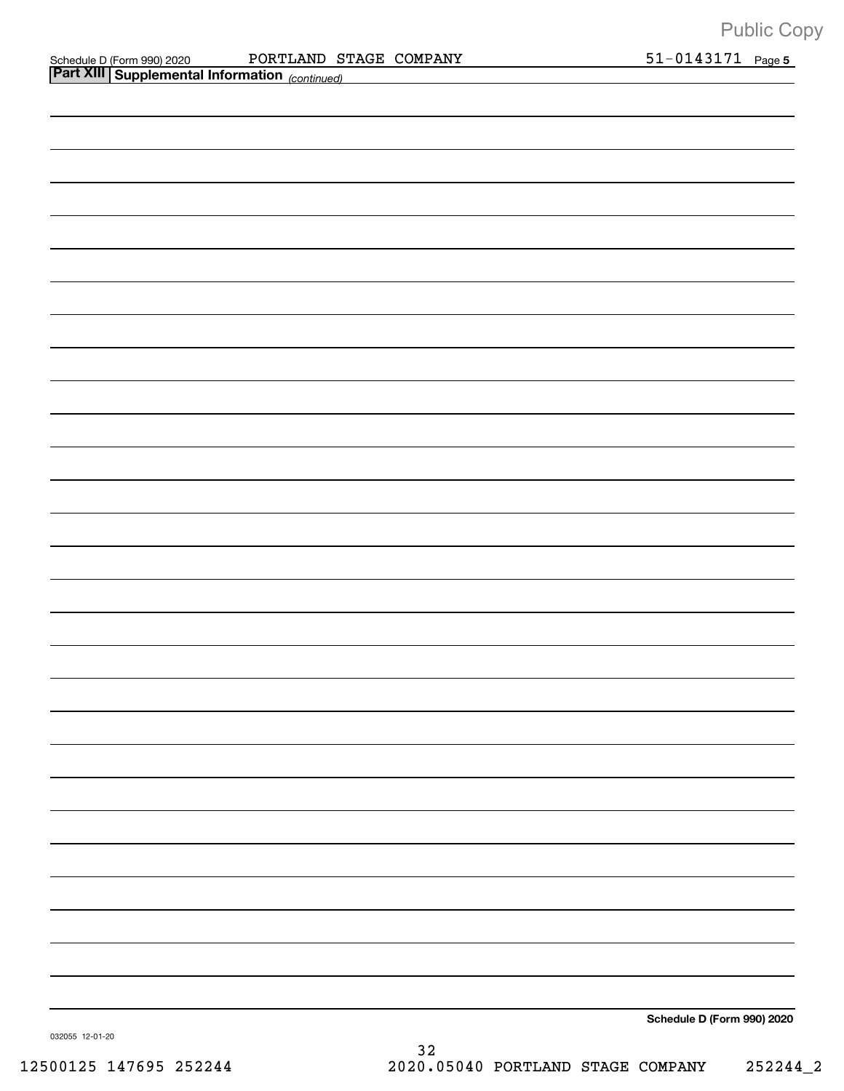| Schedule D (Form 990) 2020 |  |
|----------------------------|--|
|                            |  |

Schedule D (Form 990) 2020 PORTLAND STAGE COMPANY 51-0143171 Page PORTLAND STAGE COMPANY 51-0143171

| Part XIII Supplemental Information (continued) |                            |
|------------------------------------------------|----------------------------|
|                                                |                            |
|                                                |                            |
|                                                |                            |
|                                                |                            |
|                                                |                            |
|                                                |                            |
|                                                |                            |
|                                                |                            |
|                                                |                            |
|                                                |                            |
|                                                |                            |
|                                                |                            |
|                                                |                            |
|                                                |                            |
|                                                |                            |
|                                                |                            |
|                                                |                            |
|                                                |                            |
|                                                |                            |
|                                                |                            |
|                                                |                            |
|                                                |                            |
|                                                |                            |
|                                                |                            |
|                                                |                            |
|                                                |                            |
|                                                |                            |
|                                                |                            |
|                                                | Schedule D (Form 990) 2020 |

032055 12+01+20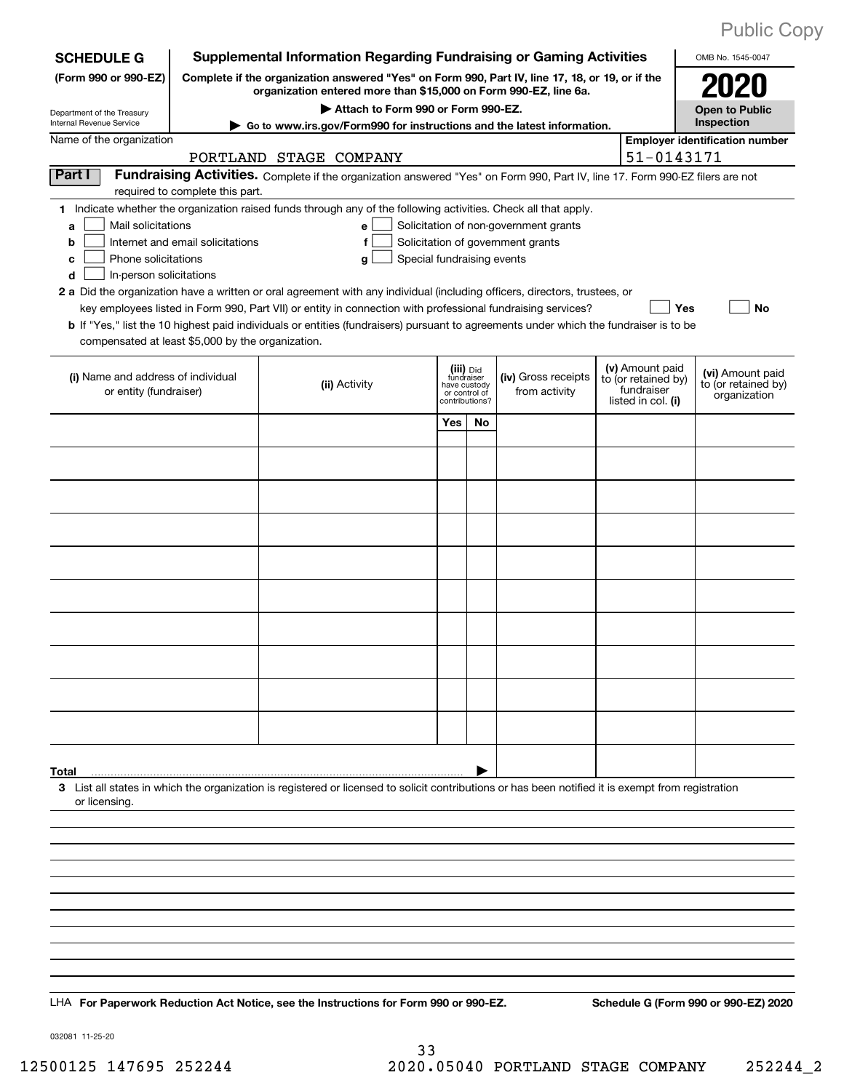| <b>Public Copy</b> |  |
|--------------------|--|
|                    |  |

| <b>SCHEDULE G</b>                                                                                                                                                                                 |                                                                                                              |                                                                  |                            |                                                                            |    | <b>Supplemental Information Regarding Fundraising or Gaming Activities</b>                                                    |  |                                                         | OMB No. 1545-0047                                       |
|---------------------------------------------------------------------------------------------------------------------------------------------------------------------------------------------------|--------------------------------------------------------------------------------------------------------------|------------------------------------------------------------------|----------------------------|----------------------------------------------------------------------------|----|-------------------------------------------------------------------------------------------------------------------------------|--|---------------------------------------------------------|---------------------------------------------------------|
| (Form 990 or 990-EZ)                                                                                                                                                                              | Complete if the organization answered "Yes" on Form 990, Part IV, line 17, 18, or 19, or if the              |                                                                  |                            |                                                                            |    |                                                                                                                               |  |                                                         |                                                         |
|                                                                                                                                                                                                   |                                                                                                              | organization entered more than \$15,000 on Form 990-EZ, line 6a. |                            |                                                                            |    |                                                                                                                               |  |                                                         | <b>Open to Public</b>                                   |
| Department of the Treasury<br>Internal Revenue Service                                                                                                                                            | Attach to Form 990 or Form 990-EZ.<br>Go to www.irs.gov/Form990 for instructions and the latest information. |                                                                  |                            |                                                                            |    |                                                                                                                               |  |                                                         | Inspection                                              |
| Name of the organization                                                                                                                                                                          |                                                                                                              |                                                                  |                            |                                                                            |    |                                                                                                                               |  |                                                         | <b>Employer identification number</b>                   |
|                                                                                                                                                                                                   |                                                                                                              | PORTLAND STAGE COMPANY                                           |                            |                                                                            |    |                                                                                                                               |  | 51-0143171                                              |                                                         |
| Part I                                                                                                                                                                                            | required to complete this part.                                                                              |                                                                  |                            |                                                                            |    | Fundraising Activities. Complete if the organization answered "Yes" on Form 990, Part IV, line 17. Form 990-EZ filers are not |  |                                                         |                                                         |
| 1 Indicate whether the organization raised funds through any of the following activities. Check all that apply.                                                                                   |                                                                                                              |                                                                  |                            |                                                                            |    |                                                                                                                               |  |                                                         |                                                         |
| Mail solicitations<br>a                                                                                                                                                                           |                                                                                                              |                                                                  | e                          |                                                                            |    | Solicitation of non-government grants                                                                                         |  |                                                         |                                                         |
| b<br>Phone solicitations                                                                                                                                                                          | Internet and email solicitations                                                                             |                                                                  | Special fundraising events |                                                                            |    | Solicitation of government grants                                                                                             |  |                                                         |                                                         |
| c<br>In-person solicitations<br>d                                                                                                                                                                 |                                                                                                              |                                                                  | g                          |                                                                            |    |                                                                                                                               |  |                                                         |                                                         |
| 2 a Did the organization have a written or oral agreement with any individual (including officers, directors, trustees, or                                                                        |                                                                                                              |                                                                  |                            |                                                                            |    |                                                                                                                               |  |                                                         |                                                         |
|                                                                                                                                                                                                   |                                                                                                              |                                                                  |                            |                                                                            |    | key employees listed in Form 990, Part VII) or entity in connection with professional fundraising services?                   |  | Yes                                                     | <b>No</b>                                               |
| <b>b</b> If "Yes," list the 10 highest paid individuals or entities (fundraisers) pursuant to agreements under which the fundraiser is to be<br>compensated at least \$5,000 by the organization. |                                                                                                              |                                                                  |                            |                                                                            |    |                                                                                                                               |  |                                                         |                                                         |
|                                                                                                                                                                                                   |                                                                                                              |                                                                  |                            |                                                                            |    |                                                                                                                               |  | (v) Amount paid                                         |                                                         |
| (i) Name and address of individual<br>or entity (fundraiser)                                                                                                                                      |                                                                                                              |                                                                  | (ii) Activity              | (iii) Did<br>fundraiser<br>have custody<br>or control of<br>contributions? |    | (iv) Gross receipts<br>from activity                                                                                          |  | to (or retained by)<br>fundraiser<br>listed in col. (i) | (vi) Amount paid<br>to (or retained by)<br>organization |
|                                                                                                                                                                                                   |                                                                                                              |                                                                  |                            | Yes                                                                        | No |                                                                                                                               |  |                                                         |                                                         |
|                                                                                                                                                                                                   |                                                                                                              |                                                                  |                            |                                                                            |    |                                                                                                                               |  |                                                         |                                                         |
|                                                                                                                                                                                                   |                                                                                                              |                                                                  |                            |                                                                            |    |                                                                                                                               |  |                                                         |                                                         |
|                                                                                                                                                                                                   |                                                                                                              |                                                                  |                            |                                                                            |    |                                                                                                                               |  |                                                         |                                                         |
|                                                                                                                                                                                                   |                                                                                                              |                                                                  |                            |                                                                            |    |                                                                                                                               |  |                                                         |                                                         |
|                                                                                                                                                                                                   |                                                                                                              |                                                                  |                            |                                                                            |    |                                                                                                                               |  |                                                         |                                                         |
|                                                                                                                                                                                                   |                                                                                                              |                                                                  |                            |                                                                            |    |                                                                                                                               |  |                                                         |                                                         |
|                                                                                                                                                                                                   |                                                                                                              |                                                                  |                            |                                                                            |    |                                                                                                                               |  |                                                         |                                                         |
|                                                                                                                                                                                                   |                                                                                                              |                                                                  |                            |                                                                            |    |                                                                                                                               |  |                                                         |                                                         |
|                                                                                                                                                                                                   |                                                                                                              |                                                                  |                            |                                                                            |    |                                                                                                                               |  |                                                         |                                                         |
|                                                                                                                                                                                                   |                                                                                                              |                                                                  |                            |                                                                            |    |                                                                                                                               |  |                                                         |                                                         |
|                                                                                                                                                                                                   |                                                                                                              |                                                                  |                            |                                                                            |    |                                                                                                                               |  |                                                         |                                                         |
|                                                                                                                                                                                                   |                                                                                                              |                                                                  |                            |                                                                            |    |                                                                                                                               |  |                                                         |                                                         |
|                                                                                                                                                                                                   |                                                                                                              |                                                                  |                            |                                                                            |    |                                                                                                                               |  |                                                         |                                                         |
| Total                                                                                                                                                                                             |                                                                                                              |                                                                  |                            |                                                                            |    |                                                                                                                               |  |                                                         |                                                         |
| 3 List all states in which the organization is registered or licensed to solicit contributions or has been notified it is exempt from registration<br>or licensing                                |                                                                                                              |                                                                  |                            |                                                                            |    |                                                                                                                               |  |                                                         |                                                         |
|                                                                                                                                                                                                   |                                                                                                              |                                                                  |                            |                                                                            |    |                                                                                                                               |  |                                                         |                                                         |
|                                                                                                                                                                                                   |                                                                                                              |                                                                  |                            |                                                                            |    |                                                                                                                               |  |                                                         |                                                         |
|                                                                                                                                                                                                   |                                                                                                              |                                                                  |                            |                                                                            |    |                                                                                                                               |  |                                                         |                                                         |
|                                                                                                                                                                                                   |                                                                                                              |                                                                  |                            |                                                                            |    |                                                                                                                               |  |                                                         |                                                         |
|                                                                                                                                                                                                   |                                                                                                              |                                                                  |                            |                                                                            |    |                                                                                                                               |  |                                                         |                                                         |
|                                                                                                                                                                                                   |                                                                                                              |                                                                  |                            |                                                                            |    |                                                                                                                               |  |                                                         |                                                         |
|                                                                                                                                                                                                   |                                                                                                              |                                                                  |                            |                                                                            |    |                                                                                                                               |  |                                                         |                                                         |
|                                                                                                                                                                                                   |                                                                                                              |                                                                  |                            |                                                                            |    |                                                                                                                               |  |                                                         |                                                         |
| LHA For Paperwork Reduction Act Notice, see the Instructions for Form 990 or 990-EZ.                                                                                                              |                                                                                                              |                                                                  |                            |                                                                            |    |                                                                                                                               |  |                                                         | Schedule G (Form 990 or 990-EZ) 2020                    |

032081 11+25+20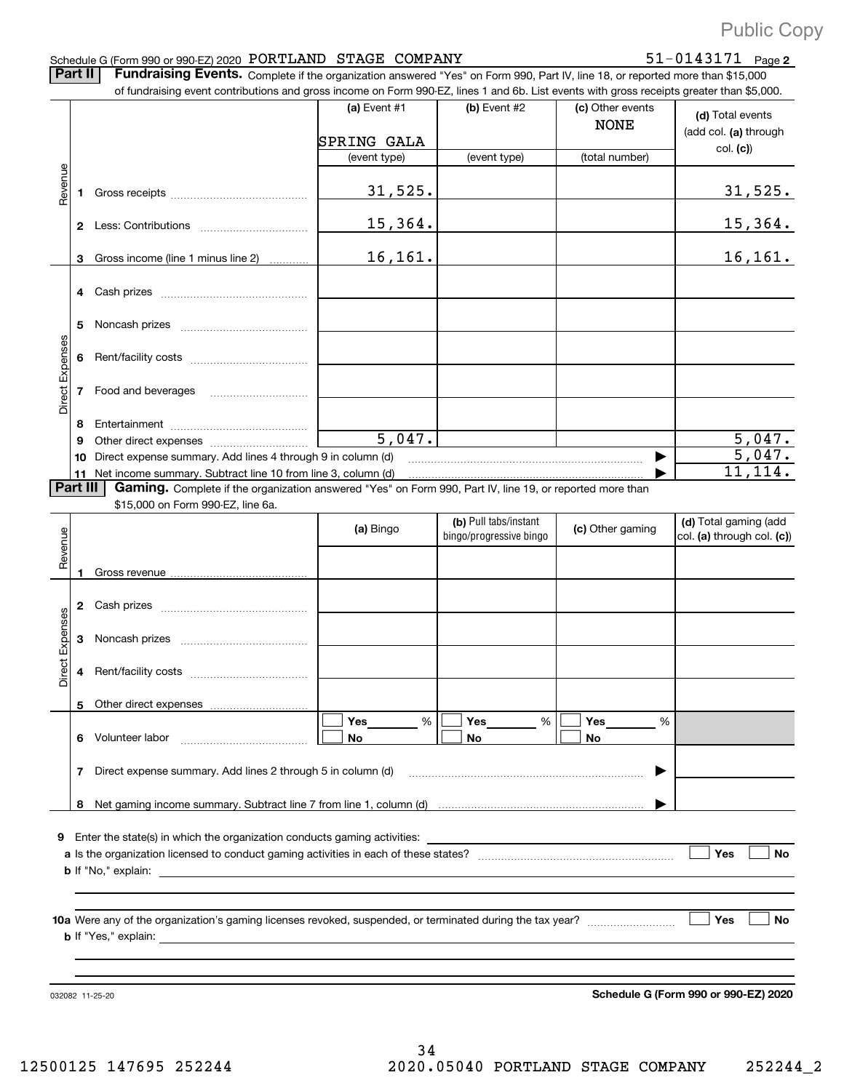## Schedule G (Form 990 or 990-EZ) 2020  $\rm{PORTLAND}$   $\rm{STAGE}$   $\rm{COMPANY}$   $\rm{51-0143171}$   $\rm{Page}$

51-0143171 Page 2

Part II | Fundraising Events. Complete if the organization answered "Yes" on Form 990, Part IV, line 18, or reported more than \$15,000

|                 |          | of fundraising event contributions and gross income on Form 990-EZ, lines 1 and 6b. List events with gross receipts greater than \$5,000.                                   |                 |                         |                                 |                                           |
|-----------------|----------|-----------------------------------------------------------------------------------------------------------------------------------------------------------------------------|-----------------|-------------------------|---------------------------------|-------------------------------------------|
|                 |          |                                                                                                                                                                             | (a) Event $#1$  | (b) Event #2            | (c) Other events<br><b>NONE</b> | (d) Total events<br>(add col. (a) through |
|                 |          |                                                                                                                                                                             | SPRING GALA     |                         |                                 | col. (c)                                  |
|                 |          |                                                                                                                                                                             | (event type)    | (event type)            | (total number)                  |                                           |
| Revenue         |          |                                                                                                                                                                             | 31,525.         |                         |                                 | <u>31,525.</u>                            |
|                 |          |                                                                                                                                                                             | 15,364.         |                         |                                 | <u>15,364.</u>                            |
|                 | 3        | Gross income (line 1 minus line 2)                                                                                                                                          | 16,161.         |                         |                                 | 16, 161.                                  |
|                 |          |                                                                                                                                                                             |                 |                         |                                 |                                           |
|                 | 5        |                                                                                                                                                                             |                 |                         |                                 |                                           |
|                 |          |                                                                                                                                                                             |                 |                         |                                 |                                           |
| Direct Expenses |          | 7 Food and beverages                                                                                                                                                        |                 |                         |                                 |                                           |
|                 | 8        |                                                                                                                                                                             |                 |                         |                                 |                                           |
|                 | 9        |                                                                                                                                                                             | 5,047.          |                         |                                 | $\frac{5,047.}{5,047.}$                   |
|                 | 10       | Direct expense summary. Add lines 4 through 9 in column (d)                                                                                                                 |                 |                         |                                 | 11, 114.                                  |
|                 | Part III | 11 Net income summary. Subtract line 10 from line 3, column (d)<br>Gaming. Complete if the organization answered "Yes" on Form 990, Part IV, line 19, or reported more than |                 |                         |                                 |                                           |
|                 |          | \$15,000 on Form 990-EZ, line 6a.                                                                                                                                           |                 |                         |                                 |                                           |
|                 |          |                                                                                                                                                                             |                 | (b) Pull tabs/instant   |                                 | (d) Total gaming (add                     |
|                 |          |                                                                                                                                                                             | (a) Bingo       | bingo/progressive bingo | (c) Other gaming                | col. (a) through col. (c))                |
| Revenue         |          |                                                                                                                                                                             |                 |                         |                                 |                                           |
|                 |          |                                                                                                                                                                             |                 |                         |                                 |                                           |
|                 |          |                                                                                                                                                                             |                 |                         |                                 |                                           |
|                 |          |                                                                                                                                                                             |                 |                         |                                 |                                           |
| Expenses        | 3        |                                                                                                                                                                             |                 |                         |                                 |                                           |
| Direct          |          |                                                                                                                                                                             |                 |                         |                                 |                                           |
|                 |          |                                                                                                                                                                             |                 |                         |                                 |                                           |
|                 |          | 5 Other direct expenses                                                                                                                                                     |                 |                         |                                 |                                           |
|                 |          | 6 Volunteer labor                                                                                                                                                           | %<br>Yes_<br>No | Yes<br>%<br>No          | Yes<br>%<br>No                  |                                           |
|                 |          | 7 Direct expense summary. Add lines 2 through 5 in column (d)                                                                                                               |                 |                         |                                 |                                           |
|                 |          |                                                                                                                                                                             |                 |                         |                                 |                                           |
|                 |          |                                                                                                                                                                             |                 |                         |                                 |                                           |
|                 |          | 9 Enter the state(s) in which the organization conducts gaming activities:                                                                                                  |                 |                         |                                 | Yes<br><b>No</b>                          |
|                 |          |                                                                                                                                                                             |                 |                         |                                 |                                           |
|                 |          |                                                                                                                                                                             |                 |                         |                                 | Yes<br>No                                 |
|                 |          |                                                                                                                                                                             |                 |                         |                                 |                                           |

032082 11+25+20

**Schedule G (Form 990 or 990+EZ) 2020**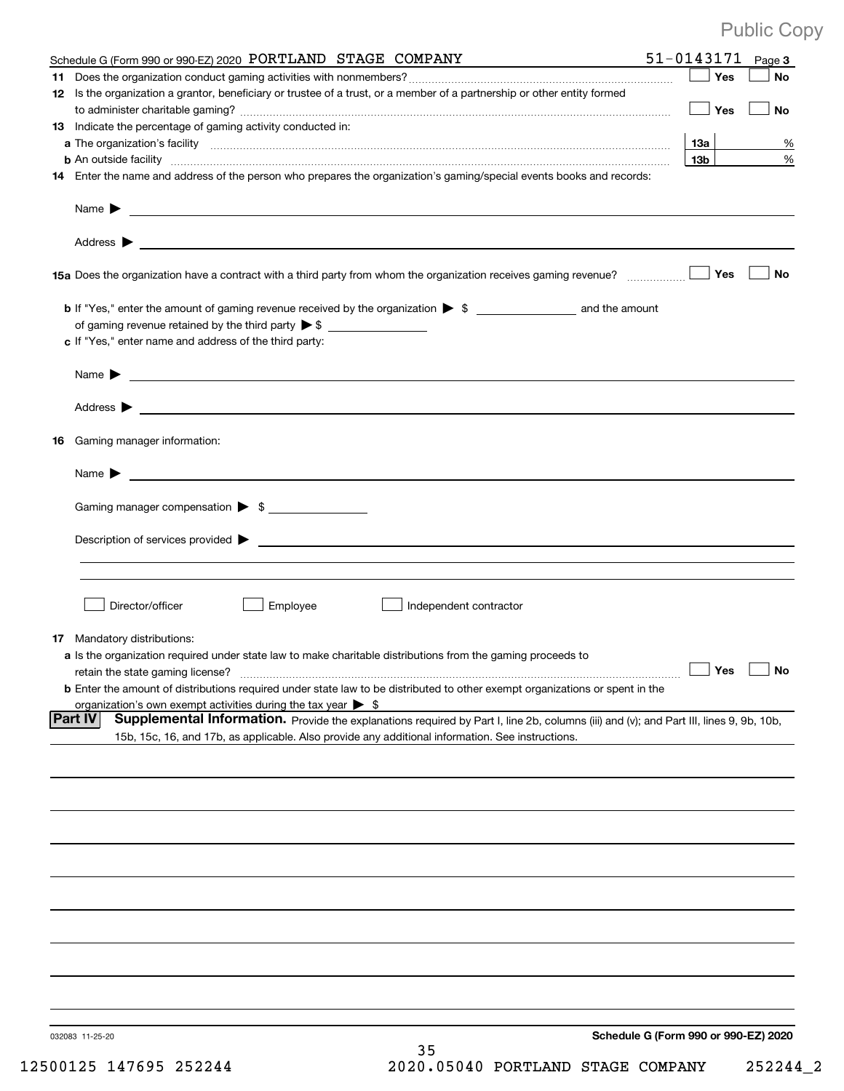| Schedule G (Form 990 or 990-EZ) 2020 PORTLAND STAGE COMPANY                                                                                                                                                                                | $51 - 0143171$ Page 3                |           |
|--------------------------------------------------------------------------------------------------------------------------------------------------------------------------------------------------------------------------------------------|--------------------------------------|-----------|
|                                                                                                                                                                                                                                            | ∐ Yes                                | No        |
| 12 Is the organization a grantor, beneficiary or trustee of a trust, or a member of a partnership or other entity formed                                                                                                                   |                                      |           |
|                                                                                                                                                                                                                                            | │ Yes                                | No        |
| 13 Indicate the percentage of gaming activity conducted in:                                                                                                                                                                                |                                      |           |
|                                                                                                                                                                                                                                            | 13a                                  | %         |
|                                                                                                                                                                                                                                            | 13b l                                | $\%$      |
| 14 Enter the name and address of the person who prepares the organization's gaming/special events books and records:                                                                                                                       |                                      |           |
|                                                                                                                                                                                                                                            |                                      |           |
|                                                                                                                                                                                                                                            |                                      |           |
|                                                                                                                                                                                                                                            |                                      | No        |
|                                                                                                                                                                                                                                            |                                      |           |
|                                                                                                                                                                                                                                            |                                      |           |
| c If "Yes," enter name and address of the third party:                                                                                                                                                                                     |                                      |           |
|                                                                                                                                                                                                                                            |                                      |           |
|                                                                                                                                                                                                                                            |                                      |           |
|                                                                                                                                                                                                                                            |                                      |           |
| 16 Gaming manager information:                                                                                                                                                                                                             |                                      |           |
|                                                                                                                                                                                                                                            |                                      |           |
| <u> 1989 - Johann Barbara, martin amerikan basal dan berasal dan berasal dan berasal dari berasal dan berasal dan</u><br>Name $\blacktriangleright$                                                                                        |                                      |           |
| Gaming manager compensation > \$                                                                                                                                                                                                           |                                      |           |
|                                                                                                                                                                                                                                            |                                      |           |
|                                                                                                                                                                                                                                            |                                      |           |
|                                                                                                                                                                                                                                            |                                      |           |
|                                                                                                                                                                                                                                            |                                      |           |
| Director/officer<br>Employee<br>Independent contractor                                                                                                                                                                                     |                                      |           |
|                                                                                                                                                                                                                                            |                                      |           |
| 17 Mandatory distributions:                                                                                                                                                                                                                |                                      |           |
| a Is the organization required under state law to make charitable distributions from the gaming proceeds to                                                                                                                                |                                      |           |
| retain the state gaming license?                                                                                                                                                                                                           | $\Box$ Yes                           | $\Box$ No |
| <b>b</b> Enter the amount of distributions required under state law to be distributed to other exempt organizations or spent in the                                                                                                        |                                      |           |
| organization's own exempt activities during the tax year $\triangleright$ \$<br><b>Part IV</b>                                                                                                                                             |                                      |           |
| Supplemental Information. Provide the explanations required by Part I, line 2b, columns (iii) and (v); and Part III, lines 9, 9b, 10b,<br>15b, 15c, 16, and 17b, as applicable. Also provide any additional information. See instructions. |                                      |           |
|                                                                                                                                                                                                                                            |                                      |           |
|                                                                                                                                                                                                                                            |                                      |           |
|                                                                                                                                                                                                                                            |                                      |           |
|                                                                                                                                                                                                                                            |                                      |           |
|                                                                                                                                                                                                                                            |                                      |           |
|                                                                                                                                                                                                                                            |                                      |           |
|                                                                                                                                                                                                                                            |                                      |           |
|                                                                                                                                                                                                                                            |                                      |           |
|                                                                                                                                                                                                                                            |                                      |           |
|                                                                                                                                                                                                                                            |                                      |           |
|                                                                                                                                                                                                                                            |                                      |           |
|                                                                                                                                                                                                                                            |                                      |           |
|                                                                                                                                                                                                                                            |                                      |           |
|                                                                                                                                                                                                                                            |                                      |           |
| 032083 11-25-20                                                                                                                                                                                                                            | Schedule G (Form 990 or 990-EZ) 2020 |           |
| 35                                                                                                                                                                                                                                         |                                      |           |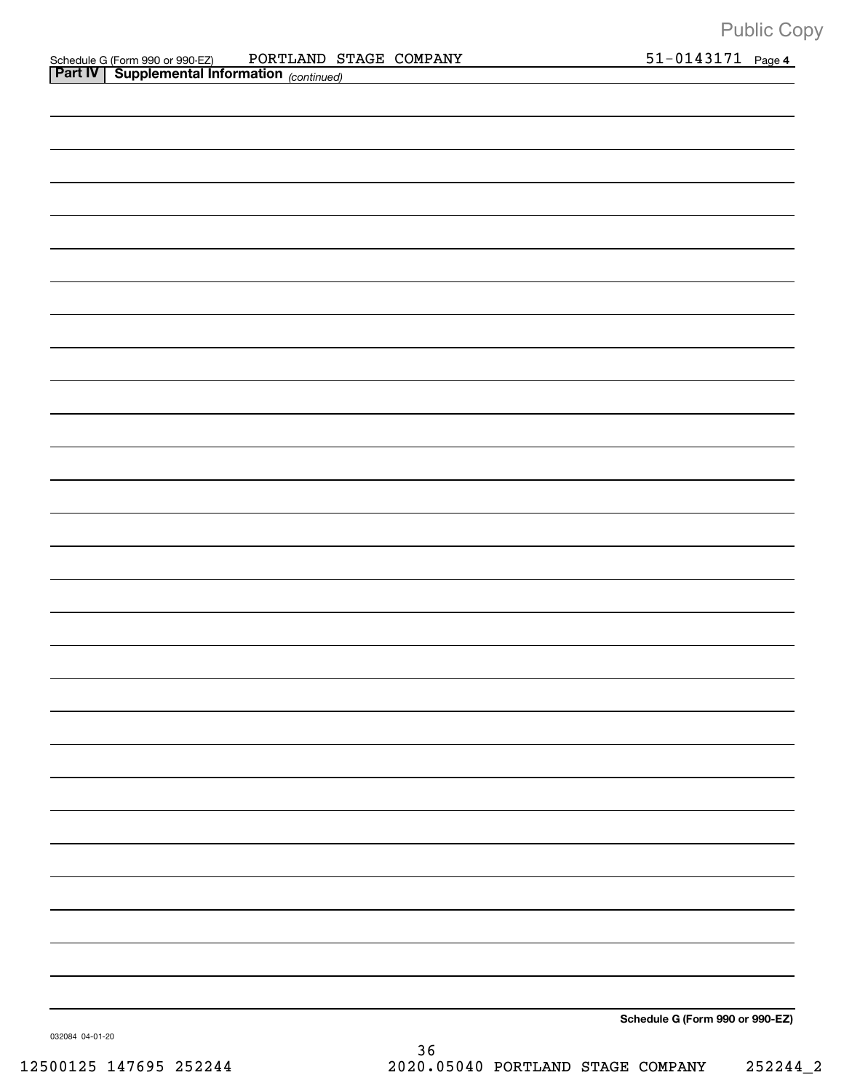| <b>Part IV   Supplemental Information</b> (continued) |  |                                 |
|-------------------------------------------------------|--|---------------------------------|
|                                                       |  |                                 |
|                                                       |  |                                 |
|                                                       |  |                                 |
|                                                       |  |                                 |
|                                                       |  |                                 |
|                                                       |  |                                 |
|                                                       |  |                                 |
|                                                       |  |                                 |
|                                                       |  |                                 |
|                                                       |  |                                 |
|                                                       |  |                                 |
|                                                       |  |                                 |
|                                                       |  |                                 |
|                                                       |  |                                 |
|                                                       |  |                                 |
|                                                       |  |                                 |
|                                                       |  |                                 |
|                                                       |  |                                 |
|                                                       |  |                                 |
|                                                       |  |                                 |
|                                                       |  |                                 |
|                                                       |  |                                 |
|                                                       |  |                                 |
|                                                       |  |                                 |
|                                                       |  |                                 |
|                                                       |  |                                 |
|                                                       |  |                                 |
|                                                       |  |                                 |
|                                                       |  |                                 |
|                                                       |  | Schedule G (Form 990 or 990-EZ) |

032084 04+01+20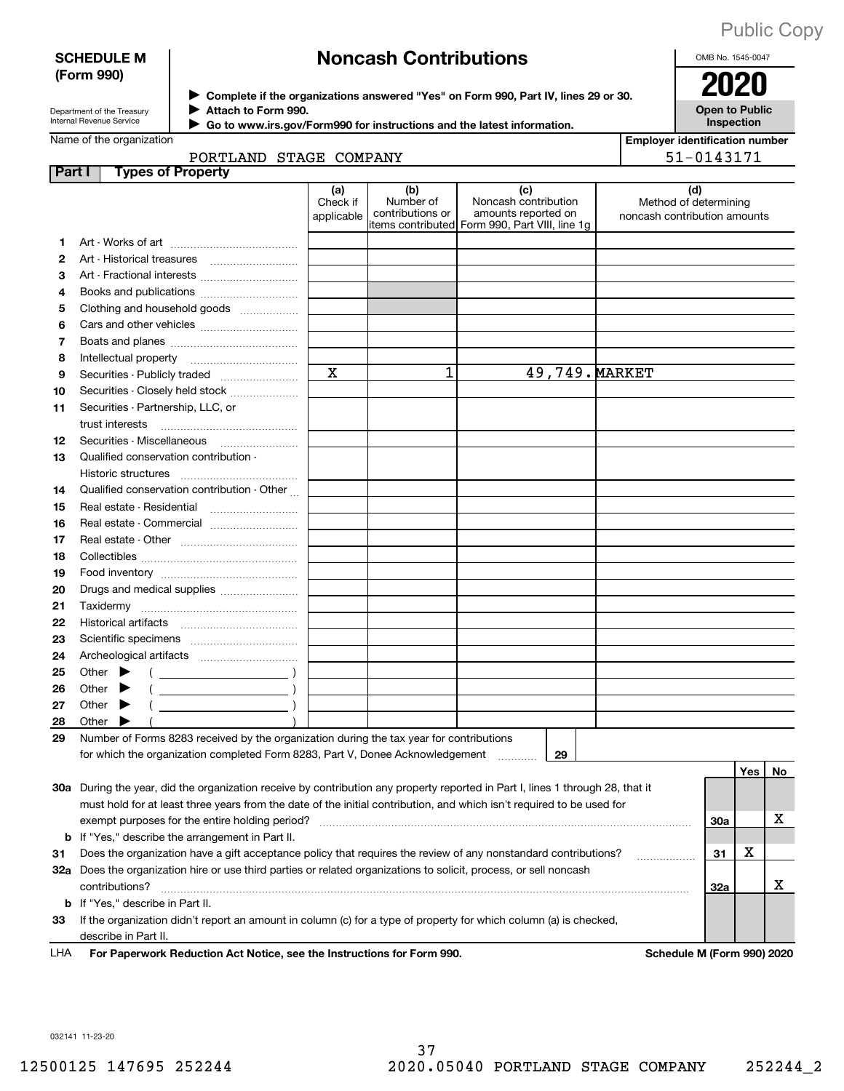### **SCHEDULE M (Form 990)**

## **Noncash Contributions**

OMB No. 1545-0047

| Department of the Treasury |
|----------------------------|
| Internal Revenue Service   |

**Complete if the organizations answered "Yes" on Form 990, Part IV, lines 29 or 30. Attach to Form 990.**  $\triangleright$  Complete if the organizations answered "Yes" on Form 990, Part IV, lines 29 or 30.  $2020$  $\blacktriangleright$ 

**Open to Public Inspection**

|  | Name of the organization |  |
|--|--------------------------|--|

 **Go to www.irs.gov/Form990 for instructions and the latest information.** J

| $\mathbf n$ ule latest illioi mation. |                                       |
|---------------------------------------|---------------------------------------|
|                                       | <b>Employer identification number</b> |
|                                       | 51-0143171                            |
|                                       |                                       |

| Name of the organization |
|--------------------------|
|--------------------------|

|         | PORTLAND STAGE COMPANY                                                                                                                                                    |                               |                                      |                                                                                                       | 51-0143171                                                   |     |     |    |
|---------|---------------------------------------------------------------------------------------------------------------------------------------------------------------------------|-------------------------------|--------------------------------------|-------------------------------------------------------------------------------------------------------|--------------------------------------------------------------|-----|-----|----|
| Part I  | <b>Types of Property</b>                                                                                                                                                  |                               |                                      |                                                                                                       |                                                              |     |     |    |
|         |                                                                                                                                                                           | (a)<br>Check if<br>applicable | (b)<br>Number of<br>contributions or | (c)<br>Noncash contribution<br>amounts reported on<br>litems contributed Form 990, Part VIII, line 1g | (d)<br>Method of determining<br>noncash contribution amounts |     |     |    |
| 1.      |                                                                                                                                                                           |                               |                                      |                                                                                                       |                                                              |     |     |    |
| 2       |                                                                                                                                                                           |                               |                                      |                                                                                                       |                                                              |     |     |    |
| З       | Art - Fractional interests                                                                                                                                                |                               |                                      |                                                                                                       |                                                              |     |     |    |
| 4       |                                                                                                                                                                           |                               |                                      |                                                                                                       |                                                              |     |     |    |
| 5       | Clothing and household goods                                                                                                                                              |                               |                                      |                                                                                                       |                                                              |     |     |    |
| 6       |                                                                                                                                                                           |                               |                                      |                                                                                                       |                                                              |     |     |    |
| 7       |                                                                                                                                                                           |                               |                                      |                                                                                                       |                                                              |     |     |    |
| 8       |                                                                                                                                                                           |                               |                                      |                                                                                                       |                                                              |     |     |    |
| 9       | Securities - Publicly traded                                                                                                                                              | $\mathbf x$                   | 1                                    | 49,749. MARKET                                                                                        |                                                              |     |     |    |
| 10      | Securities - Closely held stock                                                                                                                                           |                               |                                      |                                                                                                       |                                                              |     |     |    |
| 11      | Securities - Partnership, LLC, or                                                                                                                                         |                               |                                      |                                                                                                       |                                                              |     |     |    |
|         | trust interests                                                                                                                                                           |                               |                                      |                                                                                                       |                                                              |     |     |    |
| 12      |                                                                                                                                                                           |                               |                                      |                                                                                                       |                                                              |     |     |    |
| 13      | Qualified conservation contribution -                                                                                                                                     |                               |                                      |                                                                                                       |                                                              |     |     |    |
|         |                                                                                                                                                                           |                               |                                      |                                                                                                       |                                                              |     |     |    |
| 14      | Qualified conservation contribution - Other                                                                                                                               |                               |                                      |                                                                                                       |                                                              |     |     |    |
| 15      | Real estate - Residential                                                                                                                                                 |                               |                                      |                                                                                                       |                                                              |     |     |    |
| 16      | Real estate - Commercial                                                                                                                                                  |                               |                                      |                                                                                                       |                                                              |     |     |    |
| 17      |                                                                                                                                                                           |                               |                                      |                                                                                                       |                                                              |     |     |    |
| 18      |                                                                                                                                                                           |                               |                                      |                                                                                                       |                                                              |     |     |    |
| 19      |                                                                                                                                                                           |                               |                                      |                                                                                                       |                                                              |     |     |    |
| 20      | Drugs and medical supplies                                                                                                                                                |                               |                                      |                                                                                                       |                                                              |     |     |    |
| 21      |                                                                                                                                                                           |                               |                                      |                                                                                                       |                                                              |     |     |    |
| 22      |                                                                                                                                                                           |                               |                                      |                                                                                                       |                                                              |     |     |    |
| 23      |                                                                                                                                                                           |                               |                                      |                                                                                                       |                                                              |     |     |    |
| 24      |                                                                                                                                                                           |                               |                                      |                                                                                                       |                                                              |     |     |    |
| 25      | Other $\blacktriangleright$<br>$\left(\begin{array}{ccc}\n\end{array}\right)$                                                                                             |                               |                                      |                                                                                                       |                                                              |     |     |    |
| 26      | Other $\blacktriangleright$                                                                                                                                               |                               |                                      |                                                                                                       |                                                              |     |     |    |
| 27      | Other                                                                                                                                                                     |                               |                                      |                                                                                                       |                                                              |     |     |    |
| 28      | Other                                                                                                                                                                     |                               |                                      |                                                                                                       |                                                              |     |     |    |
| 29      | Number of Forms 8283 received by the organization during the tax year for contributions                                                                                   |                               |                                      |                                                                                                       |                                                              |     |     |    |
|         | for which the organization completed Form 8283, Part V, Donee Acknowledgement                                                                                             |                               |                                      | 29                                                                                                    |                                                              |     |     |    |
|         |                                                                                                                                                                           |                               |                                      |                                                                                                       |                                                              |     | Yes | No |
|         | 30a During the year, did the organization receive by contribution any property reported in Part I, lines 1 through 28, that it                                            |                               |                                      |                                                                                                       |                                                              |     |     |    |
|         | must hold for at least three years from the date of the initial contribution, and which isn't required to be used for                                                     |                               |                                      |                                                                                                       |                                                              |     |     | х  |
|         | exempt purposes for the entire holding period?                                                                                                                            |                               |                                      |                                                                                                       |                                                              | 30a |     |    |
|         | <b>b</b> If "Yes," describe the arrangement in Part II.<br>Does the organization have a gift acceptance policy that requires the review of any nonstandard contributions? |                               |                                      |                                                                                                       |                                                              |     | х   |    |
| 31      |                                                                                                                                                                           |                               |                                      |                                                                                                       |                                                              | 31  |     |    |
|         | 32a Does the organization hire or use third parties or related organizations to solicit, process, or sell noncash                                                         |                               |                                      |                                                                                                       |                                                              |     |     | х  |
|         | contributions?<br>If "Yes," describe in Part II.                                                                                                                          |                               |                                      |                                                                                                       |                                                              | 32a |     |    |
| b<br>33 | If the organization didn't report an amount in column (c) for a type of property for which column (a) is checked,                                                         |                               |                                      |                                                                                                       |                                                              |     |     |    |
|         | describe in Part II.                                                                                                                                                      |                               |                                      |                                                                                                       |                                                              |     |     |    |
|         |                                                                                                                                                                           |                               |                                      |                                                                                                       |                                                              |     |     |    |

**For Paperwork Reduction Act Notice, see the Instructions for Form 990. Schedule M (Form 990) 2020** LHA

032141 11+23+20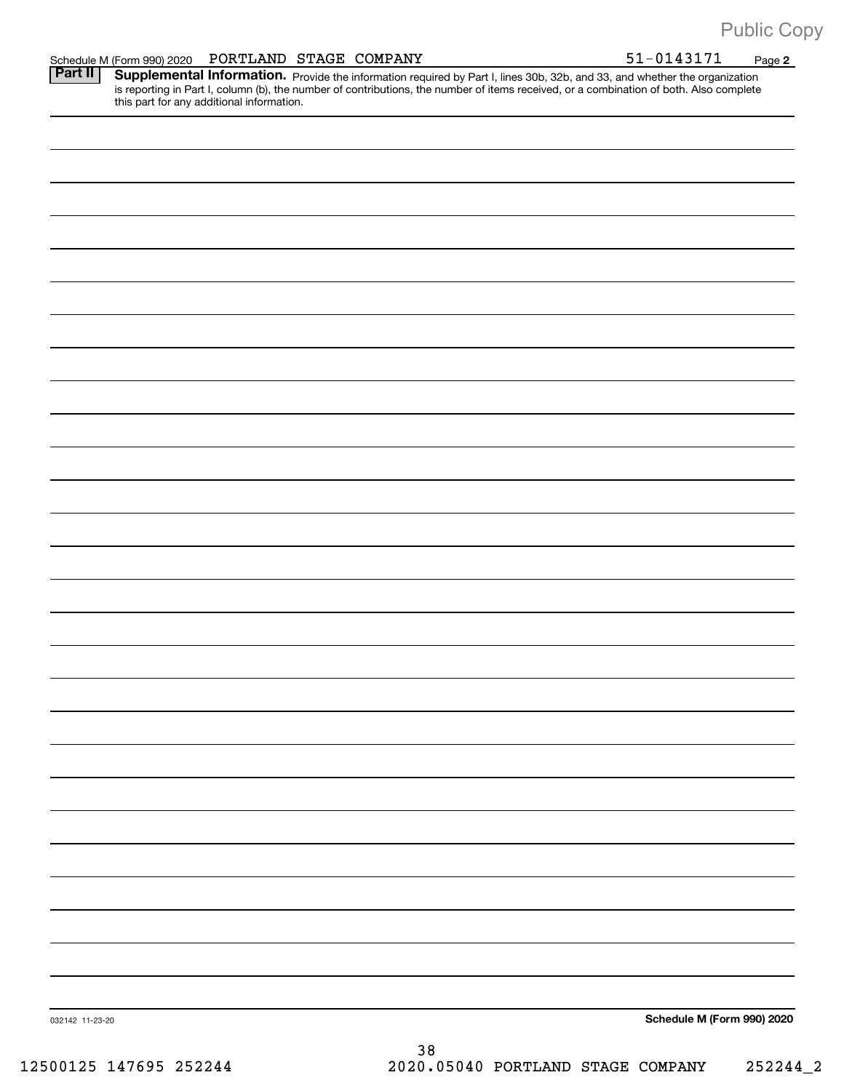**2** Provide the information required by Part I, lines 30b, 32b, and 33, and whether the organization is reporting in Part I, column (b), the number of contributions, the number of items received, or a combination of both. Also complete this part for any additional information. **Part II Supplemental Information.** 

| 032142 11-23-20 | Schedule M (Form 990) 2020 |
|-----------------|----------------------------|
|                 |                            |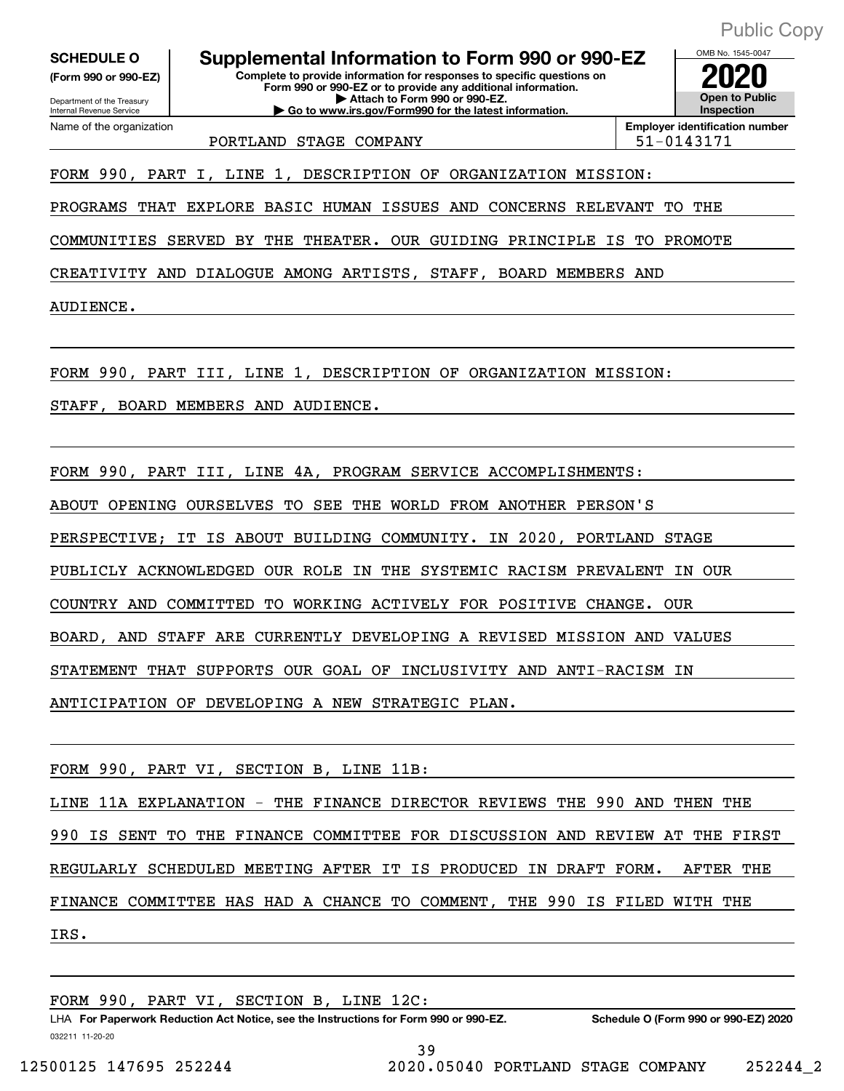**(Form 990 or 990+EZ)**

Department of the Treasury Internal Revenue Service Name of the organization

**Complete to provide information for responses to specific questions on Form 990 or 990+EZ or to provide any additional information. | Attach to Form 990 or 990+EZ. | Go to www.irs.gov/Form990 for the latest information. SCHEDULE O Supplemental Information to Form 990 or 990+EZ 2020**

**Open to Public Inspection Employer identification number** PORTLAND STAGE COMPANY FORTLAND STAGE OF THE STAGE OF THE STAGE OF THE STAGE OF THE STAGE OF THE STAGE OF THE STAGE OF THE STAGE OF THE STAGE OF THE STAGE OF THE STAGE OF THE STAGE OF THE STAGE OF THE STAGE OF THE STAGE OF

OMB No. 1545-0047

FORM 990, PART I, LINE 1, DESCRIPTION OF ORGANIZATION MISSION:

PROGRAMS THAT EXPLORE BASIC HUMAN ISSUES AND CONCERNS RELEVANT TO THE

COMMUNITIES SERVED BY THE THEATER. OUR GUIDING PRINCIPLE IS TO PROMOTE

CREATIVITY AND DIALOGUE AMONG ARTISTS, STAFF, BOARD MEMBERS AND

AUDIENCE.

FORM 990, PART III, LINE 1, DESCRIPTION OF ORGANIZATION MISSION:

STAFF, BOARD MEMBERS AND AUDIENCE.

FORM 990, PART III, LINE 4A, PROGRAM SERVICE ACCOMPLISHMENTS:

ABOUT OPENING OURSELVES TO SEE THE WORLD FROM ANOTHER PERSON'S

PERSPECTIVE; IT IS ABOUT BUILDING COMMUNITY. IN 2020, PORTLAND STAGE

PUBLICLY ACKNOWLEDGED OUR ROLE IN THE SYSTEMIC RACISM PREVALENT IN OUR

COUNTRY AND COMMITTED TO WORKING ACTIVELY FOR POSITIVE CHANGE. OUR

BOARD, AND STAFF ARE CURRENTLY DEVELOPING A REVISED MISSION AND VALUES

STATEMENT THAT SUPPORTS OUR GOAL OF INCLUSIVITY AND ANTI+RACISM IN

ANTICIPATION OF DEVELOPING A NEW STRATEGIC PLAN.

FORM 990, PART VI, SECTION B, LINE 11B:

LINE 11A EXPLANATION - THE FINANCE DIRECTOR REVIEWS THE 990 AND THEN THE 990 IS SENT TO THE FINANCE COMMITTEE FOR DISCUSSION AND REVIEW AT THE FIRST REGULARLY SCHEDULED MEETING AFTER IT IS PRODUCED IN DRAFT FORM. AFTER THE FINANCE COMMITTEE HAS HAD A CHANCE TO COMMENT, THE 990 IS FILED WITH THE IRS.

FORM 990, PART VI, SECTION B, LINE 12C: